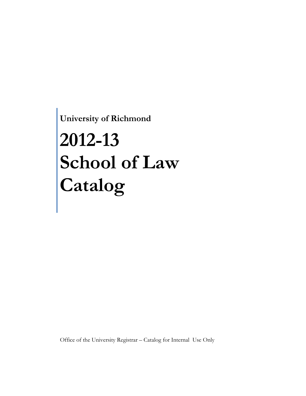**University of Richmond**

# **2012-13 School of Law Catalog**

Office of the University Registrar – Catalog for Internal Use Only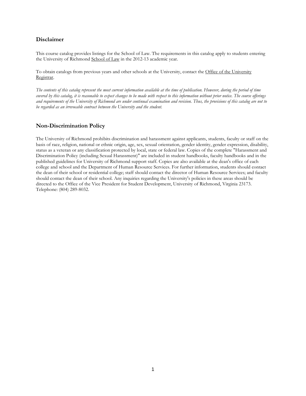## **Disclaimer**

This course catalog provides listings for the School of Law. The requirements in this catalog apply to students entering the University of Richmond [School of Law](http://law.richmond.edu/) in the 2012-13 academic year.

To obtain catalogs from previous years and other schools at the University, contact the [Office of the University](http://registrar.richmond.edu/)  [Registrar.](http://registrar.richmond.edu/)

*The contents of this catalog represent the most current information available at the time of publication. However, during the period of time covered by this catalog, it is reasonable to expect changes to be made with respect to this information without prior notice. The course offerings and requirements of the University of Richmond are under continual examination and revision. Thus, the provisions of this catalog are not to be regarded as an irrevocable contract between the University and the student.*

## **Non-Discrimination Policy**

The University of Richmond prohibits discrimination and harassment against applicants, students, faculty or staff on the basis of race, religion, national or ethnic origin, age, sex, sexual orientation, gender identity, gender expression, disability, status as a veteran or any classification protected by local, state or federal law. Copies of the complete "Harassment and Discrimination Policy (including Sexual Harassment)" are included in student handbooks, faculty handbooks and in the published guidelines for University of Richmond support staff. Copies are also available at the dean's office of each college and school and the Department of Human Resource Services. For further information, students should contact the dean of their school or residential college; staff should contact the director of Human Resource Services; and faculty should contact the dean of their school. Any inquiries regarding the University's policies in these areas should be directed to the Office of the Vice President for Student Development, University of Richmond, Virginia 23173. Telephone: (804) 289-8032.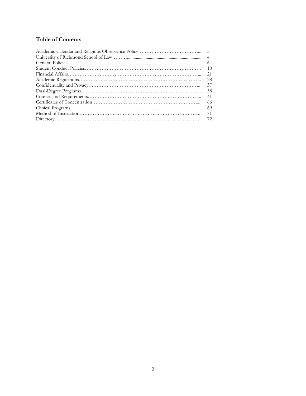# **Table of Contents**

| $\overline{4}$ |
|----------------|
| -6             |
| 10             |
| 21             |
| -28            |
| 37             |
| -38            |
| -41            |
| -66            |
| -69            |
| 71             |
|                |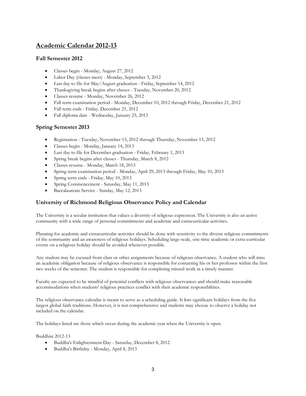# **Academic Calendar 2012-13**

## **Fall Semester 2012**

- Classes begin Monday, August 27, 2012
- Labor Day (classes meet) Monday, September 3, 2012
- Last day to file for May/August graduation Friday, September 14, 2012
- Thanksgiving break begins after classes Tuesday, November 20, 2012
- Classes resume Monday, November 26, 2012
- Fall term examination period Monday, December 10, 2012 through Friday, December 21, 2012
- Fall term ends Friday, December 21, 2012
- Fall diploma date Wednesday, January 23, 2013

## **Spring Semester 2013**

- Registration Tuesday, November 13, 2012 through Thursday, November 15, 2012
- Classes begin Monday, January 14, 2013
- Last day to file for December graduation Friday, February 1, 2013
- Spring break begins after classes Thursday, March 8, 2012
- Classes resume Monday, March 18, 2013
- Spring term examination period Monday, April 29, 2013 through Friday, May 10, 2013
- Spring term ends Friday, May 10, 2013
- Spring Commencement Saturday, May 11, 2013
- Baccalaureate Service Sunday, May 12, 2013

## **University of Richmond Religious Observance Policy and Calendar**

The University is a secular institution that values a diversity of religious expression. The University is also an active community with a wide range of personal commitments and academic and extracurricular activities.

Planning for academic and extracurricular activities should be done with sensitivity to the diverse religious commitments of the community and an awareness of religious holidays. Scheduling large-scale, one-time academic or extra-curricular events on a religious holiday should be avoided whenever possible.

Any student may be excused from class or other assignments because of religious observance. A student who will miss an academic obligation because of religious observance is responsible for contacting his or her professor within the first two weeks of the semester. The student is responsible for completing missed work in a timely manner.

Faculty are expected to be mindful of potential conflicts with religious observances and should make reasonable accommodations when students' religious practices conflict with their academic responsibilities.

The religious observance calendar is meant to serve as a scheduling guide. It lists significant holidays from the five largest global faith traditions. However, it is not comprehensive and students may choose to observe a holiday not included on the calendar.

The holidays listed are those which occur during the academic year when the University is open.

Buddhist 2012-13

- Buddha's Enlightenment Day Saturday, December 8, 2012
- Buddha's Birthday Monday, April 8, 2013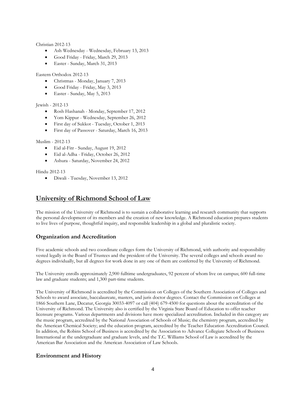Christian 2012-13

- Ash Wednesday Wednesday, February 13, 2013
- Good Friday Friday, March 29, 2013
- Easter Sunday, March 31, 2013

#### Eastern Orthodox 2012-13

- Christmas Monday, January 7, 2013
- Good Friday Friday, May 3, 2013
- Easter Sunday, May 5, 2013

#### Jewish - 2012-13

- Rosh Hashanah Monday, September 17, 2012
- Yom Kippur Wednesday, September 26, 2012
- First day of Sukkot Tuesday, October 1, 2013
- First day of Passover Saturday, March 16, 2013

#### Muslim - 2012-13

- Eid al-Fitr Sunday, August 19, 2012
- Eid al-Adha Friday, October 26, 2012
- Ashura Saturday, November 24, 2012

Hindu 2012-13

• Diwali - Tuesday, November 13, 2012

# **University of Richmond School of Law**

The mission of the University of Richmond is to sustain a collaborative learning and research community that supports the personal development of its members and the creation of new knowledge. A Richmond education prepares students to live lives of purpose, thoughtful inquiry, and responsible leadership in a global and pluralistic society.

## **Organization and Accreditation**

Five academic schools and two coordinate colleges form the University of Richmond, with authority and responsibility vested legally in the Board of Trustees and the president of the University. The several colleges and schools award no degrees individually, but all degrees for work done in any one of them are conferred by the University of Richmond.

The University enrolls approximately 2,900 fulltime undergraduates, 92 percent of whom live on campus; 600 full-time law and graduate students; and 1,300 part-time students.

The University of Richmond is accredited by the Commission on Colleges of the Southern Association of Colleges and Schools to award associate, baccalaureate, masters, and juris doctor degrees. Contact the Commission on Colleges at 1866 Southern Lane, Decatur, Georgia 30033-4097 or call (404) 679-4500 for questions about the accreditation of the University of Richmond. The University also is certified by the Virginia State Board of Education to offer teacher licensure programs. Various departments and divisions have more specialized accreditation. Included in this category are the music program, accredited by the National Association of Schools of Music; the chemistry program, accredited by the American Chemical Society; and the education program, accredited by the Teacher Education Accreditation Council. In addition, the Robins School of Business is accredited by the Association to Advance Collegiate Schools of Business International at the undergraduate and graduate levels, and the T.C. Williams School of Law is accredited by the American Bar Association and the American Association of Law Schools.

## **Environment and History**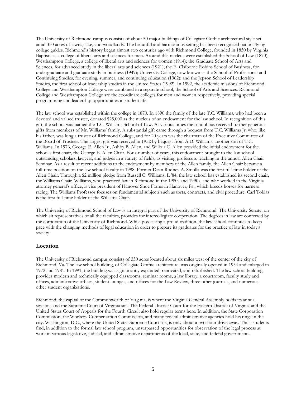The University of Richmond campus consists of about 50 major buildings of Collegiate Gothic architectural style set amid 350 acres of lawns, lake, and woodlands. The beautiful and harmonious setting has been recognized nationally by college guides. Richmond's history began almost two centuries ago with Richmond College, founded in 1830 by Virginia Baptists as a college of liberal arts and sciences for men. Around this nucleus were established the School of Law (1870); Westhampton College, a college of liberal arts and sciences for women (1914); the Graduate School of Arts and Sciences, for advanced study in the liberal arts and sciences (1921); the E. Claiborne Robins School of Business, for undergraduate and graduate study in business (1949); University College, now known as the School of Professional and Continuing Studies, for evening, summer, and continuing education (1962); and the Jepson School of Leadership Studies, the first school of leadership studies in the United States (1992). In 1992, the academic missions of Richmond College and Westhampton College were combined in a separate school, the School of Arts and Sciences. Richmond College and Westhampton College are the coordinate colleges for men and women respectively, providing special programming and leadership opportunities in student life.

The law school was established within the college in 1870. In 1890 the family of the late T.C. Williams, who had been a devoted and valued trustee, donated \$25,000 as the nucleus of an endowment for the law school. In recognition of this gift, the school was named the T.C. Williams School of Law. At various times the school has received further generous gifts from members of Mr. Williams' family. A substantial gift came through a bequest from T.C. Williams Jr. who, like his father, was long a trustee of Richmond College, and for 20 years was the chairman of the Executive Committee of the Board of Trustees. The largest gift was received in 1952 by bequest from A.D. Williams, another son of T.C. Williams. In 1976, George E. Allen Jr., Ashby B. Allen, and Wilbur C. Allen provided the initial endowment for the school's first chair, the George E. Allen Chair. For a number of years, this endowment brought to the law school outstanding scholars, lawyers, and judges in a variety of fields, as visiting professors teaching in the annual Allen Chair Seminar. As a result of recent additions to the endowment by members of the Allen family, the Allen Chair became a full-time position on the law school faculty in 1998. Former Dean Rodney A. Smolla was the first full-time holder of the Allen Chair. Through a \$2 million pledge from Russell C. Williams, L '84, the law school has established its second chair, the Williams Chair. Williams, who practiced law in Richmond in the 1980s and 1990s, and who worked in the Virginia attorney general's office, is vice president of Hanover Shoe Farms in Hanover, Pa., which breeds horses for harness racing. The Williams Professor focuses on fundamental subjects such as torts, contracts, and civil procedure. Carl Tobias is the first full-time holder of the Williams Chair.

The University of Richmond School of Law is an integral part of the University of Richmond. The University Senate, on which sit representatives of all the faculties, provides for intercollegiate cooperation. The degrees in law are conferred by the corporation of the University of Richmond. While possessing a proud tradition, the law school continues to keep pace with the changing methods of legal education in order to prepare its graduates for the practice of law in today's society.

#### **Location**

The University of Richmond campus consists of 350 acres located about six miles west of the center of the city of Richmond, Va. The law school building, of Collegiate Gothic architecture, was originally opened in 1954 and enlarged in 1972 and 1981. In 1991, the building was significantly expanded, renovated, and refurbished. The law school building provides modern and technically equipped classrooms, seminar rooms, a law library, a courtroom, faculty study and offices, administrative offices, student lounges, and offices for the Law Review, three other journals, and numerous other student organizations.

Richmond, the capital of the Commonwealth of Virginia, is where the Virginia General Assembly holds its annual sessions and the Supreme Court of Virginia sits. The Federal District Court for the Eastern District of Virginia and the United States Court of Appeals for the Fourth Circuit also hold regular terms here. In addition, the State Corporation Commission, the Workers' Compensation Commission, and many federal administrative agencies hold hearings in the city. Washington, D.C., where the United States Supreme Court sits, is only about a two-hour drive away. Thus, students find, in addition to the formal law school program, unsurpassed opportunities for observation of the legal process at work in various legislative, judicial, and administrative departments of the local, state, and federal governments.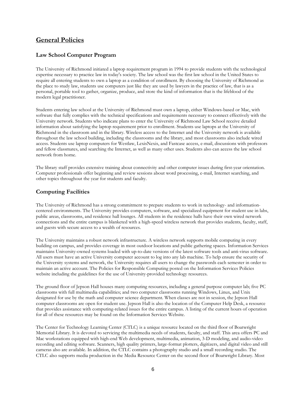# **General Policies**

## **Law School Computer Program**

The University of Richmond initiated a laptop requirement program in 1994 to provide students with the technological expertise necessary to practice law in today's society. The law school was the first law school in the United States to require all entering students to own a laptop as a condition of enrollment. By choosing the University of Richmond as the place to study law, students use computers just like they are used by lawyers in the practice of law, that is as a personal, portable tool to gather, organize, produce, and store the kind of information that is the lifeblood of the modern legal practitioner.

Students entering law school at the University of Richmond must own a laptop, either Windows-based or Mac, with software that fully complies with the technical specifications and requirements necessary to connect effectively with the University network. Students who indicate plans to enter the University of Richmond Law School receive detailed information about satisfying the laptop requirement prior to enrollment. Students use laptops at the University of Richmond in the classroom and in the library. Wireless access to the Internet and the University network is available throughout the law school building, including the classrooms and the library, and most classrooms also include wired access. Students use laptop computers for Westlaw, LexisNexis, and Fastcase access, e-mail, discussions with professors and fellow classmates, and searching the Internet, as well as many other uses. Students also can access the law school network from home.

The library staff provides extensive training about connectivity and other computer issues during first-year orientation. Computer professionals offer beginning and review sessions about word processing, e-mail, Internet searching, and other topics throughout the year for students and faculty.

## **Computing Facilities**

The University of Richmond has a strong commitment to prepare students to work in technology- and informationcentered environments. The University provides computers, software, and specialized equipment for student use in labs, public areas, classrooms, and residence hall lounges. All students in the residence halls have their own wired network connections and the entire campus is blanketed with a high-speed wireless network that provides students, faculty, staff, and guests with secure access to a wealth of resources.

The University maintains a robust network infrastructure. A wireless network supports mobile computing in every building on campus, and provides coverage in most outdoor locations and public gathering spaces. Information Services maintains University-owned systems loaded with up-to-date versions of the latest software tools and anti-virus software. All users must have an active University computer account to log into any lab machine. To help ensure the security of the University systems and network, the University requires all users to change the passwords each semester in order to maintain an active account. The Policies for Responsible Computing posted on the Information Services Policies website including the guidelines for the use of University-provided technology resources.

The ground floor of Jepson Hall houses many computing resources, including a general purpose computer lab; five PC classrooms with full multimedia capabilities; and two computer classrooms running Windows, Linux, and Unix designated for use by the math and computer science department. When classes are not in session, the Jepson Hall computer classrooms are open for student use. Jepson Hall is also the location of the Computer Help Desk, a resource that provides assistance with computing-related issues for the entire campus. A listing of the current hours of operation for all of these resources may be found on the Information Services Website.

The Center for Technology Learning Center (CTLC) is a unique resource located on the third floor of Boatwright Memorial Library. It is devoted to servicing the multimedia needs of students, faculty, and staff. This area offers PC and Mac workstations equipped with high-end Web development, multimedia, animation, 3-D modeling, and audio-video recording and editing software. Scanners, high quality printers, large-format plotters, digitizers, and digital video and still cameras also are available. In addition, the CTLC contains a photography studio and a small recording studio. The CTLC also supports media production in the Media Resource Center on the second floor of Boatwright Library. Most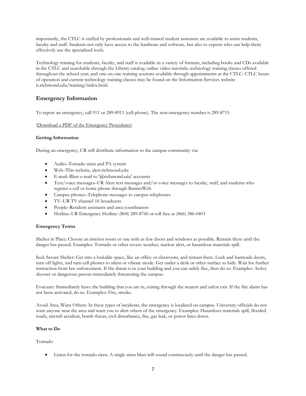importantly, the CTLC is staffed by professionals and well-trained student assistants are available to assist students, faculty and staff. Students not only have access to the hardware and software, but also to experts who can help them effectively use the specialized tools.

Technology training for students, faculty, and staff is available in a variety of formats, including books and CDs available in the CTLC and searchable through the Library catalog; online video tutorials; technology training classes offered throughout the school year; and one-on-one training sessions available through appointments at the CTLC. CTLC hours of operation and current technology training classes may be found on the Information Services website is.richmond.edu/training/index.html.

## **Emergency Information**

To report an emergency, call 911 or 289-8911 (cell phone). The non-emergency number is 289-8715

#### [\(Download a PDF of the Emergency Procedures\)](http://alert.richmond.edu/procedures/UR_Emergency_flyer.pdf)

#### **Getting Information**

During an emergency, UR will distribute information to the campus community via:

- Audio–Tornado siren and PA system
- Web–This website, alert.richmond.edu
- E-mail–Blast e-mail to '@richmond.edu' accounts
- Text/voice messages–UR Alert text messages and/or voice messages to faculty, staff, and students who register a cell or home phone through BannerWeb
- Campus phones–Telephone messages to campus telephones
- TV–UR TV channel 16 broadcasts
- People–Resident assistants and area coordinators
- Hotline–UR Emergency Hotline: (804) 289-8760 or toll free at (866) 386-0403

#### **Emergency Terms**

Shelter in Place: Choose an interior room or one with as few doors and windows as possible. Remain there until the danger has passed. Examples: Tornado or other severe weather, nuclear alert, or hazardous materials spill.

Seek Secure Shelter: Get into a lockable space, like an office or classroom, and remain there. Lock and barricade doors, turn off lights, and turn cell phones to silent or vibrate mode. Get under a desk or other surface to hide. Wait for further instruction from law enforcement. If the threat is in your building and you can safely flee, then do so. Examples: Active shooter or dangerous person immediately threatening the campus.

Evacuate: Immediately leave the building that you are in, exiting through the nearest and safest exit. If the fire alarm has not been activated, do so. Examples: Fire, smoke.

Avoid Area, Warn Others: In these types of incidents, the emergency is localized on campus. University officials do not want anyone near the area and want you to alert others of the emergency. Examples: Hazardous materials spill, flooded roads, aircraft accident, bomb threat, civil disturbance, fire, gas leak, or power lines down.

#### **What to Do**

Tornado

• Listen for the tornado siren. A single siren blast will sound continuously until the danger has passed.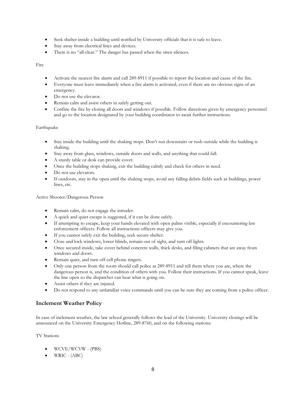- Seek shelter inside a building until notified by University officials that it is safe to leave.
- Stay away from electrical lines and devices.
- There is no "all-clear." The danger has passed when the siren silences.

#### Fire

- Activate the nearest fire alarm and call 289-8911 if possible to report the location and cause of the fire.
- Everyone must leave immediately when a fire alarm is activated, even if there are no obvious signs of an emergency.
- Do not use the elevator.
- Remain calm and assist others in safely getting out.
- Confine the fire by closing all doors and windows if possible. Follow directions given by emergency personnel and go to the location designated by your building coordinator to await further instructions.

#### Earthquake

- Stay inside the building until the shaking stops. Don't run downstairs or rush outside while the building is shaking.
- Stay away from glass, windows, outside doors and walls, and anything that could fall.
- A sturdy table or desk can provide cover.
- Once the building stops shaking, exit the building calmly and check for others in need.
- Do not use elevators.
- If outdoors, stay in the open until the shaking stops, avoid any falling debris fields such as buildings, power lines, etc.

Active Shooter/Dangerous Person

- Remain calm, do not engage the intruder.
- A quick and quiet escape is suggested, if it can be done safely.
- If attempting to escape, keep your hands elevated with open palms visible, especially if encountering law enforcement officers. Follow all instructions officers may give you.
- If you cannot safely exit the building, seek secure shelter.
- Close and lock windows, lower blinds, remain out of sight, and turn off lights.
- Once secured inside, take cover behind concrete walls, thick desks, and filing cabinets that are away from windows and doors.
- Remain quiet, and turn off cell phone ringers.
- Only one person from the room should call police at 289-8911 and tell them where you are, where the dangerous person is, and the condition of others with you. Follow their instructions. If you cannot speak, leave the line open so the dispatcher can hear what is going on.
- Assist others if they are injured.
- Do not respond to any unfamiliar voice commands until you can be sure they are coming from a police officer.

## **Inclement Weather Policy**

In case of inclement weather, the law school generally follows the lead of the University. University closings will be announced on the University Emergency Hotline, 289-8760, and on the following stations:

TV Stations

- WCVE/WCVW (PBS)
- WRIC (ABC)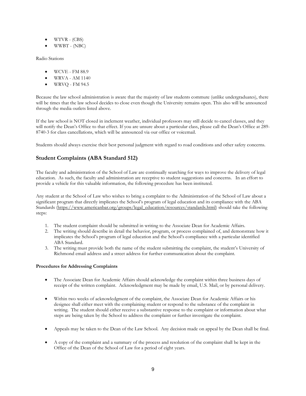- WTVR (CBS)
- WWBT (NBC)

Radio Stations

- WCVE FM 88.9
- WRVA AM 1140
- WRVQ FM 94.5

Because the law school administration is aware that the majority of law students commute (unlike undergraduates), there will be times that the law school decides to close even though the University remains open. This also will be announced through the media outlets listed above.

If the law school is NOT closed in inclement weather, individual professors may still decide to cancel classes, and they will notify the Dean's Office to that effect. If you are unsure about a particular class, please call the Dean's Office at 289- 8740-3 for class cancellations, which will be announced via our office or voicemail.

Students should always exercise their best personal judgment with regard to road conditions and other safety concerns.

## **Student Complaints (ABA Standard 512)**

The faculty and administration of the School of Law are continually searching for ways to improve the delivery of legal education. As such, the faculty and administration are receptive to student suggestions and concerns. In an effort to provide a vehicle for this valuable information, the following procedure has been instituted.

Any student at the School of Law who wishes to bring a complaint to the Administration of the School of Law about a significant program that directly implicates the School's program of legal education and its compliance with the ABA Standards [\(https://www.americanbar.org/groups/legal\\_education/resources/standards.html\)](https://www.americanbar.org/groups/legal_education/resources/standards.html) should take the following steps:

- 1. The student complaint should be submitted in writing to the Associate Dean for Academic Affairs.
- 2. The writing should describe in detail the behavior, program, or process complained of, and demonstrate how it implicates the School's program of legal education and the School's compliance with a particular identified ABA Standard.
- 3. The writing must provide both the name of the student submitting the complaint, the student's University of Richmond email address and a street address for further communication about the complaint.

#### **Procedures for Addressing Complaints**

- The Associate Dean for Academic Affairs should acknowledge the complaint within three business days of receipt of the written complaint. Acknowledgment may be made by email, U.S. Mail, or by personal delivery.
- Within two weeks of acknowledgment of the complaint, the Associate Dean for Academic Affairs or his designee shall either meet with the complaining student or respond to the substance of the complaint in writing. The student should either receive a substantive response to the complaint or information about what steps are being taken by the School to address the complaint or further investigate the complaint.
- Appeals may be taken to the Dean of the Law School. Any decision made on appeal by the Dean shall be final.
- A copy of the complaint and a summary of the process and resolution of the complaint shall be kept in the Office of the Dean of the School of Law for a period of eight years.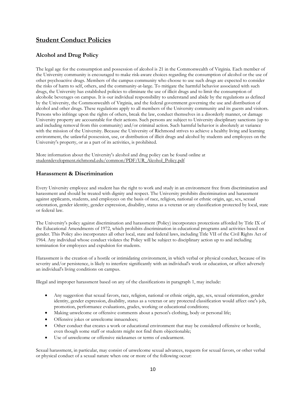# **Student Conduct Policies**

# **Alcohol and Drug Policy**

The legal age for the consumption and possession of alcohol is 21 in the Commonwealth of Virginia. Each member of the University community is encouraged to make risk-aware choices regarding the consumption of alcohol or the use of other psychoactive drugs. Members of the campus community who choose to use such drugs are expected to consider the risks of harm to self, others, and the community-at-large. To mitigate the harmful behavior associated with such drugs, the University has established policies to eliminate the use of illicit drugs and to limit the consumption of alcoholic beverages on campus. It is our individual responsibility to understand and abide by the regulations as defined by the University, the Commonwealth of Virginia, and the federal government governing the use and distribution of alcohol and other drugs. These regulations apply to all members of the University community and its guests and visitors. Persons who infringe upon the rights of others, break the law, conduct themselves in a disorderly manner, or damage University property are accountable for their actions. Such persons are subject to University disciplinary sanctions (up to and including removal from this community) and/or criminal action. Such harmful behavior is absolutely at variance with the mission of the University. Because the University of Richmond strives to achieve a healthy living and learning environment, the unlawful possession, use, or distribution of illicit drugs and alcohol by students and employees on the University's property, or as a part of its activities, is prohibited.

More information about the University's alcohol and drug policy can be found online at [studentdevelopment.richmond.edu/common/PDF/UR\\_Alcohol\\_Policy.pdf](http://studentdevelopment.richmond.edu/common/PDF/UR_Alcohol_Policy.pdf)

## **Harassment & Discrimination**

Every University employee and student has the right to work and study in an environment free from discrimination and harassment and should be treated with dignity and respect. The University prohibits discrimination and harassment against applicants, students, and employees on the basis of race, religion, national or ethnic origin, age, sex, sexual orientation, gender identity, gender expression, disability, status as a veteran or any classification protected by local, state or federal law.

The University's policy against discrimination and harassment (Policy) incorporates protections afforded by Title IX of the Educational Amendments of 1972, which prohibits discrimination in educational programs and activities based on gender. This Policy also incorporates all other local, state and federal laws, including Title VII of the Civil Rights Act of 1964. Any individual whose conduct violates the Policy will be subject to disciplinary action up to and including termination for employees and expulsion for students.

Harassment is the creation of a hostile or intimidating environment, in which verbal or physical conduct, because of its severity and/or persistence, is likely to interfere significantly with an individual's work or education, or affect adversely an individual's living conditions on campus.

Illegal and improper harassment based on any of the classifications in paragraph 1, may include:

- Any suggestion that sexual favors, race, religion, national or ethnic origin, age, sex, sexual orientation, gender identity, gender expression, disability, status as a veteran or any protected classification would affect one's job, promotion, performance evaluations, grades, working or educational conditions;
- Making unwelcome or offensive comments about a person's clothing, body or personal life;
- Offensive jokes or unwelcome innuendoes;
- Other conduct that creates a work or educational environment that may be considered offensive or hostile, even though some staff or students might not find them objectionable;
- Use of unwelcome or offensive nicknames or terms of endearment.

Sexual harassment, in particular, may consist of unwelcome sexual advances, requests for sexual favors, or other verbal or physical conduct of a sexual nature when one or more of the following occur: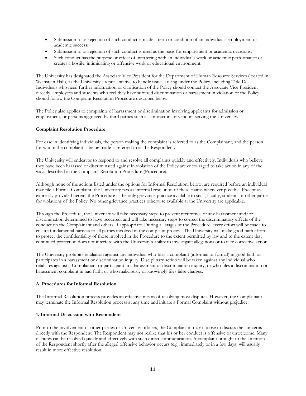- Submission to or rejection of such conduct is made a term or condition of an individual's employment or academic success;
- Submission to or rejection of such conduct is used as the basis for employment or academic decisions;
- Such conduct has the purpose or effect of interfering with an individual's work or academic performance or creates a hostile, intimidating or offensive work or educational environment.

The University has designated the Associate Vice President for the Department of Human Resource Services (located in Weinstein Hall), as the University's representative to handle issues arising under the Policy, including Title IX. Individuals who need further information or clarification of the Policy should contact the Associate Vice President directly. employees and students who feel they have suffered discrimination or harassment in violation of the Policy should follow the Complaint Resolution Procedure described below.

The Policy also applies to complaints of harassment or discrimination involving applicants for admission or employment, or persons aggrieved by third parties such as contractors or vendors serving the University.

#### **Complaint Resolution Procedure**

For ease in identifying individuals, the person making the complaint is referred to as the Complainant, and the person for whom the complaint is being made is referred to as the Respondent.

The University will endeavor to respond to and resolve all complaints quickly and effectively. Individuals who believe they have been harassed or discriminated against in violation of the Policy are encouraged to take action in any of the ways described in the Complaint Resolution Procedure (Procedure).

Although none of the actions listed under the options for Informal Resolution, below, are required before an individual may file a Formal Complaint, the University favors informal resolution of these claims whenever possible. Except as expressly provided herein, the Procedure is the only grievance practice available to staff, faculty, students or other parties for violations of the Policy. No other grievance practices otherwise available at the University are applicable.

Through the Procedure, the University will take necessary steps to prevent recurrence of any harassment and/or discrimination determined to have occurred, and will take necessary steps to correct the discriminatory effects of the conduct on the Complainant and others, if appropriate. During all stages of the Procedure, every effort will be made to ensure fundamental fairness to all parties involved in the complaint process. The University will make good faith efforts to protect the confidentiality of those involved in the Procedure to the extent permitted by law and to the extent that continued protection does not interfere with the University's ability to investigate allegations or to take corrective action.

The University prohibits retaliation against any individual who files a complaint (informal or formal) in good faith or participates in a harassment or discrimination inquiry. Disciplinary action will be taken against any individual who retaliates against a Complainant or participant in a harassment or discrimination inquiry, or who files a discrimination or harassment complaint in bad faith, or who maliciously or knowingly files false charges.

#### **A. Procedures for Informal Resolution**

The Informal Resolution process provides an effective means of resolving most disputes. However, the Complainant may terminate the Informal Resolution process at any time and initiate a Formal Complaint without prejudice.

#### **1. Informal Discussion with Respondent**

Prior to the involvement of other parties or University officers, the Complainant may choose to discuss the concerns directly with the Respondent. The Respondent may not realize that his or her conduct is offensive or unwelcome. Many disputes can be resolved quickly and effectively with such direct communication. A complaint brought to the attention of the Respondent shortly after the alleged offensive behavior occurs (e.g.: immediately or in a few days) will usually result in more effective resolution.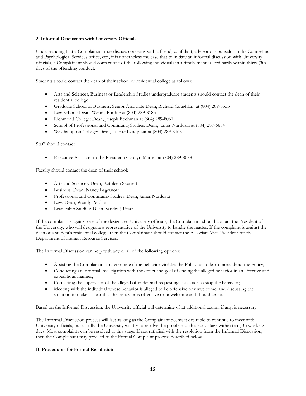#### **2. Informal Discussion with University Officials**

Understanding that a Complainant may discuss concerns with a friend, confidant, advisor or counselor in the Counseling and Psychological Services office, etc., it is nonetheless the case that to initiate an informal discussion with University officials, a Complainant should contact one of the following individuals in a timely manner, ordinarily within thirty (30) days of the offending conduct:

Students should contact the dean of their school or residential college as follows:

- Arts and Sciences, Business or Leadership Studies undergraduate students should contact the dean of their residential college
- Graduate School of Business: Senior Associate Dean, Richard Coughlan at (804) 289-8553
- Law School: Dean, Wendy Purdue at (804) 289-8183
- Richmond College: Dean, Joseph Boehman at (804) 289-8061
- School of Professional and Continuing Studies: Dean, James Narduzzi at (804) 287-6684
- Westhampton College: Dean, Juliette Landphair at (804) 289-8468

#### Staff should contact:

• Executive Assistant to the President: Carolyn Martin at (804) 289-8088

Faculty should contact the dean of their school:

- Arts and Sciences: Dean, Kathleen Skerrett
- Business: Dean, Nancy Bagranoff
- Professional and Continuing Studies: Dean, James Narduzzi
- Law: Dean, Wendy Perdue
- Leadership Studies: Dean, Sandra J Peart

If the complaint is against one of the designated University officials, the Complainant should contact the President of the University, who will designate a representative of the University to handle the matter. If the complaint is against the dean of a student's residential college, then the Complainant should contact the Associate Vice President for the Department of Human Resource Services.

The Informal Discussion can help with any or all of the following options:

- Assisting the Complainant to determine if the behavior violates the Policy, or to learn more about the Policy;
- Conducting an informal investigation with the effect and goal of ending the alleged behavior in an effective and expeditious manner;
- Contacting the supervisor of the alleged offender and requesting assistance to stop the behavior;
- Meeting with the individual whose behavior is alleged to be offensive or unwelcome, and discussing the situation to make it clear that the behavior is offensive or unwelcome and should cease.

Based on the Informal Discussion, the University official will determine what additional action, if any, is necessary.

The Informal Discussion process will last as long as the Complainant deems it desirable to continue to meet with University officials, but usually the University will try to resolve the problem at this early stage within ten (10) working days. Most complaints can be resolved at this stage. If not satisfied with the resolution from the Informal Discussion, then the Complainant may proceed to the Formal Complaint process described below.

#### **B. Procedures for Formal Resolution**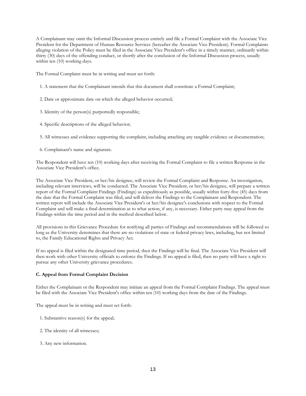A Complainant may omit the Informal Discussion process entirely and file a Formal Complaint with the Associate Vice President for the Department of Human Resource Services (hereafter the Associate Vice President). Formal Complaints alleging violation of the Policy must be filed in the Associate Vice President's office in a timely manner, ordinarily within thirty (30) days of the offending conduct, or shortly after the conclusion of the Informal Discussion process, usually within ten (10) working days.

The Formal Complaint must be in writing and must set forth:

- 1. A statement that the Complainant intends that this document shall constitute a Formal Complaint;
- 2. Date or approximate date on which the alleged behavior occurred;
- 3. Identity of the person(s) purportedly responsible;
- 4. Specific descriptions of the alleged behavior;
- 5. All witnesses and evidence supporting the complaint, including attaching any tangible evidence or documentation;
- 6. Complainant's name and signature.

The Respondent will have ten (10) working days after receiving the Formal Complaint to file a written Response in the Associate Vice President's office.

The Associate Vice President, or her/his designee, will review the Formal Complaint and Response. An investigation, including relevant interviews, will be conducted. The Associate Vice President, or her/his designee, will prepare a written report of the Formal Complaint Findings (Findings) as expeditiously as possible, usually within forty-five (45) days from the date that the Formal Complaint was filed, and will deliver the Findings to the Complainant and Respondent. The written report will include the Associate Vice President's or her/his designee's conclusions with respect to the Formal Complaint and will make a final determination as to what action, if any, is necessary. Either party may appeal from the Findings within the time period and in the method described below.

All provisions in this Grievance Procedure for notifying all parties of Findings and recommendations will be followed so long as the University determines that there are no violations of state or federal privacy laws, including, but not limited to, the Family Educational Rights and Privacy Act.

If no appeal is filed within the designated time period, then the Findings will be final. The Associate Vice President will then work with other University officials to enforce the Findings. If no appeal is filed, then no party will have a right to pursue any other University grievance procedures.

#### **C. Appeal from Formal Complaint Decision**

Either the Complainant or the Respondent may initiate an appeal from the Formal Complaint Findings. The appeal must be filed with the Associate Vice President's office within ten (10) working days from the date of the Findings.

The appeal must be in writing and must set forth:

- 1. Substantive reason(s) for the appeal;
- 2. The identity of all witnesses;
- 3. Any new information.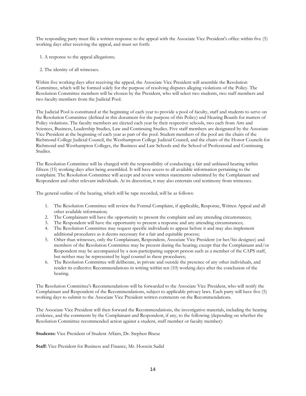The responding party must file a written response to the appeal with the Associate Vice President's office within five (5) working days after receiving the appeal, and must set forth:

- 1. A response to the appeal allegations;
- 2. The identity of all witnesses.

Within five working days after receiving the appeal, the Associate Vice President will assemble the Resolution Committee, which will be formed solely for the purpose of resolving disputes alleging violations of the Policy. The Resolution Committee members will be chosen by the President, who will select two students, two staff members and two faculty members from the Judicial Pool.

The Judicial Pool is constituted at the beginning of each year to provide a pool of faculty, staff and students to serve on the Resolution Committee (defined in this document for the purpose of this Policy) and Hearing Boards for matters of Policy violations. The faculty members are elected each year by their respective schools, two each from Arts and Sciences, Business, Leadership Studies, Law and Continuing Studies. Five staff members are designated by the Associate Vice President at the beginning of each year as part of the pool. Student members of the pool are the chairs of the Richmond College Judicial Council, the Westhampton College Judicial Council, and the chairs of the Honor Councils for Richmond and Westhampton Colleges, the Business and Law Schools and the School of Professional and Continuing Studies.

The Resolution Committee will be charged with the responsibility of conducting a fair and unbiased hearing within fifteen (15) working days after being assembled. It will have access to all available information pertaining to the complaint. The Resolution Committee will accept and review written statements submitted by the Complainant and Respondent and other relevant individuals. At its discretion, it may also entertain oral testimony from witnesses.

The general outline of the hearing, which will be tape recorded, will be as follows:

- 1. The Resolution Committee will review the Formal Complaint, if applicable, Response, Written Appeal and all other available information;
- 2. The Complainant will have the opportunity to present the complaint and any attending circumstances;
- 3. The Respondent will have the opportunity to present a response and any attending circumstances;
- 4. The Resolution Committee may request specific individuals to appear before it and may also implement additional procedures as it deems necessary for a fair and equitable process;
- 5. Other than witnesses, only the Complainant, Respondent, Associate Vice President (or her/his designee) and members of the Resolution Committee may be present during the hearing; except that the Complainant and/or Respondent may be accompanied by a non-participating support person such as a member of the CAPS staff, but neither may be represented by legal counsel in these procedures;
- 6. The Resolution Committee will deliberate, in private and outside the presence of any other individuals, and render its collective Recommendations in writing within ten (10) working days after the conclusion of the hearing.

The Resolution Committee's Recommendations will be forwarded to the Associate Vice President, who will notify the Complainant and Respondent of the Recommendations, subject to applicable privacy laws. Each party will have five (5) working days to submit to the Associate Vice President written comments on the Recommendations.

The Associate Vice President will then forward the Recommendations, the investigative materials, including the hearing evidence, and the comments by the Complainant and Respondent, if any, to the following (depending on whether the Resolution Committee recommended action against a student, staff member or faculty member):

**Students:** Vice President of Student Affairs, Dr. Stephen Bisese

**Staff:** Vice President for Business and Finance, Mr. Hossein Sadid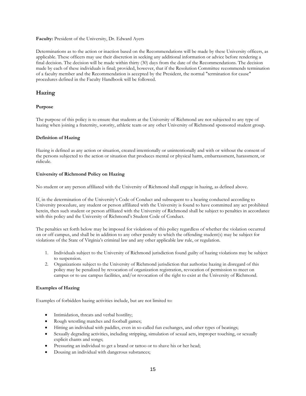#### **Faculty:** President of the University, Dr. Edward Ayers

Determinations as to the action or inaction based on the Recommendations will be made by these University officers, as applicable. These officers may use their discretion in seeking any additional information or advice before rendering a final decision. The decision will be made within thirty (30) days from the date of the Recommendations. The decision made by each of these individuals is final; provided, however, that if the Resolution Committee recommends termination of a faculty member and the Recommendation is accepted by the President, the normal "termination for cause" procedures defined in the Faculty Handbook will be followed.

## **Hazing**

#### **Purpose**

The purpose of this policy is to ensure that students at the University of Richmond are not subjected to any type of hazing when joining a fraternity, sorority, athletic team or any other University of Richmond sponsored student group.

#### **Definition of Hazing**

Hazing is defined as any action or situation, created intentionally or unintentionally and with or without the consent of the persons subjected to the action or situation that produces mental or physical harm, embarrassment, harassment, or ridicule.

#### **University of Richmond Policy on Hazing**

No student or any person affiliated with the University of Richmond shall engage in hazing, as defined above.

If, in the determination of the University's Code of Conduct and subsequent to a hearing conducted according to University procedure, any student or person affiliated with the University is found to have committed any act prohibited herein, then such student or person affiliated with the University of Richmond shall be subject to penalties in accordance with this policy and the University of Richmond's Student Code of Conduct.

The penalties set forth below may be imposed for violations of this policy regardless of whether the violation occurred on or off campus, and shall be in addition to any other penalty to which the offending student(s) may be subject for violations of the State of Virginia's criminal law and any other applicable law rule, or regulation.

- 1. Individuals subject to the University of Richmond jurisdiction found guilty of hazing violations may be subject to suspension.
- 2. Organizations subject to the University of Richmond jurisdiction that authorize hazing in disregard of this policy may be penalized by revocation of organization registration, revocation of permission to meet on campus or to use campus facilities, and/or revocation of the right to exist at the University of Richmond.

#### **Examples of Hazing**

Examples of forbidden hazing activities include, but are not limited to:

- Intimidation, threats and verbal hostility;
- Rough wrestling matches and football games;
- Hitting an individual with paddles, even in so-called fun exchanges, and other types of beatings;
- Sexually degrading activities, including stripping, simulation of sexual acts, improper touching, or sexually explicit chants and songs;
- Pressuring an individual to get a brand or tattoo or to shave his or her head;
- Dousing an individual with dangerous substances;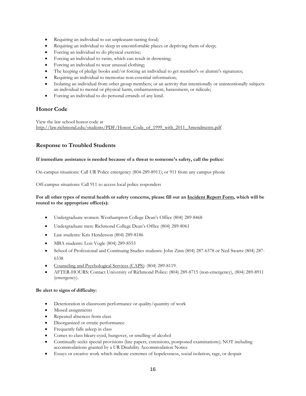- Requiring an individual to eat unpleasant-tasting food;
- Requiring an individual to sleep in uncomfortable places or depriving them of sleep;
- Forcing an individual to do physical exercise;
- Forcing an individual to swim, which can result in drowning;
- Forcing an individual to wear unusual clothing;
- The keeping of pledge books and/or forcing an individual to get member's or alumni's signatures;
- Requiring an individual to memorize non-essential information;
- Isolating an individual from other group members; or an activity that intentionally or unintentionally subjects an individual to mental or physical harm, embarrassment, harassment, or ridicule;
- Forcing an individual to do personal errands of any kind.

## **Honor Code**

View the law school honor code at [http://law.richmond.edu/students/PDF/Honor\\_Code\\_of\\_1999\\_with\\_2011\\_Amendments.pdf](http://law.richmond.edu/students/PDF/Honor_Code_of_1999_with_2011_Amendments.pdf)

## **Response to Troubled Students**

#### **If immediate assistance is needed because of a threat to someone's safety, call the police:**

On-campus situations: Call UR Police emergency (804-289-8911); or 911 from any campus phone

Off-campus situations: Call 911 to access local police responders

#### **For all other types of mental health or safety concerns, please fill out an [Incident Report Form,](http://incidentreport.richmond.edu/) which will be routed to the appropriate office(s):**

- Undergraduate women: Westhampton College Dean's Office (804) 289-8468
- Undergraduate men: Richmond College Dean's Office (804) 289-8061
- Law students: Kris Henderson (804) 289-8186
- MBA students: Lois Vogle (804) 289-8553
- School of Professional and Continuing Studies students: John Zinn (804) 287-6378 or Ned Swartz (804) 287- 6338
- [Counseling and Psychological Services \(CAPS\):](http://caps.richmond.edu/) (804) 289-8119.
- AFTER-HOURS: Contact University of Richmond Police: (804) 289-8715 (non-emergency), (804) 289-8911 (emergency).

#### **Be alert to signs of difficulty:**

- Deterioration in classroom performance or quality/quantity of work
- Missed assignments
- Repeated absences from class
- Disorganized or erratic performance
- Frequently falls asleep in class
- Comes to class bleary-eyed, hungover, or smelling of alcohol
- Continually seeks special provisions (late papers, extensions, postponed examinations); NOT including accommodations granted by a UR Disability Accommodation Notice
- Essays or creative work which indicate extremes of hopelessness, social isolation, rage, or despair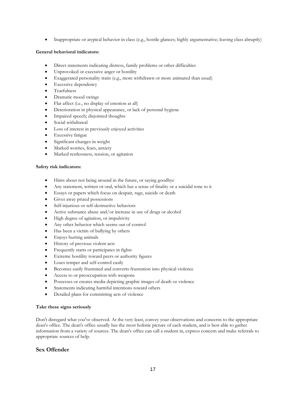• Inappropriate or atypical behavior in class (e.g., hostile glances; highly argumentative; leaving class abruptly)

#### **General behavioral indicators:**

- Direct statements indicating distress, family problems or other difficulties
- Unprovoked or excessive anger or hostility
- Exaggerated personality traits (e.g., more withdrawn or more animated than usual)
- Excessive dependency
- Tearfulness
- Dramatic mood swings
- Flat affect (i.e., no display of emotion at all)
- Deterioration in physical appearance, or lack of personal hygiene
- Impaired speech; disjointed thoughts
- Social withdrawal
- Loss of interest in previously enjoyed activities
- Excessive fatigue
- Significant changes in weight
- Marked worries, fears, anxiety
- Marked restlessness, tension, or agitation

#### **Safety risk indicators:**

- Hints about not being around in the future, or saying goodbye
- Any statement, written or oral, which has a sense of finality or a suicidal tone to it
- Essays or papers which focus on despair, rage, suicide or death
- Gives away prized possessions
- Self-injurious or self-destructive behaviors
- Active substance abuse and/or increase in use of drugs or alcohol
- High degree of agitation, or impulsivity
- Any other behavior which seems out of control
- Has been a victim of bullying by others
- Enjoys hurting animals
- History of previous violent acts
- Frequently starts or participates in fights
- Extreme hostility toward peers or authority figures
- Loses temper and self-control easily
- Becomes easily frustrated and converts frustration into physical violence
- Access to or preoccupation with weapons
- Possesses or creates media depicting graphic images of death or violence
- Statements indicating harmful intentions toward others
- Detailed plans for committing acts of violence

#### **Take these signs seriously**

Don't disregard what you've observed. At the very least, convey your observations and concerns to the appropriate dean's office. The dean's office usually has the most holistic picture of each student, and is best able to gather information from a variety of sources. The dean's office can call a student in, express concern and make referrals to appropriate sources of help.

## **Sex Offender**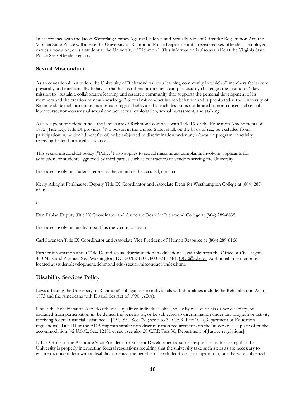In accordance with the Jacob Wetterling Crimes Against Children and Sexually Violent Offender Registration Act, the Virginia State Police will advise the University of Richmond Police Department if a registered sex offender is employed, carries a vocation, or is a student at the University of Richmond. This information is also available at the Virginia State Police Sex Offender registry.

## **Sexual Misconduct**

As an educational institution, the University of Richmond values a learning community in which all members feel secure, physically and intellectually. Behavior that harms others or threatens campus security challenges the institution's key mission to "sustain a collaborative learning and research community that supports the personal development of its members and the creation of new knowledge." Sexual misconduct is such behavior and is prohibited at the University of Richmond. Sexual misconduct is a broad range of behavior that includes but is not limited to non-consensual sexual intercourse, non-consensual sexual contact, sexual exploitation, sexual harassment, and stalking.

As a recipient of federal funds, the University of Richmond complies with Title IX of the Education Amendments of 1972 (Title IX). Title IX provides: "No person in the United States shall, on the basis of sex, be excluded from participation in, be denied benefits of, or be subjected to discrimination under any education program or activity receiving Federal financial assistance."

This sexual misconduct policy ("Policy") also applies to sexual misconduct complaints involving applicants for admission, or students aggrieved by third parties such as contractors or vendors serving the University.

For cases involving students, either as the victim or the accused, contact:

[Kerry Albright Fankhauser](mailto:kfankhau@richmond.edu) Deputy Title IX Coordinator and Associate Dean for Westhampton College at (804) 287- 6646

or

[Dan Fabian](mailto:dfabian@richmond.edu) Deputy Title IX Coordinator and Associate Dean for Richmond College at (804) 289-8835.

For cases involving faculty or staff as the victim, contact:

[Carl Sorensen](mailto:csorense@richmond.edu) Title IX Coordinator and Associate Vice President of Human Resource at (804) 289-8166.

Further information about Title IX and sexual discrimination in education is available from the Office of Civil Rights, 400 Maryland Avenue, SW, Washington, DC, 20202-1100; 800-421-3481; [OCR@ed.gov.](mailto:OCR@ed.gov) Additional information is located a[t studentdevelopment.richmond.edu/sexual-misconduct/index.html.](http://studentdevelopment.richmond.edu/sexual-misconduct/index.html)

## **Disability Services Policy**

Laws affecting the University of Richmond's obligations to individuals with disabilities include the Rehabilitation Act of 1973 and the Americans with Disabilities Act of 1990 (ADA).

Under the Rehabilitation Act: No otherwise qualified individual...shall, solely by reason of his or her disability, be excluded from participation in, be denied the benefits of, or be subjected to discrimination under any program or activity receiving federal financial assistance.... [29 U.S.C. Sec. 794; see also 34 C.F.R. Part 104 (Department of Education regulations). Title III of the ADA imposes similar non-discrimination requirements on the university as a place of public accommodation [42 U.S.C., Sec. 12181 et seq.; see also 28 C.F.R Part 36, Department of Justice regulations].

I. The Office of the Associate Vice President for Student Development assumes responsibility for seeing that the University is properly interpreting federal regulations requiring that the university take such steps as are necessary to ensure that no student with a disability is denied the benefits of, excluded from participation in, or otherwise subjected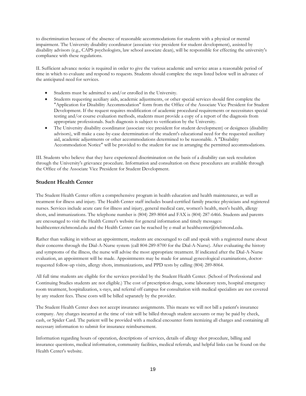to discrimination because of the absence of reasonable accommodations for students with a physical or mental impairment. The University disability coordinator (associate vice president for student development), assisted by disability advisors (e.g., CAPS psychologists, law school associate dean), will be responsible for effecting the university's compliance with these regulations.

II. Sufficient advance notice is required in order to give the various academic and service areas a reasonable period of time in which to evaluate and respond to requests. Students should complete the steps listed below well in advance of the anticipated need for services.

- Students must be admitted to and/or enrolled in the University.
- Students requesting auxiliary aids, academic adjustments, or other special services should first complete the "Application for Disability Accommodation" form from the Office of the Associate Vice President for Student Development. If the request requires modification of academic procedural requirements or necessitates special testing and/or course evaluation methods, students must provide a copy of a report of the diagnosis from appropriate professionals. Such diagnosis is subject to verification by the University.
- The University disability coordinator (associate vice president for student development) or designees (disability advisors), will make a case-by-case determination of the student's educational need for the requested auxiliary aid, academic adjustments or other accommodations determined to be reasonable. A "Disability Accommodation Notice" will be provided to the student for use in arranging the permitted accommodations.

III. Students who believe that they have experienced discrimination on the basis of a disability can seek resolution through the University's grievance procedure. Information and consultation on these procedures are available through the Office of the Associate Vice President for Student Development.

## **Student Health Center**

The Student Health Center offers a comprehensive program in health education and health maintenance, as well as treatment for illness and injury. The Health Center staff includes board-certified family practice physicians and registered nurses. Services include acute care for illness and injury, general medical care, women's health, men's health, allergy shots, and immunizations. The telephone number is (804) 289-8064 and FAX is (804) 287-6466. Students and parents are encouraged to visit the Health Center's website for general information and timely messages: healthcenter.richmond.edu and the Health Center can be reached by e-mail at healthcenter@richmond.edu.

Rather than walking in without an appointment, students are encouraged to call and speak with a registered nurse about their concerns through the Dial-A-Nurse system (call 804-289-8700 for the Dial-A-Nurse). After evaluating the history and symptoms of the illness, the nurse will advise the most appropriate treatment. If indicated after the Dial-A-Nurse evaluation, an appointment will be made. Appointments may be made for annual gynecological examinations, doctorrequested follow-up visits, allergy shots, immunizations, and PPD tests by calling (804) 289-8064.

All full time students are eligible for the services provided by the Student Health Center. (School of Professional and Continuing Studies students are not eligible.) The cost of prescription drugs, some laboratory tests, hospital emergency room treatment, hospitalization, x-rays, and referral off campus for consultation with medical specialists are not covered by any student fees. These costs will be billed separately by the provider.

The Student Health Center does not accept insurance assignments. This means we will not bill a patient's insurance company. Any charges incurred at the time of visit will be billed through student accounts or may be paid by check, cash, or Spider Card. The patient will be provided with a medical encounter form itemizing all charges and containing all necessary information to submit for insurance reimbursement.

Information regarding hours of operation, descriptions of services, details of allergy shot procedure, billing and insurance questions, medical information, community facilities, medical referrals, and helpful links can be found on the Health Center's website.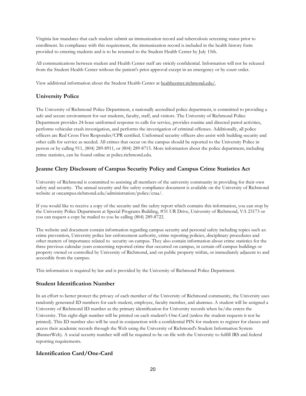Virginia law mandates that each student submit an immunization record and tuberculosis screening status prior to enrollment. In compliance with this requirement, the immunization record is included in the health history form provided to entering students and is to be returned to the Student Health Center by July 15th.

All communications between student and Health Center staff are strictly confidential. Information will not be released from the Student Health Center without the patient's prior approval except in an emergency or by court order.

View additional information about the Student Health Center at [healthcenter.richmond.edu/.](http://healthcenter.richmond.edu/) 

# **University Police**

The University of Richmond Police Department, a nationally accredited police department, is committed to providing a safe and secure environment for our students, faculty, staff, and visitors. The University of Richmond Police Department provides 24-hour uniformed response to calls for service, provides routine and directed patrol activities, performs vehicular crash investigation, and performs the investigation of criminal offenses. Additionally, all police officers are Red Cross First Responder/CPR certified. Uniformed security officers also assist with building security and other calls for service as needed. All crimes that occur on the campus should be reported to the University Police in person or by calling 911, (804) 289-8911, or (804) 289-8715. More information about the police department, including crime statistics, can be found online at police.richmond.edu.

# **Jeanne Clery Disclosure of Campus Security Policy and Campus Crime Statistics Act**

University of Richmond is committed to assisting all members of the university community in providing for their own safety and security. The annual security and fire safety compliance document is available on the University of Richmond website at oncampus.richmond.edu/administration/police/craa/.

If you would like to receive a copy of the security and fire safety report which contains this information, you can stop by the University Police Department at Special Programs Building, #31 UR Drive, University of Richmond, VA 23173 or you can request a copy be mailed to you be calling (804) 289-8722.

The website and document contain information regarding campus security and personal safety including topics such as: crime prevention, University police law enforcement authority, crime reporting policies, disciplinary procedures and other matters of importance related to security on campus. They also contain information about crime statistics for the three previous calendar years concerning reported crime that occurred on campus, in certain off-campus buildings or property owned or controlled by University of Richmond, and on public property within, or immediately adjacent to and accessible from the campus.

This information is required by law and is provided by the University of Richmond Police Department.

## **Student Identification Number**

In an effort to better protect the privacy of each member of the University of Richmond community, the University uses randomly generated ID numbers for each student, employee, faculty member, and alumnus. A student will be assigned a University of Richmond ID number as the primary identification for University records when he/she enters the University. This eight-digit number will be printed on each student's One-Card (unless the student requests it not be printed). This ID number also will be used in conjunction with a confidential PIN for students to register for classes and access their academic records through the Web using the University of Richmond's Student Information System (BannerWeb). A social security number will still be required to be on file with the University to fulfill IRS and federal reporting requirements.

## **Identification Card/One-Card**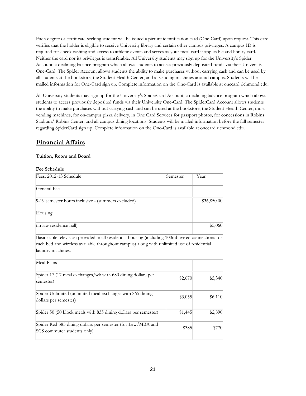Each degree or certificate-seeking student will be issued a picture identification card (One-Card) upon request. This card verifies that the holder is eligible to receive University library and certain other campus privileges. A campus ID is required for check cashing and access to athletic events and serves as your meal card if applicable and library card. Neither the card nor its privileges is transferable. All University students may sign up for the University's Spider Account, a declining balance program which allows students to access previously deposited funds via their University One-Card. The Spider Account allows students the ability to make purchases without carrying cash and can be used by all students at the bookstore, the Student Health Center, and at vending machines around campus. Students will be mailed information for One-Card sign up. Complete information on the One-Card is available at onecard.richmond.edu.

All University students may sign up for the University's SpiderCard Account, a declining balance program which allows students to access previously deposited funds via their University One-Card. The SpiderCard Account allows students the ability to make purchases without carrying cash and can be used at the bookstore, the Student Health Center, most vending machines, for on-campus pizza delivery, in One Card Services for passport photos, for concessions in Robins Stadium/ Robins Center, and all campus dining locations. Students will be mailed information before the fall semester regarding SpiderCard sign up. Complete information on the One-Card is available at onecard.richmond.edu.

# **Financial Affairs**

## **Tuition, Room and Board**

## **Fee Schedule**

| Fees: 2012-13 Schedule                                                                                                                                                                                                             | Semester | Year        |  |
|------------------------------------------------------------------------------------------------------------------------------------------------------------------------------------------------------------------------------------|----------|-------------|--|
| General Fee                                                                                                                                                                                                                        |          |             |  |
| 9-19 semester hours inclusive - (summers excluded)                                                                                                                                                                                 |          | \$36,850.00 |  |
| Housing                                                                                                                                                                                                                            |          |             |  |
| (in law residence hall)                                                                                                                                                                                                            |          | \$5,060     |  |
| Basic cable television provided in all residential housing (including 100mb wired connections for<br>each bed and wireless available throughout campus) along with unlimited use of residential<br>laundry machines.<br>Meal Plans |          |             |  |
| Spider 17 (17 meal exchanges/wk with 680 dining dollars per<br>semester)                                                                                                                                                           | \$2,670  | \$5,340     |  |
| Spider Unlimited (unlimited meal exchanges with 865 dining<br>dollars per semester)                                                                                                                                                | \$3,055  | \$6,110     |  |
| Spider 50 (50 block meals with 835 dining dollars per semester)                                                                                                                                                                    | \$1,445  | \$2,890     |  |
| Spider Red 385 dining dollars per semester (for Law/MBA and<br>SCS commuter students only)                                                                                                                                         | \$385    | \$770       |  |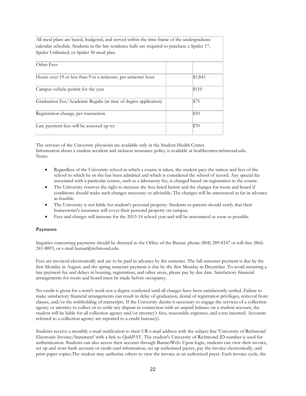All meal plans are based, budgeted, and served within the time frame of the undergraduate calendar schedule. Students in the law residence halls are required to purchase a Spider 17, Spider Unlimited, or Spider 50 meal plan.

| Other Fees                                                      |         |  |
|-----------------------------------------------------------------|---------|--|
| Hours over 19 or less than 9 in a semester, per semester hour   | \$1,843 |  |
| Campus vehicle permit for the year                              | \$110   |  |
| Graduation Fee/Academic Regalia (at time of degree application) | \$75    |  |
| Registration change, per transaction                            | \$10    |  |
| Late payment fees will be assessed up to:                       | \$70    |  |

The services of the University physician are available only in the Student Health Center. Information about a student accident and sickness insurance policy is available at healthcenter.richmond.edu. Notes

- Regardless of the University school in which a course is taken, the student pays the tuition and fees of the school to which he or she has been admitted and which is considered the school of record. Any special fee associated with a particular course, such as a laboratory fee, is charged based on registration in the course.
- The University reserves the right to increase the fees listed herein and the charges for room and board if conditions should make such changes necessary or advisable. The changes will be announced as far in advance as feasible.
- The University is not liable for student's personal property. Students or parents should verify that their homeowner's insurance will cover their personal property on campus.
- Fees and charges will increase for the 2013-14 school year and will be announced as soon as possible.

#### **Payments**

Inquiries concerning payments should be directed to the Office of the Bursar, phone (804) 289-8147 or toll-free (866) 241-8893, or e-mail bursar@richmond.edu.

Fees are invoiced electronically and are to be paid in advance by the semester. The fall semester payment is due by the first Monday in August, and the spring semester payment is due by the first Monday in December. To avoid incurring a late-payment fee and delays in housing, registration, and other areas, please pay by due date. Satisfactory financial arrangements for room and board must be made before occupancy.

No credit is given for a term's work nor a degree conferred until all charges have been satisfactorily settled. Failure to make satisfactory financial arrangements can result in delay of graduation, denial of registration privileges, removal from classes, and/or the withholding of transcripts. If the University deems it necessary to engage the services of a collection agency or attorney to collect or to settle any dispute in connection with an unpaid balance on a student account, the student will be liable for all collection agency and/or attorney's fees, reasonable expenses, and costs incurred. Accounts referred to a collection agency are reported to a credit bureau(s).

Students receive a monthly e-mail notification to their UR e-mail address with the subject line 'University of Richmond Electronic Invoice/Statement' with a link to QuikPAY. The student's University of Richmond ID number is used for authentication. Students can also access their account through BannerWeb. Upon login, students can view their invoice, set up and store bank account or credit card information, set up authorized payers, pay the invoice electronically, and print paper copies.The student may authorize others to view the invoice as an authorized payer. Each invoice cycle, the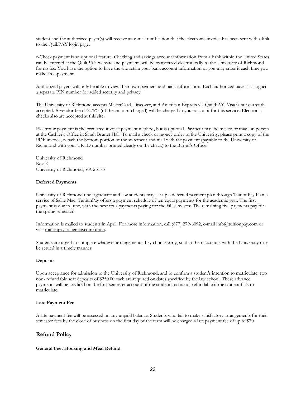student and the authorized payer(s) will receive an e-mail notification that the electronic invoice has been sent with a link to the QuikPAY login page.

e-Check payment is an optional feature. Checking and savings account information from a bank within the United States can be entered at the QuikPAY website and payments will be transferred electronically to the University of Richmond for no fee. You have the option to have the site retain your bank account information or you may enter it each time you make an e-payment.

Authorized payers will only be able to view their own payment and bank information. Each authorized payer is assigned a separate PIN number for added security and privacy.

The University of Richmond accepts MasterCard, Discover, and American Express via QuikPAY. Visa is not currently accepted. A vendor fee of 2.75% (of the amount charged) will be charged to your account for this service. Electronic checks also are accepted at this site.

Electronic payment is the preferred invoice payment method, but is optional. Payment may be mailed or made in person at the Cashier's Office in Sarah Brunet Hall. To mail a check or money order to the University, please print a copy of the PDF invoice, detach the bottom portion of the statement and mail with the payment (payable to the University of Richmond with your UR ID number printed clearly on the check) to the Bursar's Office:

University of Richmond Box R University of Richmond, VA 23173

#### **Deferred Payments**

University of Richmond undergraduate and law students may set up a deferred payment plan through TuitionPay Plan, a service of Sallie Mae. TuitionPay offers a payment schedule of ten equal payments for the academic year. The first payment is due in June, with the next four payments paying for the fall semester. The remaining five payments pay for the spring semester.

Information is mailed to students in April. For more information, call (877) 279-6092, e-mail info@tuitionpay.com or visit [tuitionpay.salliemae.com/urich.](http://tuitionpay.salliemae.com/urich)

Students are urged to complete whatever arrangements they choose early, so that their accounts with the University may be settled in a timely manner.

#### **Deposits**

Upon acceptance for admission to the University of Richmond, and to confirm a student's intention to matriculate, two non- refundable seat deposits of \$250.00 each are required on dates specified by the law school. These advance payments will be credited on the first semester account of the student and is not refundable if the student fails to matriculate.

#### **Late Payment Fee**

A late payment fee will be assessed on any unpaid balance. Students who fail to make satisfactory arrangements for their semester fees by the close of business on the first day of the term will be charged a late payment fee of up to \$70.

#### **Refund Policy**

#### **General Fee, Housing and Meal Refund**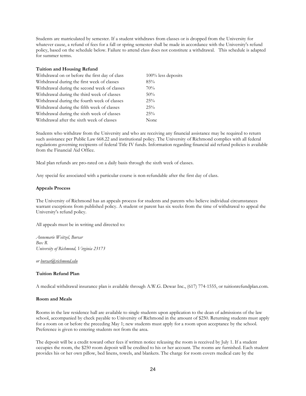Students are matriculated by semester. If a student withdraws from classes or is dropped from the University for whatever cause, a refund of fees for a fall or spring semester shall be made in accordance with the University's refund policy, based on the schedule below. Failure to attend class does not constitute a withdrawal. This schedule is adapted for summer terms.

#### **Tuition and Housing Refund**

| Withdrawal on or before the first day of class | $100\%$ less deposits |  |  |
|------------------------------------------------|-----------------------|--|--|
| Withdrawal during the first week of classes    | 85%                   |  |  |
| Withdrawal during the second week of classes   | 70%                   |  |  |
| Withdrawal during the third week of classes    | 50%                   |  |  |
| Withdrawal during the fourth week of classes   | 25%                   |  |  |
| Withdrawal during the fifth week of classes    | 25%                   |  |  |
| Withdrawal during the sixth week of classes    | 25%                   |  |  |
| Withdrawal after the sixth week of classes     | None                  |  |  |

Students who withdraw from the University and who are receiving any financial assistance may be required to return such assistance per Public Law 668.22 and institutional policy. The University of Richmond complies with all federal regulations governing recipients of federal Title IV funds. Information regarding financial aid refund policies is available from the Financial Aid Office.

Meal plan refunds are pro-rated on a daily basis through the sixth week of classes.

Any special fee associated with a particular course is non-refundable after the first day of class.

#### **Appeals Process**

The University of Richmond has an appeals process for students and parents who believe individual circumstances warrant exceptions from published policy. A student or parent has six weeks from the time of withdrawal to appeal the University's refund policy.

All appeals must be in writing and directed to:

*Annemarie Weitzel, Bursar Box R University of Richmond, Virginia 23173*

*or [bursar@richmond.edu](mailto:busar@richmond.edu)*

#### **Tuition Refund Plan**

A medical withdrawal insurance plan is available through A.W.G. Dewar Inc., (617) 774-1555, or tuitionrefundplan.com.

#### **Room and Meals**

Rooms in the law residence hall are available to single students upon application to the dean of admissions of the law school, accompanied by check payable to University of Richmond in the amount of \$250. Returning students must apply for a room on or before the preceding May 1; new students must apply for a room upon acceptance by the school. Preference is given to entering students not from the area.

The deposit will be a credit toward other fees if written notice releasing the room is received by July 1. If a student occupies the room, the \$250 room deposit will be credited to his or her account. The rooms are furnished. Each student provides his or her own pillow, bed linens, towels, and blankets. The charge for room covers medical care by the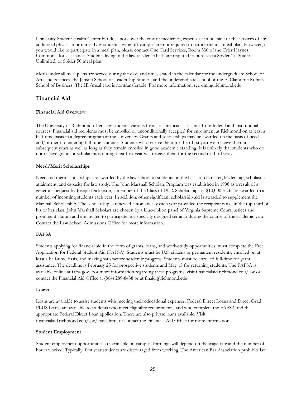University Student Health Center but does not cover the cost of medicines, expenses at a hospital or the services of any additional physician or nurse. Law students living off-campus are not required to participate in a meal plan. However, if you would like to participate in a meal plan, please contact One Card Services, Room 330 of the Tyler Haynes Commons, for assistance. Students living in the law residence halls are required to purchase a Spider 17, Spider Unlimited, or Spider 50 meal plan.

Meals under all meal plans are served during the days and times stated in the calendar for the undergraduate School of Arts and Sciences, the Jepson School of Leadership Studies, and the undergraduate school of the E. Claiborne Robins School of Business. The ID/meal card is nontransferable. For more information, se[e dining.richmond.edu.](http://dining.richmond.edu/)

## **Financial Aid**

#### **Financial Aid Overview**

The University of Richmond offers law students various forms of financial assistance from federal and institutional sources. Financial aid recipients must be enrolled or unconditionally accepted for enrollment at Richmond on at least a half-time basis in a degree program at the University. Grants and scholarships may be awarded on the basis of need and/or merit to entering full-time students. Students who receive them for their first year will receive them in subsequent years as well as long as they remain enrolled in good academic standing. It is unlikely that students who do not receive grants or scholarships during their first year will receive them for the second or third year.

#### **Need/Merit Scholarships**

Need and merit scholarships are awarded by the law school to students on the basis of character, leadership, scholastic attainment, and capacity for law study. The John Marshall Scholars Program was established in 1998 as a result of a generous bequest by Joseph Dickerson, a member of the Class of 1932. Scholarships of \$10,000 each are awarded to a number of incoming students each year. In addition, other significant scholarship aid is awarded to supplement the Marshall Scholarship. The scholarship is renewed automatically each year provided the recipient ranks in the top third of his or her class. John Marshall Scholars are chosen by a blue-ribbon panel of Virginia Supreme Court justices and prominent alumni and are invited to participate in a specially designed seminar during the course of the academic year. Contact the Law School Admissions Office for more information.

## **FAFSA**

Students applying for financial aid in the form of grants, loans, and work-study opportunities, must complete the Free Application for Federal Student Aid (FAFSA). Students must be U.S. citizens or permanent residents, enrolled on at least a half-time basis, and making satisfactory academic progress. Students must be enrolled full-time for grant assistance. The deadline is February 25 for prospective students and May 15 for returning students. The FAFSA is available online a[t fafsa.gov.](http://fafsa.gov/) For more information regarding these programs, visit [financialaid.richmond.edu/law](http://financialaid.richmond.edu/law) or contact the Financial Aid Office at (804) 289-8438 or at [finaid@richmond.edu.](mailto:finaid@richmond.edu)

#### **Loans**

Loans are available to assist students with meeting their educational expenses. Federal Direct Loans and Direct Grad PLUS Loans are available to students who meet eligibility requirements, and who complete the FAFSA and the appropriate Federal Direct Loan application. There are also private loans available. Visit [financialaid.richmond.edu/law/loans.html](http://financialaid.richmond.edu/law/loans.html) or contact the Financial Aid Office for more information.

#### **Student Employment**

Student employment opportunities are available on campus. Earnings will depend on the wage rate and the number of hours worked. Typically, first year students are discouraged from working. The American Bar Association prohibits law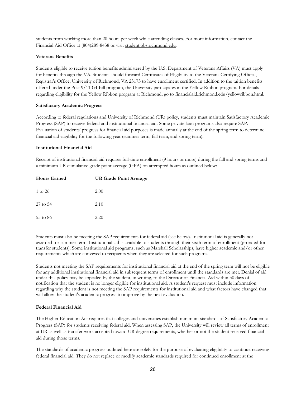students from working more than 20 hours per week while attending classes. For more information, contact the Financial Aid Office at (804)289-8438 or visit [studentjobs.richmond.edu.](http://studentjobs.richmond.edu/)

#### **Veterans Benefits**

Students eligible to receive tuition benefits administered by the U.S. Department of Veterans Affairs (VA) must apply for benefits through the VA. Students should forward Certificates of Eligibility to the Veterans Certifying Official, Registrar's Office, University of Richmond, VA 23173 to have enrollment certified. In addition to the tuition benefits offered under the Post 9/11 GI Bill program, the University participates in the Yellow Ribbon program. For details regarding eligibility for the Yellow Ribbon program at Richmond, go to [financialaid.richmond.edu/yellowribbon.html.](http://financialaid.richmond.edu/yellowribbon.html)

#### **Satisfactory Academic Progress**

According to federal regulations and University of Richmond (UR) policy, students must maintain Satisfactory Academic Progress (SAP) to receive federal and institutional financial aid. Some private loan programs also require SAP. Evaluation of students' progress for financial aid purposes is made annually at the end of the spring term to determine financial aid eligibility for the following year (summer term, fall term, and spring term).

#### **Institutional Financial Aid**

Receipt of institutional financial aid requires full-time enrollment (9 hours or more) during the fall and spring terms and a minimum UR cumulative grade point average (GPA) on attempted hours as outlined below:

| <b>Hours Earned</b> | <b>UR Grade Point Average</b> |  |  |  |
|---------------------|-------------------------------|--|--|--|
| 1 to 26             | 2.00                          |  |  |  |
| $27$ to $54$        | 2.10                          |  |  |  |
| 55 to 86            | 2.20                          |  |  |  |

Students must also be meeting the SAP requirements for federal aid (see below). Institutional aid is generally not awarded for summer term. Institutional aid is available to students through their sixth term of enrollment (prorated for transfer students). Some institutional aid programs, such as Marshall Scholarships, have higher academic and/or other requirements which are conveyed to recipients when they are selected for such programs.

Students not meeting the SAP requirements for institutional financial aid at the end of the spring term will not be eligible for any additional institutional financial aid in subsequent terms of enrollment until the standards are met. Denial of aid under this policy may be appealed by the student, in writing, to the Director of Financial Aid within 30 days of notification that the student is no longer eligible for institutional aid. A student's request must include information regarding why the student is not meeting the SAP requirements for institutional aid and what factors have changed that will allow the student's academic progress to improve by the next evaluation.

#### **Federal Financial Aid**

The Higher Education Act requires that colleges and universities establish minimum standards of Satisfactory Academic Progress (SAP) for students receiving federal aid. When assessing SAP, the University will review all terms of enrollment at UR as well as transfer work accepted toward UR degree requirements, whether or not the student received financial aid during those terms.

The standards of academic progress outlined here are solely for the purpose of evaluating eligibility to continue receiving federal financial aid. They do not replace or modify academic standards required for continued enrollment at the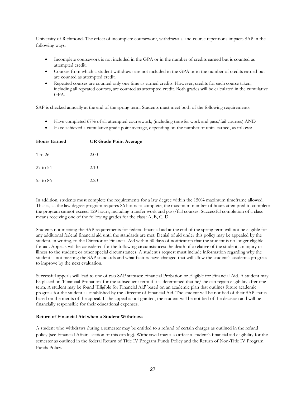University of Richmond. The effect of incomplete coursework, withdrawals, and course repetitions impacts SAP in the following ways:

- Incomplete coursework is not included in the GPA or in the number of credits earned but is counted as attempted credit.
- Courses from which a student withdraws are not included in the GPA or in the number of credits earned but are counted as attempted credit.
- Repeated courses are counted only one time as earned credits. However, credits for each course taken, including all repeated courses, are counted as attempted credit. Both grades will be calculated in the cumulative GPA.

SAP is checked annually at the end of the spring term. Students must meet both of the following requirements:

- Have completed 67% of all attempted coursework, (including transfer work and pass/fail courses) AND
- Have achieved a cumulative grade point average, depending on the number of units earned, as follows:

| <b>Hours Earned</b> | <b>UR Grade Point Average</b> |
|---------------------|-------------------------------|
| 1 to 26             | 2.00                          |
| 27 to 54            | 2.10                          |
| 55 to 86            | 2.20                          |

In addition, students must complete the requirements for a law degree within the 150% maximum timeframe allowed. That is, as the law degree program requires 86 hours to complete, the maximum number of hours attempted to complete the program cannot exceed 129 hours, including transfer work and pass/fail courses. Successful completion of a class means receiving one of the following grades for the class: A, B, C, D.

Students not meeting the SAP requirements for federal financial aid at the end of the spring term will not be eligible for any additional federal financial aid until the standards are met. Denial of aid under this policy may be appealed by the student, in writing, to the Director of Financial Aid within 30 days of notification that the student is no longer eligible for aid. Appeals will be considered for the following circumstances: the death of a relative of the student; an injury or illness to the student; or other special circumstances. A student's request must include information regarding why the student is not meeting the SAP standards and what factors have changed that will allow the student's academic progress to improve by the next evaluation.

Successful appeals will lead to one of two SAP statuses: Financial Probation or Eligible for Financial Aid. A student may be placed on 'Financial Probation' for the subsequent term if it is determined that he/she can regain eligibility after one term. A student may be found 'Eligible for Financial Aid' based on an academic plan that outlines future academic progress for the student as established by the Director of Financial Aid. The student will be notified of their SAP status based on the merits of the appeal. If the appeal is not granted, the student will be notified of the decision and will be financially responsible for their educational expenses.

#### **Return of Financial Aid when a Student Withdraws**

A student who withdraws during a semester may be entitled to a refund of certain charges as outlined in the refund policy (see Financial Affairs section of this catalog). Withdrawal may also affect a student's financial aid eligibility for the semester as outlined in the federal Return of Title IV Program Funds Policy and the Return of Non-Title IV Program Funds Policy.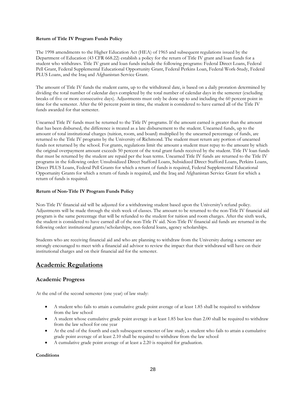#### **Return of Title IV Program Funds Policy**

The 1998 amendments to the Higher Education Act (HEA) of 1965 and subsequent regulations issued by the Department of Education (43 CFR 668.22) establish a policy for the return of Title IV grant and loan funds for a student who withdraws. Title IV grant and loan funds include the following programs: Federal Direct Loans, Federal Pell Grant, Federal Supplemental Educational Opportunity Grant, Federal Perkins Loan, Federal Work-Study, Federal PLUS Loans, and the Iraq and Afghanistan Service Grant.

The amount of Title IV funds the student earns, up to the withdrawal date, is based on a daily proration determined by dividing the total number of calendar days completed by the total number of calendar days in the semester (excluding breaks of five or more consecutive days). Adjustments must only be done up to and including the 60 percent point in time for the semester. After the 60 percent point in time, the student is considered to have earned all of the Title IV funds awarded for that semester.

Unearned Title IV funds must be returned to the Title IV programs. If the amount earned is greater than the amount that has been disbursed, the difference is treated as a late disbursement to the student. Unearned funds, up to the amount of total institutional charges (tuition, room, and board) multiplied by the unearned percentage of funds, are returned to the Title IV programs by the University of Richmond. The student must return any portion of unearned funds not returned by the school. For grants, regulations limit the amount a student must repay to the amount by which the original overpayment amount exceeds 50 percent of the total grant funds received by the student. Title IV loan funds that must be returned by the student are repaid per the loan terms. Unearned Title IV funds are returned to the Title IV programs in the following order: Unsubsidized Direct Stafford Loans, Subsidized Direct Stafford Loans, Perkins Loans, Direct PLUS Loans, Federal Pell Grants for which a return of funds is required, Federal Supplemental Educational Opportunity Grants for which a return of funds is required, and the Iraq and Afghanistan Service Grant for which a return of funds is required.

#### **Return of Non-Title IV Program Funds Policy**

Non-Title IV financial aid will be adjusted for a withdrawing student based upon the University's refund policy. Adjustments will be made through the sixth week of classes. The amount to be returned to the non-Title IV financial aid program is the same percentage that will be refunded to the student for tuition and room charges. After the sixth week, the student is considered to have earned all of the non-Title IV aid. Non-Title IV financial aid funds are returned in the following order: institutional grants/scholarships, non-federal loans, agency scholarships.

Students who are receiving financial aid and who are planning to withdraw from the University during a semester are strongly encouraged to meet with a financial aid advisor to review the impact that their withdrawal will have on their institutional charges and on their financial aid for the semester.

# **Academic Regulations**

## **Academic Progress**

At the end of the second semester (one year) of law study:

- A student who fails to attain a cumulative grade point average of at least 1.85 shall be required to withdraw from the law school
- A student whose cumulative grade point average is at least 1.85 but less than 2.00 shall be required to withdraw from the law school for one year
- At the end of the fourth and each subsequent semester of law study, a student who fails to attain a cumulative grade point average of at least 2.10 shall be required to withdraw from the law school
- A cumulative grade point average of at least a 2.20 is required for graduation.

#### **Conditions**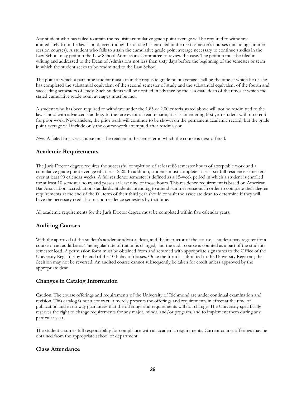Any student who has failed to attain the requisite cumulative grade point average will be required to withdraw immediately from the law school, even though he or she has enrolled in the next semester's courses (including summer session courses). A student who fails to attain the cumulative grade point average necessary to continue studies in the Law School may petition the Law School Admissions Committee to review the case. The petition must be filed in writing and addressed to the Dean of Admissions not less than sixty days before the beginning of the semester or term in which the student seeks to be readmitted to the Law School.

The point at which a part-time student must attain the requisite grade point average shall be the time at which he or she has completed the substantial equivalent of the second semester of study and the substantial equivalent of the fourth and succeeding semesters of study. Such students will be notified in advance by the associate dean of the times at which the stated cumulative grade point averages must be met.

A student who has been required to withdraw under the 1.85 or 2.00 criteria stated above will not be readmitted to the law school with advanced standing. In the rare event of readmission, it is as an entering first year student with no credit for prior work. Nevertheless, the prior work will continue to be shown on the permanent academic record, but the grade point average will include only the course-work attempted after readmission.

*Note:* A failed first-year course must be retaken in the semester in which the course is next offered.

## **Academic Requirements**

The Juris Doctor degree requires the successful completion of at least 86 semester hours of acceptable work and a cumulative grade point average of at least 2.20. In addition, students must complete at least six full residence semesters over at least 90 calendar weeks. A full residence semester is defined as a 15-week period in which a student is enrolled for at least 10 semester hours and passes at least nine of those hours. This residence requirement is based on American Bar Association accreditation standards. Students intending to attend summer sessions in order to complete their degree requirements at the end of the fall term of their third year should consult the associate dean to determine if they will have the necessary credit hours and residence semesters by that time.

All academic requirements for the Juris Doctor degree must be completed within five calendar years.

## **Auditing Courses**

With the approval of the student's academic advisor, dean, and the instructor of the course, a student may register for a course on an audit basis. The regular rate of tuition is charged, and the audit course is counted as a part of the student's semester load. A permission form must be obtained from and returned with appropriate signatures to the Office of the University Registrar by the end of the 10th day of classes. Once the form is submitted to the University Registrar, the decision may not be reversed. An audited course cannot subsequently be taken for credit unless approved by the appropriate dean.

## **Changes in Catalog Information**

Caution: The course offerings and requirements of the University of Richmond are under continual examination and revision. This catalog is not a contract; it merely presents the offerings and requirements in effect at the time of publication and in no way guarantees that the offerings and requirements will not change. The University specifically reserves the right to change requirements for any major, minor, and/or program, and to implement them during any particular year.

The student assumes full responsibility for compliance with all academic requirements. Current course offerings may be obtained from the appropriate school or department.

## **Class Attendance**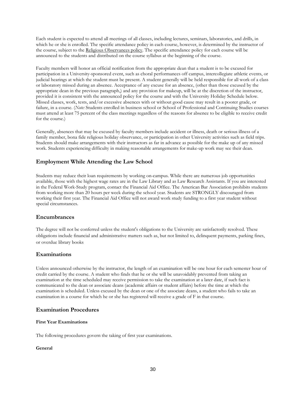Each student is expected to attend all meetings of all classes, including lectures, seminars, laboratories, and drills, in which he or she is enrolled. The specific attendance policy in each course, however, is determined by the instructor of the course, subject to the [Religious Observances policy.](http://registrar.richmond.edu/services/policies/religiousobsv.html) The specific attendance policy for each course will be announced to the students and distributed on the course syllabus at the beginning of the course.

Faculty members will honor an official notification from the appropriate dean that a student is to be excused for participation in a University-sponsored event, such as choral performances off campus, intercollegiate athletic events, or judicial hearings at which the student must be present. A student generally will be held responsible for all work of a class or laboratory missed during an absence. Acceptance of any excuse for an absence, (other than those excused by the appropriate dean in the previous paragraph,) and any provision for makeup, will be at the discretion of the instructor, provided it is consistent with the announced policy for the course and with the University Holiday Schedule below. Missed classes, work, tests, and/or excessive absences with or without good cause may result in a poorer grade, or failure, in a course. (*Note:* Students enrolled in business school or School of Professional and Continuing Studies courses must attend at least 75 percent of the class meetings regardless of the reasons for absence to be eligible to receive credit for the course.)

Generally, absences that may be excused by faculty members include accident or illness, death or serious illness of a family member, bona fide religious holiday observance, or participation in other University activities such as field trips. Students should make arrangements with their instructors as far in advance as possible for the make up of any missed work. Students experiencing difficulty in making reasonable arrangements for make-up work may see their dean.

## **Employment While Attending the Law School**

Students may reduce their loan requirements by working on-campus. While there are numerous job opportunities available, those with the highest wage rates are in the Law Library and as Law Research Assistants. If you are interested in the Federal Work-Study program, contact the Financial Aid Office. The American Bar Association prohibits students from working more than 20 hours per week during the school year. Students are STRONGLY discouraged from working their first year. The Financial Aid Office will not award work study funding to a first year student without special circumstances.

## **Encumbrances**

The degree will not be conferred unless the student's obligations to the University are satisfactorily resolved. These obligations include financial and administrative matters such as, but not limited to, delinquent payments, parking fines, or overdue library books

## **Examinations**

Unless announced otherwise by the instructor, the length of an examination will be one hour for each semester hour of credit carried by the course. A student who finds that he or she will be unavoidably prevented from taking an examination at the time scheduled may receive permission to take the examination at a later date, if such fact is communicated to the dean or associate deans (academic affairs or student affairs) before the time at which the examination is scheduled. Unless excused by the dean or one of the associate deans, a student who fails to take an examination in a course for which he or she has registered will receive a grade of F in that course.

## **Examination Procedures**

#### **First Year Examinations**

The following procedures govern the taking of first year examinations.

#### **General**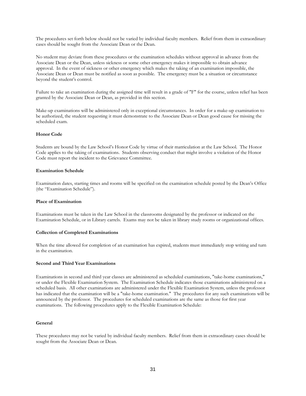The procedures set forth below should not be varied by individual faculty members. Relief from them in extraordinary cases should be sought from the Associate Dean or the Dean.

No student may deviate from these procedures or the examination schedules without approval in advance from the Associate Dean or the Dean, unless sickness or some other emergency makes it impossible to obtain advance approval. In the event of sickness or other emergency which makes the taking of an examination impossible, the Associate Dean or Dean must be notified as soon as possible. The emergency must be a situation or circumstance beyond the student's control.

Failure to take an examination during the assigned time will result in a grade of "F" for the course, unless relief has been granted by the Associate Dean or Dean, as provided in this section.

Make-up examinations will be administered only in exceptional circumstances. In order for a make-up examination to be authorized, the student requesting it must demonstrate to the Associate Dean or Dean good cause for missing the scheduled exam.

#### **Honor Code**

Students are bound by the Law School's Honor Code by virtue of their matriculation at the Law School. The Honor Code applies to the taking of examinations. Students observing conduct that might involve a violation of the Honor Code must report the incident to the Grievance Committee.

#### **Examination Schedule**

Examination dates, starting times and rooms will be specified on the examination schedule posted by the Dean's Office (the "Examination Schedule").

#### **Place of Examination**

Examinations must be taken in the Law School in the classrooms designated by the professor or indicated on the Examination Schedule, or in Library carrels. Exams may not be taken in library study rooms or organizational offices.

#### **Collection of Completed Examinations**

When the time allowed for completion of an examination has expired, students must immediately stop writing and turn in the examination.

#### **Second and Third Year Examinations**

Examinations in second and third year classes are administered as scheduled examinations, "take-home examinations," or under the Flexible Examination System. The Examination Schedule indicates those examinations administered on a scheduled basis. All other examinations are administered under the Flexible Examination System, unless the professor has indicated that the examination will be a "take-home examination." The procedures for any such examinations will be announced by the professor. The procedures for scheduled examinations are the same as those for first year examinations. The following procedures apply to the Flexible Examination Schedule:

#### **General**

These procedures may not be varied by individual faculty members. Relief from them in extraordinary cases should be sought from the Associate Dean or Dean.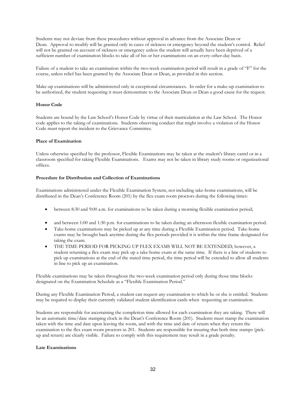Students may not deviate from these procedures without approval in advance from the Associate Dean or Dean. Approval to modify will be granted only in cases of sickness or emergency beyond the student's control. Relief will not be granted on account of sickness or emergency unless the student will actually have been deprived of a sufficient number of examination blocks to take all of his or her examinations on an every-other-day basis.

Failure of a student to take an examination within the two-week examination period will result in a grade of "F" for the course, unless relief has been granted by the Associate Dean or Dean, as provided in this section.

Make-up examinations will be administered only in exceptional circumstances. In order for a make-up examination to be authorized, the student requesting it must demonstrate to the Associate Dean or Dean a good cause for the request.

#### **Honor Code**

Students are bound by the Law School's Honor Code by virtue of their matriculation at the Law School. The Honor code applies to the taking of examinations. Students observing conduct that might involve a violation of the Honor Code must report the incident to the Grievance Committee.

#### **Place of Examination**

Unless otherwise specified by the professor, Flexible Examinations may be taken at the student's library carrel or in a classroom specified for taking Flexible Examinations. Exams may not be taken in library study rooms or organizational offices.

#### **Procedure for Distribution and Collection of Examinations**

Examinations administered under the Flexible Examination System, not including take-home examinations, will be distributed in the Dean's Conference Room (201) by the flex exam room proctors during the following times:

- between 8:30 and 9:00 a.m. for examinations to be taken during a morning flexible examination period;
- and between 1:00 and 1:30 p.m. for examinations to be taken during an afternoon flexible examination period.
- Take-home examinations may be picked up at any time during a Flexible Examination period. Take-home exams may be brought back anytime during the flex periods provided it is within the time frame designated for taking the exam.
- THE TIME PERIOD FOR PICKING UP FLEX EXAMS WILL NOT BE EXTENDED; however, a student returning a flex exam may pick up a take-home exam at the same time. If there is a line of students to pick up examinations at the end of the stated time period, the time period will be extended to allow all students in line to pick up an examination.

Flexible examinations may be taken throughout the two-week examination period only during those time blocks designated on the Examination Schedule as a "Flexible Examination Period."

During any Flexible Examination Period, a student can request any examination to which he or she is entitled. Students may be required to display their currently validated student identification cards when requesting an examination.

Students are responsible for ascertaining the completion time allowed for each examination they are taking. There will be an automatic time/date stamping clock in the Dean's Conference Room (201). Students must stamp the examination taken with the time and date upon leaving the room, and with the time and date of return when they return the examination to the flex exam room proctors in 201. Students are responsible for insuring that both time stamps (pickup and return) are clearly visible. Failure to comply with this requirement may result in a grade penalty.

#### **Late Examinations**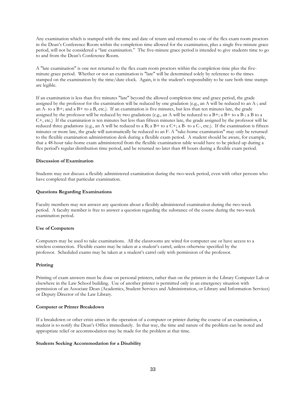Any examination which is stamped with the time and date of return and returned to one of the flex exam room proctors in the Dean's Conference Room within the completion time allowed for the examination, plus a single five-minute grace period, will not be considered a "late examination." The five-minute grace period is intended to give students time to go to and from the Dean's Conference Room.

A "late examination" is one not returned to the flex exam room proctors within the completion time plus the fiveminute grace period. Whether or not an examination is "late" will be determined solely by reference to the times stamped on the examination by the time/date clock. Again, it is the student's responsibility to be sure both time stamps are legible.

If an examination is less than five minutes "late" beyond the allowed completion time and grace period, the grade assigned by the professor for the examination will be reduced by one gradation (e.g., an A will be reduced to an A-; and an  $\overline{A}$ - to a  $B$ +; and a  $B$ + to a  $B$ , etc.). If an examination is five minutes, but less than ten minutes late, the grade assigned by the professor will be reduced by two gradations (e.g., an A will be reduced to a  $B^+$ ; a  $B^+$  to a  $B^-$ ; a B to a C+, etc.) If the examination is ten minutes but less than fifteen minutes late, the grade assigned by the professor will be reduced three gradations (e.g., an A will be reduced to a B; a B+ to a C+; a B- to a C-, etc.). If the examination is fifteen minutes or more late, the grade will automatically be reduced to an F. A "take-home examination" may only be returned to the flexible examination administration desk during a flexible exam period. A student should be aware, for example, that a 48-hour take-home exam administered from the flexible examination table would have to be picked up during a flex period's regular distribution time period, and be returned no later than 48 hours during a flexible exam period.

#### **Discussion of Examination**

Students may not discuss a flexibly administered examination during the two-week period, even with other persons who have completed that particular examination.

#### **Questions Regarding Examinations**

Faculty members may not answer any questions about a flexibly administered examination during the two-week period. A faculty member is free to answer a question regarding the substance of the course during the two-week examination period.

#### **Use of Computers**

Computers may be used to take examinations. All the classrooms are wired for computer use or have access to a wireless connection. Flexible exams may be taken at a student's carrel, unless otherwise specified by the professor. Scheduled exams may be taken at a student's carrel only with permission of the professor.

#### **Printing**

Printing of exam answers must be done on personal printers, rather than on the printers in the Library Computer Lab or elsewhere in the Law School building. Use of another printer is permitted only in an emergency situation with permission of an Associate Dean (Academics, Student Services and Administration, or Library and Information Services) or Deputy Director of the Law Library.

#### **Computer or Printer Breakdown**

If a breakdown or other crisis arises in the operation of a computer or printer during the course of an examination, a student is to notify the Dean's Office immediately. In that way, the time and nature of the problem can be noted and appropriate relief or accommodation may be made for the problem at that time.

#### **Students Seeking Accommodation for a Disability**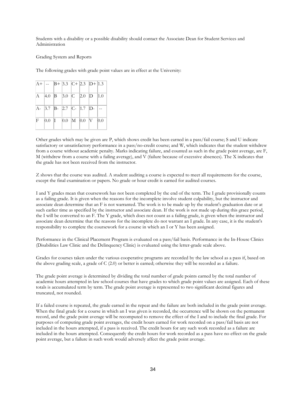Students with a disability or a possible disability should contact the Associate Dean for Student Services and Administration

Grading System and Reports

The following grades with grade point values are in effect at the University:

|  |  | $ A+  =  B+ 3.3 C+ 2.3 D+ 1.3 $         |  |
|--|--|-----------------------------------------|--|
|  |  | $ A $ 4.0 $ B $ 3.0 $ C $ 2.0 $ D $ 1.0 |  |
|  |  | $ A- 3.7 B- 2.7 C- 1.7 D- -.$           |  |
|  |  | $F$ 0.0 I 0.0 M 0.0 V 0.0               |  |

Other grades which may be given are P, which shows credit has been earned in a pass/fail course; S and U indicate satisfactory or unsatisfactory performance in a pass/no-credit course; and W, which indicates that the student withdrew from a course without academic penalty. Marks indicating failure, and counted as such in the grade point average, are F, M (withdrew from a course with a failing average), and V (failure because of excessive absences). The X indicates that the grade has not been received from the instructor.

Z shows that the course was audited. A student auditing a course is expected to meet all requirements for the course, except the final examination or papers. No grade or hour credit is earned for audited courses.

I and Y grades mean that coursework has not been completed by the end of the term. The I grade provisionally counts as a failing grade. It is given when the reasons for the incomplete involve student culpability, but the instructor and associate dean determine that an F is not warranted. The work is to be made up by the student's graduation date or at such earlier time as specified by the instructor and associate dean. If the work is not made up during this grace period, the I will be converted to an F. The Y grade, which does not count as a failing grade, is given when the instructor and associate dean determine that the reasons for the incomplete do not warrant an I grade. In any case, it is the student's responsibility to complete the coursework for a course in which an I or Y has been assigned.

Performance in the Clinical Placement Program is evaluated on a pass/fail basis. Performance in the In-House Clinics (Disabilities Law Clinic and the Delinquency Clinic) is evaluated using the letter-grade scale above.

Grades for courses taken under the various cooperative programs are recorded by the law school as a pass if, based on the above grading scale, a grade of C (2.0) or better is earned; otherwise they will be recorded as a failure.

The grade point average is determined by dividing the total number of grade points earned by the total number of academic hours attempted in law school courses that have grades to which grade point values are assigned. Each of these totals is accumulated term by term. The grade point average is represented to two significant decimal figures and truncated, not rounded.

If a failed course is repeated, the grade earned in the repeat and the failure are both included in the grade point average. When the final grade for a course in which an I was given is recorded, the occurrence will be shown on the permanent record, and the grade point average will be recomputed to remove the effect of the I and to include the final grade. For purposes of computing grade point averages, the credit hours earned for work recorded on a pass/fail basis are not included in the hours attempted, if a pass is received. The credit hours for any such work recorded as a failure are included in the hours attempted. Consequently the credit hours for work recorded as a pass have no effect on the grade point average, but a failure in such work would adversely affect the grade point average.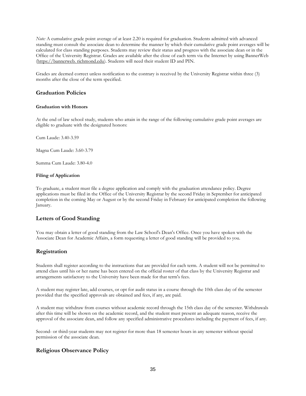*Note:* A cumulative grade point average of at least 2.20 is required for graduation. Students admitted with advanced standing must consult the associate dean to determine the manner by which their cumulative grade point averages will be calculated for class standing purposes. Students may review their status and progress with the associate dean or in the Office of the University Registrar. Grades are available after the close of each term via the Internet by using BannerWeb (https://bannerweb. richmond.edu). Students will need their student ID and PIN.

Grades are deemed correct unless notification to the contrary is received by the University Registrar within three (3) months after the close of the term specified.

## **Graduation Policies**

#### **Graduation with Honors**

At the end of law school study, students who attain in the range of the following cumulative grade point averages are eligible to graduate with the designated honors:

Cum Laude: 3.40-3.59

Magna Cum Laude: 3.60-3.79

Summa Cum Laude: 3.80-4.0

#### **Filing of Application**

To graduate, a student must file a degree application and comply with the graduation attendance policy. Degree applications must be filed in the Office of the University Registrar by the second Friday in September for anticipated completion in the coming May or August or by the second Friday in February for anticipated completion the following January.

#### **Letters of Good Standing**

You may obtain a letter of good standing from the Law School's Dean's Office. Once you have spoken with the Associate Dean for Academic Affairs, a form requesting a letter of good standing will be provided to you.

## **Registration**

Students shall register according to the instructions that are provided for each term. A student will not be permitted to attend class until his or her name has been entered on the official roster of that class by the University Registrar and arrangements satisfactory to the University have been made for that term's fees.

A student may register late, add courses, or opt for audit status in a course through the 10th class day of the semester provided that the specified approvals are obtained and fees, if any, are paid.

A student may withdraw from courses without academic record through the 15th class day of the semester. Withdrawals after this time will be shown on the academic record, and the student must present an adequate reason, receive the approval of the associate dean, and follow any specified administrative procedures including the payment of fees, if any.

Second- or third-year students may not register for more than 18 semester hours in any semester without special permission of the associate dean.

## **Religious Observance Policy**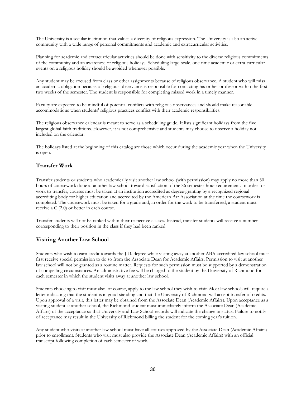The University is a secular institution that values a diversity of religious expression. The University is also an active community with a wide range of personal commitments and academic and extracurricular activities.

Planning for academic and extracurricular activities should be done with sensitivity to the diverse religious commitments of the community and an awareness of religious holidays. Scheduling large-scale, one-time academic or extra-curricular events on a religious holiday should be avoided whenever possible.

Any student may be excused from class or other assignments because of religious observance. A student who will miss an academic obligation because of religious observance is responsible for contacting his or her professor within the first two weeks of the semester. The student is responsible for completing missed work in a timely manner.

Faculty are expected to be mindful of potential conflicts with religious observances and should make reasonable accommodations when students' religious practices conflict with their academic responsibilities.

The religious observance calendar is meant to serve as a scheduling guide. It lists significant holidays from the five largest global faith traditions. However, it is not comprehensive and students may choose to observe a holiday not included on the calendar.

The holidays listed at the beginning of this catalog are those which occur during the academic year when the University is open.

## **Transfer Work**

Transfer students or students who academically visit another law school (with permission) may apply no more than 30 hours of coursework done at another law school toward satisfaction of the 86 semester-hour requirement. In order for work to transfer, courses must be taken at an institution accredited as degree-granting by a recognized regional accrediting body for higher education and accredited by the American Bar Association at the time the coursework is completed. The coursework must be taken for a grade and, in order for the work to be transferred, a student must receive a C (2.0) or better in each course.

Transfer students will not be ranked within their respective classes. Instead, transfer students will receive a number corresponding to their position in the class if they had been ranked.

#### **Visiting Another Law School**

Students who wish to earn credit towards the J.D. degree while visiting away at another ABA accredited law school must first receive special permission to do so from the Associate Dean for Academic Affairs. Permission to visit at another law school will not be granted as a routine matter. Requests for such permission must be supported by a demonstration of compelling circumstances. An administrative fee will be charged to the student by the University of Richmond for each semester in which the student visits away at another law school.

Students choosing to visit must also, of course, apply to the law school they wish to visit. Most law schools will require a letter indicating that the student is in good standing and that the University of Richmond will accept transfer of credits. Upon approval of a visit, this letter may be obtained from the Associate Dean (Academic Affairs). Upon acceptance as a visiting student at another school, the Richmond student must immediately inform the Associate Dean (Academic Affairs) of the acceptance so that University and Law School records will indicate the change in status. Failure to notify of acceptance may result in the University of Richmond billing the student for the coming year's tuition.

Any student who visits at another law school must have all courses approved by the Associate Dean (Academic Affairs) prior to enrollment. Students who visit must also provide the Associate Dean (Academic Affairs) with an official transcript following completion of each semester of work.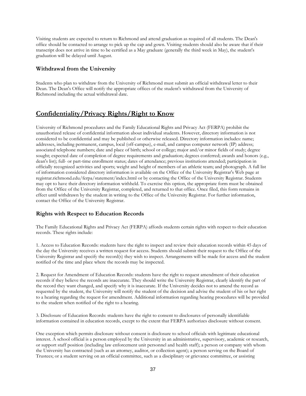Visiting students are expected to return to Richmond and attend graduation as required of all students. The Dean's office should be contacted to arrange to pick up the cap and gown. Visiting students should also be aware that if their transcript does not arrive in time to be certified as a May graduate (generally the third week in May), the student's graduation will be delayed until August.

## **Withdrawal from the University**

Students who plan to withdraw from the University of Richmond must submit an official withdrawal letter to their Dean. The Dean's Office will notify the appropriate offices of the student's withdrawal from the University of Richmond including the actual withdrawal date.

# **Confidentiality/Privacy Rights/Right to Know**

University of Richmond procedures and the Family Educational Rights and Privacy Act (FERPA) prohibit the unauthorized release of confidential information about individual students. However, directory information is not considered to be confidential and may be published or otherwise released. Directory information includes: name; addresses, including permanent, campus, local (off-campus), e-mail, and campus computer network (IP) address; associated telephone numbers; date and place of birth; school or college; major and/or minor fields of study; degree sought; expected date of completion of degree requirements and graduation; degrees conferred; awards and honors (e.g., dean's list); full- or part-time enrollment status; dates of attendance; previous institutions attended; participation in officially recognized activities and sports; weight and height of members of an athletic team; and photograph. A full list of information considered directory information is available on the Office of the University Registrar's Web page at registrar.richmond.edu/ferpa/statement/index.html or by contacting the Office of the University Registrar. Students may opt to have their directory information withheld. To exercise this option, the appropriate form must be obtained from the Office of the University Registrar, completed, and returned to that office. Once filed, this form remains in effect until withdrawn by the student in writing to the Office of the University Registrar. For further information, contact the Office of the University Registrar.

## **Rights with Respect to Education Records**

The Family Educational Rights and Privacy Act (FERPA) affords students certain rights with respect to their education records. These rights include:

1. Access to Education Records: students have the right to inspect and review their education records within 45 days of the day the University receives a written request for access. Students should submit their request to the Office of the University Registrar and specify the record(s) they wish to inspect. Arrangements will be made for access and the student notified of the time and place where the records may be inspected.

2. Request for Amendment of Education Records: students have the right to request amendment of their education records if they believe the records are inaccurate. They should write the University Registrar, clearly identify the part of the record they want changed, and specify why it is inaccurate. If the University decides not to amend the record as requested by the student, the University will notify the student of the decision and advise the student of his or her right to a hearing regarding the request for amendment. Additional information regarding hearing procedures will be provided to the student when notified of the right to a hearing.

3. Disclosure of Education Records: students have the right to consent to disclosures of personally identifiable information contained in education records, except to the extent that FERPA authorizes disclosure without consent.

One exception which permits disclosure without consent is disclosure to school officials with legitimate educational interest. A school official is a person employed by the University in an administrative, supervisory, academic or research, or support staff position (including law enforcement unit personnel and health staff); a person or company with whom the University has contracted (such as an attorney, auditor, or collection agent); a person serving on the Board of Trustees; or a student serving on an official committee, such as a disciplinary or grievance committee, or assisting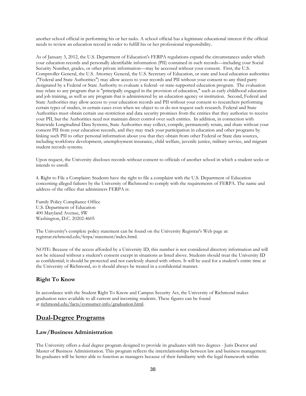another school official in performing his or her tasks. A school official has a legitimate educational interest if the official needs to review an education record in order to fulfill his or her professional responsibility.

As of January 3, 2012, the U.S. Department of Education's FERPA regulations expand the circumstances under which your education records and personally identifiable information (PII) contained in such records—including your Social Security Number, grades, or other private information—may be accessed without your consent. First, the U.S. Comptroller General, the U.S. Attorney General, the U.S. Secretary of Education, or state and local education authorities ("Federal and State Authorities") may allow access to your records and PII without your consent to any third party designated by a Federal or State Authority to evaluate a federal- or state-supported education program. The evaluation may relate to any program that is "principally engaged in the provision of education," such as early childhood education and job training, as well as any program that is administered by an education agency or institution. Second, Federal and State Authorities may allow access to your education records and PII without your consent to researchers performing certain types of studies, in certain cases even when we object to or do not request such research. Federal and State Authorities must obtain certain use-restriction and data security promises from the entities that they authorize to receive your PII, but the Authorities need not maintain direct control over such entities. In addition, in connection with Statewide Longitudinal Data Systems, State Authorities may collect, compile, permanently retain, and share without your consent PII from your education records, and they may track your participation in education and other programs by linking such PII to other personal information about you that they obtain from other Federal or State data sources, including workforce development, unemployment insurance, child welfare, juvenile justice, military service, and migrant student records systems.

Upon request, the University discloses records without consent to officials of another school in which a student seeks or intends to enroll.

4. Right to File a Complaint: Students have the right to file a complaint with the U.S. Department of Education concerning alleged failures by the University of Richmond to comply with the requirements of FERPA. The name and address of the office that administers FERPA is:

Family Policy Compliance Office U.S. Department of Education 400 Maryland Avenue, SW Washington, D.C. 20202-4605

The University's complete policy statement can be found on the University Registrar's Web page at: registrar.richmond.edu/ferpa/statement/index.html.

NOTE: Because of the access afforded by a University ID, this number is not considered directory information and will not be released without a student's consent except in situations as listed above. Students should treat the University ID as confidential; it should be protected and not carelessly shared with others. It will be used for a student's entire time at the University of Richmond, so it should always be treated in a confidential manner.

## **Right To Know**

In accordance with the Student Right To Know and Campus Security Act, the University of Richmond makes graduation rates available to all current and incoming students. These figures can be found at [richmond.edu/facts/consumer-info/graduation.html.](http://www.richmond.edu/facts/consumer-info/graduation.html)

## **Dual-Degree Programs**

#### **Law/Business Administration**

The University offers a dual degree program designed to provide its graduates with two degrees - Juris Doctor and Master of Business Administration. This program reflects the interrelationships between law and business management. Its graduates will be better able to function as managers because of their familiarity with the legal framework within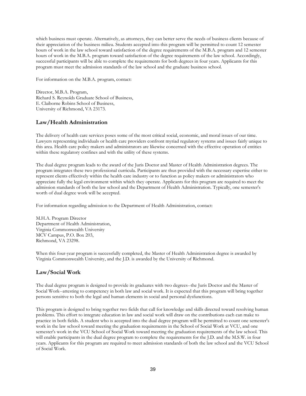which business must operate. Alternatively, as attorneys, they can better serve the needs of business clients because of their appreciation of the business milieu. Students accepted into this program will be permitted to count 12 semester hours of work in the law school toward satisfaction of the degree requirements of the M.B.A. program and 12 semester hours of work in the M.B.A. program toward satisfaction of the degree requirements of the law school. Accordingly, successful participants will be able to complete the requirements for both degrees in four years. Applicants for this program must meet the admission standards of the law school and the graduate business school.

For information on the M.B.A. program, contact:

Director, M.B.A. Program, Richard S. Reynolds Graduate School of Business, E. Claiborne Robins School of Business, University of Richmond, VA 23173.

## **Law/Health Administration**

The delivery of health care services poses some of the most critical social, economic, and moral issues of our time. Lawyers representing individuals or health care providers confront myriad regulatory systems and issues fairly unique to this area. Health care policy makers and administrators are likewise concerned with the effective operation of entities within these regulatory confines and with the utility of these systems.

The dual degree program leads to the award of the Juris Doctor and Master of Health Administration degrees. The program integrates these two professional curricula. Participants are thus provided with the necessary expertise either to represent clients effectively within the health care industry or to function as policy makers or administrators who appreciate fully the legal environment within which they operate. Applicants for this program are required to meet the admission standards of both the law school and the Department of Health Administration. Typically, one semester's worth of dual degree work will be accepted.

For information regarding admission to the Department of Health Administration, contact:

M.H.A. Program Director Department of Health Administration, Virginia Commonwealth University MCV Campus, P.O. Box 203, Richmond, VA 23298.

When this four-year program is successfully completed, the Master of Health Administration degree is awarded by Virginia Commonwealth University, and the J.D. is awarded by the University of Richmond.

## **Law/Social Work**

The dual degree program is designed to provide its graduates with two degrees--the Juris Doctor and the Master of Social Work--attesting to competency in both law and social work. It is expected that this program will bring together persons sensitive to both the legal and human elements in social and personal dysfunctions.

This program is designed to bring together two fields that call for knowledge and skills directed toward resolving human problems. This effort to integrate education in law and social work will draw on the contributions each can make to practice in both fields. A student who is accepted into the dual degree program will be permitted to count one semester's work in the law school toward meeting the graduation requirements in the School of Social Work at VCU, and one semester's work in the VCU School of Social Work toward meeting the graduation requirements of the law school. This will enable participants in the dual degree program to complete the requirements for the J.D. and the M.S.W. in four years. Applicants for this program are required to meet admission standards of both the law school and the VCU School of Social Work.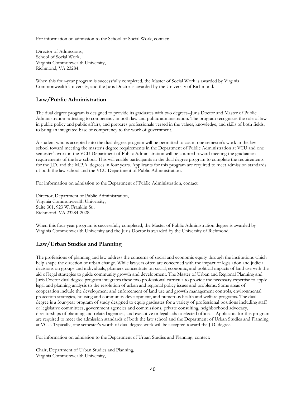For information on admission to the School of Social Work, contact:

Director of Admissions, School of Social Work, Virginia Commonwealth University, Richmond, VA 23284.

When this four-year program is successfully completed, the Master of Social Work is awarded by Virginia Commonwealth University, and the Juris Doctor is awarded by the University of Richmond.

## **Law/Public Administration**

The dual degree program is designed to provide its graduates with two degrees--Juris Doctor and Master of Public Administration--attesting to competency in both law and public administration. The program recognizes the role of law in public policy and public affairs, and prepares professionals versed in the values, knowledge, and skills of both fields, to bring an integrated base of competency to the work of government.

A student who is accepted into the dual degree program will be permitted to count one semester's work in the law school toward meeting the master's degree requirements in the Department of Public Administration at VCU and one semester's work in the VCU Department of Public Administration will be counted toward meeting the graduation requirements of the law school. This will enable participants in the dual degree program to complete the requirements for the J.D. and the M.P.A. degrees in four years. Applicants for this program are required to meet admission standards of both the law school and the VCU Department of Public Administration.

For information on admission to the Department of Public Administration, contact:

Director, Department of Public Administration, Virginia Commonwealth University, Suite 301, 923 W. Franklin St., Richmond, VA 23284-2028.

When this four-year program is successfully completed, the Master of Public Administration degree is awarded by Virginia Commonwealth University and the Juris Doctor is awarded by the University of Richmond.

## **Law/Urban Studies and Planning**

The professions of planning and law address the concerns of social and economic equity through the institutions which help shape the direction of urban change. While lawyers often are concerned with the impact of legislation and judicial decisions on groups and individuals, planners concentrate on social, economic, and political impacts of land use with the aid of legal strategies to guide community growth and development. The Master of Urban and Regional Planning and Juris Doctor dual degree program integrates these two professional curricula to provide the necessary expertise to apply legal and planning analysis to the resolution of urban and regional policy issues and problems. Some areas of cooperation include the development and enforcement of land use and growth management controls, environmental protection strategies, housing and community development, and numerous health and welfare programs. The dual degree is a four-year program of study designed to equip graduates for a variety of professional positions including staff or legislative committees, government agencies and commissions, private consulting, neighborhood advocacy, directorships of planning and related agencies, and executive or legal aids to elected officials. Applicants for this program are required to meet the admission standards of both the law school and the Department of Urban Studies and Planning at VCU. Typically, one semester's worth of dual degree work will be accepted toward the J.D. degree.

For information on admission to the Department of Urban Studies and Planning, contact:

Chair, Department of Urban Studies and Planning, Virginia Commonwealth University,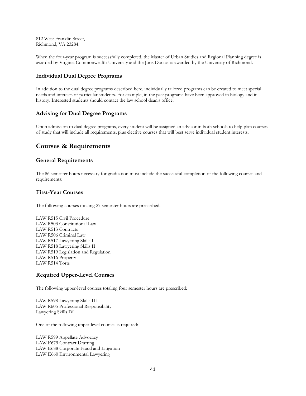812 West Franklin Street, Richmond, VA 23284.

When the four-year program is successfully completed, the Master of Urban Studies and Regional Planning degree is awarded by Virginia Commonwealth University and the Juris Doctor is awarded by the University of Richmond.

## **Individual Dual Degree Programs**

In addition to the dual degree programs described here, individually tailored programs can be created to meet special needs and interests of particular students. For example, in the past programs have been approved in biology and in history. Interested students should contact the law school dean's office.

## **Advising for Dual Degree Programs**

Upon admission to dual degree programs, every student will be assigned an advisor in both schools to help plan courses of study that will include all requirements, plus elective courses that will best serve individual student interests.

## **Courses & Requirements**

## **General Requirements**

The 86 semester hours necessary for graduation must include the successful completion of the following courses and requirements:

## **First-Year Courses**

The following courses totaling 27 semester hours are prescribed.

LAW R515 Civil Procedure LAW R503 Constitutional Law LAW R513 Contracts LAW R506 Criminal Law LAW R517 Lawyering Skills I LAW R518 Lawyering Skills II LAW R519 Legislation and Regulation LAW R516 Property LAW R514 Torts

## **Required Upper-Level Courses**

The following upper-level courses totaling four semester hours are prescribed:

LAW R598 Lawyering Skills III LAW R605 Professional Responsibility Lawyering Skills IV

One of the following upper-level courses is required:

LAW R599 Appellate Advocacy LAW E679 Contract Drafting LAW E688 Corporate Fraud and Litigation LAW E660 Environmental Lawyering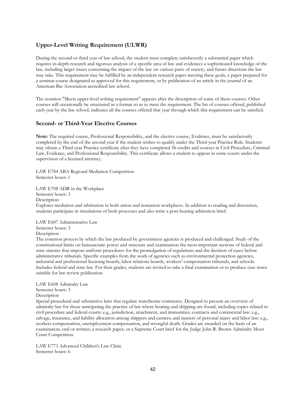## **Upper-Level Writing Requirement (ULWR)**

During the second or third year of law school, the student must complete satisfactorily a substantial paper which requires in-depth research and rigorous analysis of a specific area of law and evidences a sophisticated knowledge of the law, including larger issues concerning the impact of the law on various parts of society, and future directions the law may take. This requirement may be fulfilled by an independent research paper meeting these goals, a paper prepared for a seminar course designated as approved for this requirement, or by publication of an article in the journal of an American Bar Association accredited law school.

The notation "Meets upper-level writing requirement" appears after the description of some of these courses. Other courses will occasionally be structured in a format so as to meet the requirement. The list of courses offered, published each year by the law school, indicates all the courses offered that year through which this requirement can be satisfied.

## **Second- or Third-Year Elective Courses**

**Note:** The required course, Professional Responsibility, and the elective course, Evidence, must be satisfactorily completed by the end of the second year if the student wishes to qualify under the Third-year Practice Rule. Students may obtain a Third-year Practice certificate after they have completed 56 credits and courses in Civil Procedure, Criminal Law, Evidence, and Professional Responsibility. This certificate allows a student to appear in some courts under the supervision of a licensed attorney.

LAW E784 ABA Regional Mediation Competition Semester hours: 1

LAW E708 ADR in the Workplace Semester hours: 3 Description Explores mediation and arbitration in both union and nonunion workplaces. In addition to reading and discussion, students participate in simulations of both processes and also write a post-hearing arbitration brief.

LAW E607 Administrative Law Semester hours: 3 Description

The common process by which the law produced by government agencies is produced and challenged. Study of the constitutional limits on bureaucratic power and structure and examination the most important sections of federal and state statutes that impose uniform procedures for the promulgation of regulations and the decision of cases before administrative tribunals. Specific examples from the work of agencies such as environmental protection agencies, industrial and professional licensing boards, labor relations boards, workers' compensation tribunals, and schools. Includes federal and state law. For their grades, students are invited to take a final examination or to produce case notes suitable for law review publication.

LAW E608 Admiralty Law Semester hours: 3 Description Special procedural and substantive laws that regulate waterborne commerce. Designed to present an overview of admiralty law for those anticipating the practice of law where boating and shipping are found, including topics related to civil procedure and federal courts: e.g., jurisdiction, attachment, and immunities; contracts and commercial law: e.g., salvage, insurance, and liability allocation among shippers and carriers; and matters of personal injury and labor law: e.g., workers compensation, unemployment compensation, and wrongful death. Grades are awarded on the basis of an examination, oral or written, a research paper, or a Supreme Court brief for the Judge John R. Brown Admiralty Moot Court Competition.

LAW E773 Advanced Children's Law Clinic Semester hours: 6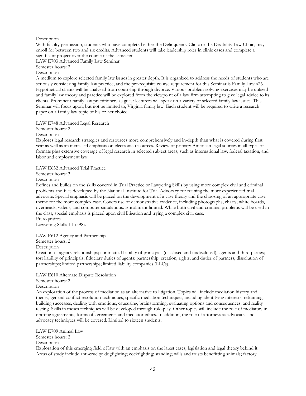#### Description

With faculty permission, students who have completed either the Delinquency Clinic or the Disability Law Clinic, may enroll for between two and six credits. Advanced students will take leadership roles in clinic cases and complete a significant project over the course of the semester.

LAW E703 Advanced Family Law Seminar Semester hours: 2

**Description** 

A medium to explore selected family law issues in greater depth. It is organized to address the needs of students who are seriously considering family law practice, and the pre-requisite course requirement for this Seminar is Family Law 626. Hypothetical clients will be analyzed from courtship through divorce. Various problem-solving exercises may be utilized and family law theory and practice will be explored from the viewpoint of a law firm attempting to give legal advice to its clients. Prominent family law practitioners as guest lecturers will speak on a variety of selected family law issues. This Seminar will focus upon, but not be limited to, Virginia family law. Each student will be required to write a research paper on a family law topic of his or her choice.

LAW E748 Advanced Legal Research

Semester hours: 2

Description

Explores legal research strategies and resources more comprehensively and in-depth than what is covered during first year as well as an increased emphasis on electronic resources. Review of primary American legal sources in all types of formats plus extensive coverage of legal research in selected subject areas, such as international law, federal taxation, and labor and employment law.

LAW E632 Advanced Trial Practice

Semester hours: 3

Description

Refines and builds on the skills covered in Trial Practice or Lawyering Skills by using more complex civil and criminal problems and files developed by the National Institute for Trial Advocacy for training the more experienced trial advocate. Special emphasis will be placed on the development of a case theory and the choosing of an appropriate case theme for the more complex case. Covers use of demonstrative evidence, including photographs, charts, white boards, overheads, videos, and computer simulations. Enrollment limited. While both civil and criminal problems will be used in the class, special emphasis is placed upon civil litigation and trying a complex civil case. Prerequisites

Lawyering Skills III (598).

LAW E612 Agency and Partnership

Semester hours: 2

Description

Creation of agency relationships; contractual liability of principals (disclosed and undisclosed), agents and third parties; tort liability of principals; fiduciary duties of agents; partnership: creation, rights, and duties of partners, dissolution of partnerships; limited partnerships; limited liability companies (LLCs).

LAW E610 Alternate Dispute Resolution

Semester hours: 2

Description

An exploration of the process of mediation as an alternative to litigation. Topics will include mediation history and theory, general conflict resolution techniques, specific mediation techniques, including identifying interests, reframing, building successes, dealing with emotions, caucusing, brainstorming, evaluating options and consequences, and reality testing. Skills in theses techniques will be developed through role-play. Other topics will include the role of mediators in drafting agreements, forms of agreements and mediator ethics. In addition, the role of attorneys as advocates and advocacy techniques will be covered. Limited to sixteen students.

LAW E709 Animal Law Semester hours: 2 **Description** 

Exploration of this emerging field of law with an emphasis on the latest cases, legislation and legal theory behind it. Areas of study include anti-cruelty; dogfighting; cockfighting; standing; wills and trusts benefitting animals; factory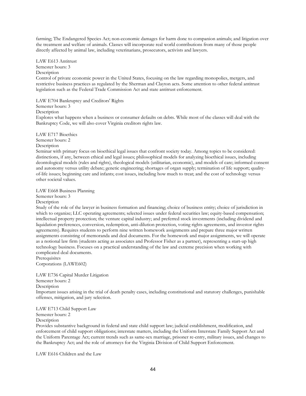farming; The Endangered Species Act; non-economic damages for harm done to companion animals; and litigation over the treatment and welfare of animals. Classes will incorporate real world contributions from many of those people directly affected by animal law, including veterinarians, prosecutors, activists and lawyers.

LAW E613 Antitrust Semester hours: 3 **Description** Control of private economic power in the United States, focusing on the law regarding monopolies, mergers, and restrictive business practices as regulated by the Sherman and Clayton acts. Some attention to other federal antitrust legislation such as the Federal Trade Commission Act and state antitrust enforcement.

LAW E704 Bankruptcy and Creditors' Rights

Semester hours: 3

Description

Explores what happens when a business or consumer defaults on debts. While most of the classes will deal with the Bankruptcy Code, we will also cover Virginia creditors rights law.

LAW E717 Bioethics

Semester hours: 2

#### Description

Seminar with primary focus on bioethical legal issues that confront society today. Among topics to be considered: distinctions, if any, between ethical and legal issues; philosophical models for analyzing bioethical issues, including deontological models (rules and rights), theological models (utilitarian, economic), and models of care; informed consent and autonomy versus utility debate; genetic engineering; shortages of organ supply; termination of life support; qualityof-life issues; beginning care and infants; cost issues, including how much to treat; and the cost of technology versus other societal values.

LAW E668 Business Planning

Semester hours: 3

Description

Study of the role of the lawyer in business formation and financing; choice of business entity; choice of jurisdiction in which to organize; LLC operating agreements; selected issues under federal securities law; equity-based compensation; intellectual property protection; the venture capital industry; and preferred stock investments (including dividend and liquidation preferences, conversion, redemption, anti-dilution protection, voting rights agreements, and investor rights agreements). Requires students to perform nine written homework assignments and prepare three major written assignments consisting of memoranda and deal documents. For the homework and major assignments, we will operate as a notional law firm (students acting as associates and Professor Fisher as a partner), representing a start-up high technology business. Focuses on a practical understanding of the law and extreme precision when working with complicated deal documents.

Prerequisites Corporations (LAWE602)

LAW E736 Capital Murder Litigation

Semester hours: 2

Description

Important issues arising in the trial of death penalty cases, including constitutional and statutory challenges, punishable offenses, mitigation, and jury selection.

LAW E713 Child Support Law Semester hours: 2

Description

Provides substantive background in federal and state child support law; judicial establishment, modification, and enforcement of child support obligations; interstate matters, including the Uniform Interstate Family Support Act and the Uniform Parentage Act; current trends such as same-sex marriage, prisoner re-entry, military issues, and changes to the Bankruptcy Act; and the role of attorneys for the Virginia Division of Child Support Enforcement.

LAW E616 Children and the Law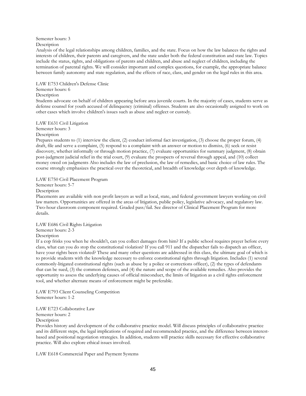## Semester hours: 3

Description

Analysis of the legal relationships among children, families, and the state. Focus on how the law balances the rights and interests of children, their parents and caregivers, and the state under both the federal constitution and state law. Topics include the status, rights, and obligations of parents and children, and abuse and neglect of children, including the termination of parental rights. We will consider important and complex questions, for example, the appropriate balance between family autonomy and state regulation, and the effects of race, class, and gender on the legal rules in this area.

LAW E753 Children's Defense Clinic

## Semester hours: 6

## **Description**

Students advocate on behalf of children appearing before area juvenile courts. In the majority of cases, students serve as defense counsel for youth accused of delinquency (criminal) offenses. Students are also occasionally assigned to work on other cases which involve children's issues such as abuse and neglect or custody.

## LAW E631 Civil Litigation

Semester hours: 3

Description

Prepares students to (1) interview the client, (2) conduct informal fact investigation, (3) choose the proper forum, (4) draft, file and serve a complaint, (5) respond to a complaint with an answer or motion to dismiss, (6) seek or resist discovery, whether informally or through motion practice, (7) evaluate opportunities for summary judgment, (8) obtain post-judgment judicial relief in the trial court, (9) evaluate the prospects of reversal through appeal, and (10) collect money owed on judgments Also includes the law of preclusion, the law of remedies, and basic choice of law rules. The course strongly emphasizes the practical over the theoretical, and breadth of knowledge over depth of knowledge.

#### LAW E750 Civil Placement Program

Semester hours: 5-7

Description

Placements are available with non profit lawyers as well as local, state, and federal government lawyers working on civil law matters. Opportunities are offered in the areas of litigation, public policy, legislative advocacy, and regulatory law. Two-hour classroom component required. Graded pass/fail. See director of Clinical Placement Program for more details.

LAW E686 Civil Rights Litigation Semester hours: 2-3 Description

If a cop frisks you when he shouldn't, can you collect damages from him? If a public school requires prayer before every class, what can you do stop the constitutional violation? If you call 911 and the dispatcher fails to dispatch an officer, have your rights been violated? These and many other questions are addressed in this class, the ultimate goal of which is to provide students with the knowledge necessary to enforce constitutional rights through litigation. Includes (1) several commonly-litigated constitutional rights (such as abuse by a police or corrections officer), (2) the types of defendants that can be sued, (3) the common defenses, and (4) the nature and scope of the available remedies. Also provides the opportunity to assess the underlying causes of official misconduct, the limits of litigation as a civil rights enforcement tool, and whether alternate means of enforcement might be preferable.

LAW E793 Client Counseling Competition Semester hours: 1-2

LAW E723 Collaborative Law Semester hours: 2

Description

Provides history and development of the collaborative practice model. Will discuss principles of collaborative practice and its different steps, the legal implications of required and recommended practice, and the difference between interestbased and positional negotiation strategies. In addition, students will practice skills necessary for effective collaborative practice. Will also explore ethical issues involved.

LAW E618 Commercial Paper and Payment Systems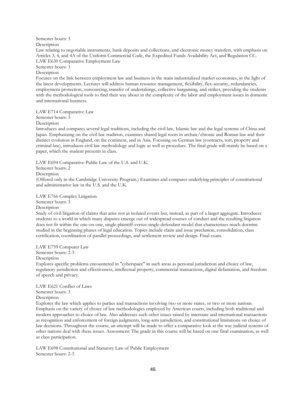Semester hours: 3

Description

Law relating to negotiable instruments, bank deposits and collections, and electronic money transfers, with emphasis on Articles 3, 4, and 4A of the Uniform Commercial Code, the Expedited Funds Availability Act, and Regulation CC. LAW E630 Comparative Employment Law

Semester hours: 3

Description

Focuses on the link between employment law and business in the main industrialized market economies, in the light of the latest developments. Lectures will address human resource management, flexibility, flex-security, redundancies, employment protection, outsourcing, transfer of undertakings, collective bargaining, and strikes, providing the students with the methodological tools to find their way about in the complexity of the labor and employment issues in domestic and international business.

LAW E714 Comparative Law

Semester hours: 3

Description

Introduces and compares several legal traditions, including the civil law, Islamic law and the legal systems of China and Japan. Emphasizing on the civil law tradition, examines shared legal roots in archaic/chtonic and Roman law and their distinct evolution in England, on the continent, and in Asia. Focusing on German law (contracts, tort, property and criminal law), introduces civil law methodology and logic as well as procedure. The final grade will mainly be based on a paper, which the student presents in class.

LAW E694 Comparative Public Law of the U.S. and U.K. Semester hours: 2

Description

(Offered only in the Cambridge University Program.) Examines and compares underlying principles of constitutional and administrative law in the U.S. and the U.K.

LAW E766 Complex Litigation Semester hours: 3

Description

Study of civil litigation of claims that arise not as isolated events but, instead, as part of a larger aggregate. Introduces students to a world in which many disputes emerge out of widespread courses of conduct and the resulting litigation does not fit within the one-on-one, single-plaintiff-versus-single-defendant model that characterizes much doctrine studied in the beginning phases of legal education. Topics include claim and issue preclusion, consolidation, class certification, coordination of parallel proceedings, and settlement review and design. Final exam.

LAW E759 Computer Law

Semester hours: 2-3

Description

Explores specific problems encountered in "cyberspace" in such areas as personal jurisdiction and choice of law, regulatory jurisdiction and effectiveness, intellectual property, commercial transactions, digital defamation, and freedom of speech and privacy.

LAW E621 Conflict of Laws Semester hours: 3 Description

Explores the law which applies to parties and transactions involving two or more states, or two or more nations. Emphasis on the variety of choice of law methodologies employed by American courts, including both traditional and modern approaches to choice of law. Also addresses such other issues raised by interstate and international transactions as recognition and enforcement of foreign judgments, long-arm jurisdiction, and constitutional limitations on choice of law decisions. Throughout the course, an attempt will be made to offer a comparative look at the way judicial systems of other nations deal with these issues. Assessment: The grade in this course will be based on one final examination, as well as class participation.

LAW E698 Constitutional and Statutory Law of Public Employment Semester hours: 2-3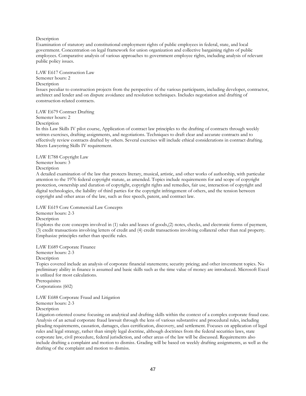#### Description

Examination of statutory and constitutional employment rights of public employees in federal, state, and local government. Concentration on legal framework for union organization and collective bargaining rights of public employees. Comparative analysis of various approaches to government employee rights, including analysis of relevant public policy issues.

#### LAW E617 Construction Law

Semester hours: 2 Description

Issues peculiar to construction projects from the perspective of the various participants, including developer, contractor, architect and lender and on dispute avoidance and resolution techniques. Includes negotiation and drafting of construction-related contracts.

LAW E679 Contract Drafting Semester hours: 2

Description

In this Law Skills IV pilot course, Application of contract law principles to the drafting of contracts through weekly written exercises, drafting assignments, and negotiations. Techniques to draft clear and accurate contracts and to effectively review contracts drafted by others. Several exercises will include ethical considerations in contract drafting. Meets Lawyering Skills IV requirement.

LAW E788 Copyright Law Semester hours: 3

Description

A detailed examination of the law that protects literary, musical, artistic, and other works of authorship, with particular attention to the 1976 federal copyright statute, as amended. Topics include requirements for and scope of copyright protection, ownership and duration of copyright, copyright rights and remedies, fair use, interaction of copyright and digital technologies, the liability of third parties for the copyright infringement of others, and the tension between copyright and other areas of the law, such as free speech, patent, and contract law.

LAW E619 Core Commercial Law Concepts

Semester hours: 2-3

**Description** 

Explores the core concepts involved in (1) sales and leases of goods,(2) notes, checks, and electronic forms of payment, (3) credit transactions involving letters of credit and (4) credit transactions involving collateral other than real property. Emphasize principles rather than specific rules.

LAW E689 Corporate Finance

Semester hours: 2-3

Description

Topics covered include an analysis of corporate financial statements; security pricing; and other investment topics. No preliminary ability in finance is assumed and basic skills such as the time value of money are introduced. Microsoft Excel is utilized for most calculations.

Prerequisites Corporations (602)

LAW E688 Corporate Fraud and Litigation Semester hours: 2-3

**Description** 

Litigation-oriented course focusing on analytical and drafting skills within the context of a complex corporate fraud case. Analysis of an actual corporate fraud lawsuit through the lens of various substantive and procedural rules, including pleading requirements, causation, damages, class certification, discovery, and settlement. Focuses on application of legal rules and legal strategy, rather than simply legal doctrine, although doctrines from the federal securities laws, state corporate law, civil procedure, federal jurisdiction, and other areas of the law will be discussed. Requirements also include drafting a complaint and motion to dismiss. Grading will be based on weekly drafting assignments, as well as the drafting of the complaint and motion to dismiss.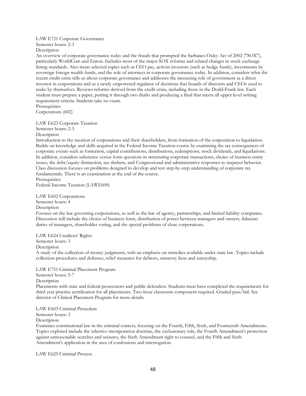## LAW E721 Corporate Governance Semester hours: 2-3

Description

An overview of corporate governance today and the frauds that prompted the Sarbanes-Oxley Act of 2002 ("SOX"), particularly WorldCom and Enron. Includes most of the major SOX reforms and related changes in stock exchange listing standards. Also treats selected topics such as CEO pay, activist investors (such as hedge funds), investments by sovereign foreign wealth funds, and the role of attorneys in corporate governance today. In addition, considers what the recent credit crisis tells us about corporate governance and addresses the increasing role of government as a direct investor in corporations and as a newly empowered regulator of decisions that boards of directors and CEOs used to make by themselves. Reviews reforms derived from the credit crisis, including those in the Dodd-Frank law. Each student must prepare a paper, putting it through two drafts and producing a final that meets all upper level writing requirement criteria. Students take no exam.

Prerequisites Corporations (602)

#### LAW E623 Corporate Taxation

Semester hours: 2-3 Description

Introduction to the taxation of corporations and their shareholders, from formation of the corporation to liquidation. Builds on knowledge and skills acquired in the Federal Income Taxation course by examining the tax consequences of corporate events such as formation, capital contributions, distributions, redemptions, stock dividends, and liquidations. In addition, considers substance versus form questions in structuring corporate transactions, choice of business entity issues, the debt/equity distinction, tax shelters, and Congressional and administrative responses to taxpayer behavior. Class discussion focuses on problems designed to develop and test step-by-step understanding of corporate tax fundamentals. There is an examination at the end of the course.

Prerequisites

Federal Income Taxation (LAWE600)

LAW E602 Corporations Semester hours: 4 **Description** 

Focuses on the law governing corporations, as well as the law of agency, partnerships, and limited liability companies. Discussion will include the choice of business form, distribution of power between managers and owners, fiduciary duties of managers, shareholder voting, and the special problems of close corporations.

#### LAW E624 Creditors' Rights

Semester hours: 3

**Description** 

A study of the collection of money judgments, with an emphasis on remedies available under state law. Topics include collection procedures and defenses, relief measures for debtors, statutory liens and suretyship.

LAW E751 Criminal Placement Program

Semester hours: 5-7

Description

Placements with state and federal prosecutors and public defenders. Students must have completed the requirements for third year practice certification for all placements. Two-hour classroom component required. Graded pass/fail. See director of Clinical Placement Program for more details.

LAW E603 Criminal Procedure

Semester hours: 3

Description

Examines constitutional law in the criminal context, focusing on the Fourth, Fifth, Sixth, and Fourteenth Amendments. Topics explored include the selective incorporation doctrine, the exclusionary rule, the Fourth Amendment's protection against unreasonable searches and seizures, the Sixth Amendment right to counsel, and the Fifth and Sixth Amendment's application in the area of confessions and interrogation.

LAW E625 Criminal Process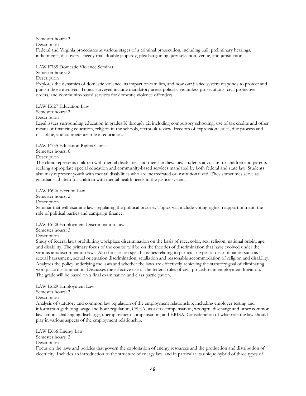Semester hours: 3

Description

Federal and Virginia procedures at various stages of a criminal prosecution, including bail, preliminary hearings, indictments, discovery, speedy trial, double jeopardy, plea bargaining, jury selection, venue, and jurisdiction.

LAW E785 Domestic Violence Seminar

#### Semester hours: 2

#### **Description**

Explores the dynamics of domestic violence, its impact on families, and how our justice system responds to protect and punish those involved. Topics surveyed include mandatory arrest policies, victimless prosecutions, civil protective orders, and community-based services for domestic violence offenders.

LAW E627 Education Law Semester hours: 2 Description

Legal issues surrounding education in grades K through 12, including compulsory schooling, use of tax credits and other means of financing education, religion in the schools, textbook review, freedom of expression issues, due process and discipline, and competency role in education.

LAW E755 Education Rights Clinic

Semester hours: 6 Description

The clinic represents children with mental disabilities and their families. Law students advocate for children and parents seeking appropriate special education and community-based services mandated by both federal and state law. Students also may represent youth with mental disabilities who are incarcerated or institutionalized. They sometimes serve as guardians ad litem for children with mental health needs in the justice system.

LAW E626 Election Law Semester hours: 2 **Description** Seminar that will examine laws regulating the political process. Topics will include voting rights, reapportionment, the role of political parties and campaign finance.

LAW E628 Employment Discrimination Law

Semester hours: 3

Description

Study of federal laws prohibiting workplace discrimination on the basis of race, color, sex, religion, national origin, age, and disability. The primary focus of the course will be on the theories of discrimination that have evolved under the various antidiscrimination laws. Also focuses on specific issues relating to particular types of discrimination such as sexual harassment, sexual orientation discrimination, retaliation and reasonable accommodation of religion and disability. Analyzes the policy underlying the laws and whether the laws are effectively achieving the statutory goal of eliminating workplace discrimination. Discusses the effective use of the federal rules of civil procedure in employment litigation. The grade will be based on a final examination and class participation.

LAW E629 Employment Law

Semester hours: 3

Description

Analysis of statutory and common law regulation of the employment relationship, including employer testing and information gathering, wage and hour regulation, OSHA, workers compensation, wrongful discharge and other common law actions challenging discharge, unemployment compensation, and ERISA. Consideration of what role the law should play in various aspects of the employment relationship.

LAW E666 Energy Law Semester hours: 2 Description

Focus on the laws and policies that govern the exploitation of energy resources and the production and distribution of electricity. Includes an introduction to the structure of energy law, and in particular its unique hybrid of three types of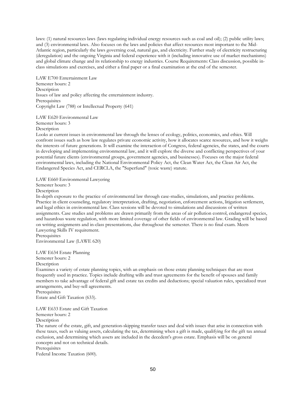laws: (1) natural resources laws (laws regulating individual energy resources such as coal and oil); (2) public utility laws; and (3) environmental laws. Also focuses on the laws and policies that affect resources most important to the Mid-Atlantic region, particularly the laws governing coal, natural gas, and electricity. Further study of electricity restructuring (deregulation) and the ongoing Virginia and federal experience with it (including innovative use of market mechanisms) and global climate change and its relationship to energy industries. Course Requirements: Class discussion, possible inclass simulations and exercises, and either a final paper or a final examination at the end of the semester.

LAW E700 Entertainment Law Semester hours: 2 Description Issues of law and policy affecting the entertainment industry. Prerequisites Copyright Law (788) or Intellectual Property (641)

LAW E620 Environmental Law

Semester hours: 3 Description

Looks at current issues in environmental law through the lenses of ecology, politics, economics, and ethics. Will confront issues such as how law regulates private economic activity, how it allocates scarce resources, and how it weighs the interests of future generations. It will examine the interaction of Congress, federal agencies, the states, and the courts in developing and implementing environmental law, and it will explore the diverse and conflicting perspectives of your potential future clients (environmental groups, government agencies, and businesses). Focuses on the major federal environmental laws, including the National Environmental Policy Act, the Clean Water Act, the Clean Air Act, the Endangered Species Act, and CERCLA, the "Superfund" (toxic waste) statute.

LAW E660 Environmental Lawyering

Semester hours: 3

Description

In-depth exposure to the practice of environmental law through case-studies, simulations, and practice problems. Practice in client counseling, regulatory interpretation, drafting, negotiation, enforcement actions, litigation settlement, and legal ethics in environmental law. Class sessions will be devoted to simulations and discussions of written assignments. Case studies and problems are drawn primarily from the areas of air pollution control, endangered species, and hazardous waste regulation, with more limited coverage of other fields of environmental law. Grading will be based on writing assignments and in-class presentations, due throughout the semester. There is no final exam. Meets Lawyering Skills IV requirement.

**Prerequisites** Environmental Law (LAWE 620)

LAW E634 Estate Planning

Semester hours: 2

Description

Examines a variety of estate planning topics, with an emphasis on those estate planning techniques that are most frequently used in practice. Topics include drafting wills and trust agreements for the benefit of spouses and family members to take advantage of federal gift and estate tax credits and deductions; special valuation rules, specialized trust arrangements, and buy-sell agreements.

Prerequisites

Estate and Gift Taxation (633).

LAW E633 Estate and Gift Taxation Semester hours: 2 Description

The nature of the estate, gift, and generation-skipping transfer taxes and deal with issues that arise in connection with these taxes, such as valuing assets, calculating the tax, determining when a gift is made, qualifying for the gift tax annual exclusion, and determining which assets are included in the decedent's gross estate. Emphasis will be on general concepts and not on technical details.

**Prerequisites** 

Federal Income Taxation (600).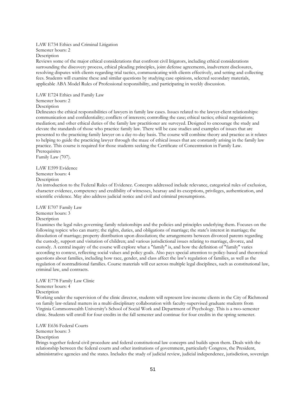#### LAW E734 Ethics and Criminal Litigation Semester hours: 2 Description

Reviews some of the major ethical considerations that confront civil litigators, including ethical considerations surrounding the discovery process, ethical pleading principles, joint defense agreements, inadvertent disclosures, resolving disputes with clients regarding trial tactics, communicating with clients effectively, and setting and collecting fees. Students will examine these and similar questions by studying case opinions, selected secondary materials, applicable ABA Model Rules of Professional responsibility, and participating in weekly discussion.

LAW E724 Ethics and Family Law

#### Semester hours: 2

Description

Delineates the ethical responsibilities of lawyers in family law cases. Issues related to the lawyer-client relationships: communication and confidentiality; conflicts of interests; controlling the case; ethical tactics; ethical negotiations; mediation; and other ethical duties of the family law practitioner are surveyed. Designed to encourage the study and elevate the standards of those who practice family law. There will be case studies and examples of issues that are presented to the practicing family lawyer on a day-to-day basis. The course will combine theory and practice as it relates to helping to guide the practicing lawyer through the maze of ethical issues that are constantly arising in the family law practice. This course is required for those students seeking the Certificate of Concentration in Family Law. Prerequisites

Family Law (707).

LAW E599 Evidence Semester hours: 4

Description

An introduction to the Federal Rules of Evidence. Concepts addressed include relevance, categorical rules of exclusion, character evidence, competency and credibility of witnesses, hearsay and its exceptions, privileges, authentication, and scientific evidence. May also address judicial notice and civil and criminal presumptions.

LAW E707 Family Law Semester hours: 3

Description

Examines the legal rules governing family relationships and the policies and principles underlying them. Focuses on the following topics: who can marry; the rights, duties, and obligations of marriage; the state's interest in marriage; the dissolution of marriage; property distribution upon dissolution; the arrangements between divorced parents regarding the custody, support and visitation of children; and various jurisdictional issues relating to marriage, divorce, and custody. A central inquiry of the course will explore what a "family" is, and how the definition of "family" varies according to context, reflecting social values and policy goals. Also pays special attention to policy-based and theoretical questions about families, including how race, gender, and class affect the law's regulation of families, as well as the regulation of nontraditional families. Course materials will cut across multiple legal disciplines, such as constitutional law, criminal law, and contracts.

## LAW E778 Family Law Clinic

Semester hours: 4

Description

Working under the supervision of the clinic director, students will represent low-income clients in the City of Richmond on family law-related matters in a multi-disciplinary collaboration with faculty-supervised graduate students from Virginia Commonwealth University's School of Social Work and Department of Psychology. This is a two-semester clinic. Students will enroll for four credits in the fall semester and continue for four credits in the spring semester.

LAW E636 Federal Courts Semester hours: 3 Description

Brings together federal civil procedure and federal constitutional law concepts and builds upon them. Deals with the relationship between the federal courts and other institutions of government, particularly Congress, the President, administrative agencies and the states. Includes the study of judicial review, judicial independence, jurisdiction, sovereign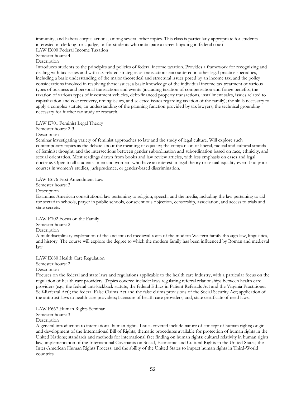immunity, and habeas corpus actions, among several other topics. This class is particularly appropriate for students interested in clerking for a judge, or for students who anticipate a career litigating in federal court. LAW E600 Federal Income Taxation

Semester hours: 4

Description

Introduces students to the principles and policies of federal income taxation. Provides a framework for recognizing and dealing with tax issues and with tax-related strategies or transactions encountered in other legal practice specialties, including a basic understanding of the major theoretical and structural issues posed by an income tax, and the policy considerations involved in resolving those issues; a basic knowledge of the individual income tax treatment of various types of business and personal transactions and events (including taxation of compensation and fringe benefits, the taxation of various types of investment vehicles, debt-financed property transactions, installment sales, issues related to capitalization and cost recovery, timing issues, and selected issues regarding taxation of the family); the skills necessary to apply a complex statute; an understanding of the planning function provided by tax lawyers; the technical grounding necessary for further tax study or research.

LAW E701 Feminist Legal Theory

Semester hours: 2-3

Description

Seminar investigating variety of feminist approaches to law and the study of legal culture. Will explore such contemporary topics as the debate about the meaning of equality; the comparison of liberal, radical and cultural strands of feminist thought; and the intersections between gender subordination and subordination based on race, ethnicity, and sexual orientation. Most readings drawn from books and law review articles, with less emphasis on cases and legal doctrine. Open to all students--men and women--who have an interest in legal theory or sexual equality-even if no prior courses in women's studies, jurisprudence, or gender-based discrimination.

#### LAW E676 First Amendment Law

Semester hours: 3

Description

Examines American constitutional law pertaining to religion, speech, and the media, including the law pertaining to aid for sectarian schools, prayer in public schools, conscientious objection, censorship, association, and access to trials and state secrets.

LAW E702 Focus on the Family Semester hours: 2 Description A multidisciplinary exploration of the ancient and medieval roots of the modern Western family through law, linguistics, and history. The course will explore the degree to which the modern family has been influenced by Roman and medieval law

LAW E680 Health Care Regulation Semester hours: 2 Description

Focuses on the federal and state laws and regulations applicable to the health care industry, with a particular focus on the regulation of health care providers. Topics covered include: laws regulating referral relationships between health care providers (e.g., the federal anti-kickback statute, the federal Ethics in Patient Referrals Act and the Virginia Practitioner Self-Referral Act); the federal False Claims Act and the false claims provisions of the Social Security Act; application of the antitrust laws to health care providers; licensure of health care providers; and, state certificate of need laws.

LAW E667 Human Rights Seminar

Semester hours: 3

Description

A general introduction to international human rights. Issues covered include nature of concept of human rights; origin and development of the International Bill of Rights; thematic procedures available for protection of human rights in the United Nations; standards and methods for international fact finding on human rights; cultural relativity in human rights law; implementation of the International Covenants on Social, Economic and Cultural Rights in the United States; the Inter-American Human Rights Process; and the ability of the United States to impact human rights in Third-World countries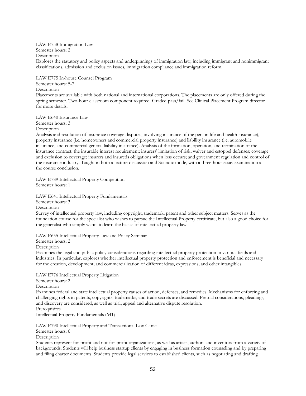LAW E758 Immigration Law Semester hours: 2 Description Explores the statutory and policy aspects and underpinnings of immigration law, including immigrant and nonimmigrant classifications, admission and exclusion issues, immigration compliance and immigration reform.

LAW E775 In-house Counsel Program Semester hours: 5-7 Description Placements are available with both national and international corporations. The placements are only offered during the spring semester. Two-hour classroom component required. Graded pass/fail. See Clinical Placement Program director for more details.

LAW E640 Insurance Law

Semester hours: 3 Description

Analysis and resolution of insurance coverage disputes, involving insurance of the person life and health insurance), property insurance (i.e. homeowners and commercial property insurance) and liability insurance (i.e. automobile insurance, and commercial general liability insurance). Analysis of the formation, operation, and termination of the insurance contract; the insurable interest requirement; insurers' limitation of risk; waiver and estoppel defenses; coverage and exclusion to coverage; insurers and insureds obligations when loss occurs; and government regulation and control of the insurance industry. Taught in both a lecture-discussion and Socratic mode, with a three-hour essay examination at the course conclusion.

LAW E789 Intellectual Property Competition Semester hours: 1

LAW E641 Intellectual Property Fundamentals

Semester hours: 3

**Description** 

Survey of intellectual property law, including copyright, trademark, patent and other subject matters. Serves as the foundation course for the specialist who wishes to pursue the Intellectual Property certificate, but also a good choice for the generalist who simply wants to learn the basics of intellectual property law.

LAW E655 Intellectual Property Law and Policy Seminar

Semester hours: 2

Description

Examines the legal and public policy considerations regarding intellectual property protection in various fields and industries. In particular, explores whether intellectual property protection and enforcement is beneficial and necessary for the creation, development, and commercialization of different ideas, expressions, and other intangibles.

LAW E776 Intellectual Property Litigation Semester hours: 2

Description

Examines federal and state intellectual property causes of action, defenses, and remedies. Mechanisms for enforcing and challenging rights in patents, copyrights, trademarks, and trade secrets are discussed. Pretrial considerations, pleadings, and discovery are considered, as well as trial, appeal and alternative dispute resolution.

**Prerequisites** 

Intellectual Property Fundamentals (641)

LAW E790 Intellectual Property and Transactional Law Clinic Semester hours: 6 Description

Students represent for-profit and not-for-profit organizations, as well as artists, authors and inventors from a variety of backgrounds. Students will help business startup clients by engaging in business formation counseling and by preparing and filing charter documents. Students provide legal services to established clients, such as negotiating and drafting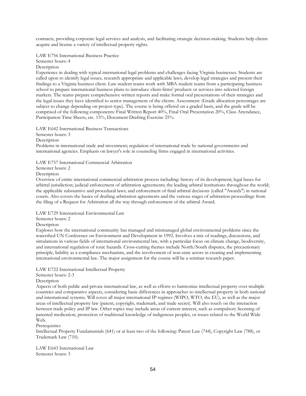contracts, providing corporate legal services and analysis, and facilitating strategic decision-making. Students help clients acquire and license a variety of intellectual property rights.

LAW E756 International Business Practice

Semester hours: 4

Description

Experience in dealing with typical international legal problems and challenges facing Virginia businesses. Students are called upon to identify legal issues, research appropriate and applicable laws, develop legal strategies and present their findings to a Virginia business client. Law student teams work with MBA student teams from a participating business school to prepare international business plans to introduce client-firms' products or services into selected foreign markets. The teams prepare comprehensive written reports and make formal oral presentations of their strategies and the legal issues they have identified to senior management of the clients. Assessment: (Grade allocation percentages are subject to change depending on project-type). The course is being offered on a graded basis, and the grade will be comprised of the following components: Final Written Report 40%, Final Oral Presentation 20%, Class Attendance, Participation Time Sheets, etc. 15%, Document Drafting Exercise 25%.

LAW E642 International Business Transactions

Semester hours: 3

Description

Problems in international trade and investment; regulation of international trade by national governments and international agencies. Emphasis on lawyer's role in counseling firms engaged in international activities.

LAW E757 International Commercial Arbitration

Semester hours: 2

Description

Overview of entire international commercial arbitration process including: history of its development; legal bases for arbitral jurisdiction; judicial enforcement of arbitration agreements; the leading arbitral institutions throughout the world; the applicable substantive and procedural laws; and enforcement of final arbitral decisions (called "Awards") in national courts. Also covers the basics of drafting arbitration agreements and the various stages of arbitration proceedings from the filing of a Request for Arbitration all the way through enforcement of the arbitral Award.

LAW E729 International Environmental Law

Semester hours: 2

Description

Explores how the international community has managed and mismanaged global environmental problems since the watershed UN Conference on Environment and Development in 1992. Involves a mix of readings, discussions, and simulations in various fields of international environmental law, with a particular focus on climate change, biodiversity, and international regulation of toxic hazards. Cross-cutting themes include North/South disputes, the precautionary principle, liability as a compliance mechanism, and the involvement of non-state actors in creating and implementing international environmental law. The major assignment for the course will be a seminar research paper.

LAW E722 International Intellectual Property

Semester hours: 2-3

Description

Aspects of both public and private international law, as well as efforts to harmonize intellectual property over multiple countries and comparative aspects, considering basic differences in approaches to intellectual property in both national and international systems. Will cover all major international IP regimes (WIPO, WTO, the EU), as well as the major areas of intellectual property law (patent, copyright, trademark, and trade secret). Will also touch on the interaction between trade policy and IP law. Other topics may include areas of current interest, such as compulsory licensing of patented medication, protection of traditional knowledge of indigenous peoples, or issues related to the World Wide Web.

Prerequisites

Intellectual Property Fundamentals (641) or at least two of the following: Patent Law (744), Copyright Law (788), or Trademark Law (710).

LAW E643 International Law Semester hours: 3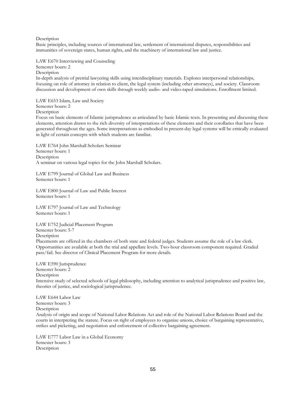Description

Basic principles, including sources of international law, settlement of international disputes, responsibilities and immunities of sovereign states, human rights, and the machinery of international law and justice.

LAW E670 Interviewing and Counseling Semester hours: 2 **Description** In-depth analysis of pretrial lawyering skills using interdisciplinary materials. Explores interpersonal relationships, focusing on role of attorney in relation to client, the legal system (including other attorneys), and society. Classroom discussion and development of own skills through weekly audio- and video-taped simulations. Enrollment limited.

LAW E653 Islam, Law and Society Semester hours: 2 Description

Focus on basic elements of Islamic jurisprudence as articulated by basic Islamic texts. In presenting and discussing these elements, attention drawn to the rich diversity of interpretations of these elements and their corollaries that have been generated throughout the ages. Some interpretations as embodied in present-day legal systems will be critically evaluated in light of certain concepts with which students are familiar.

LAW E764 John Marshall Scholars Seminar Semester hours: 1 Description A seminar on various legal topics for the John Marshall Scholars.

LAW E799 Journal of Global Law and Business Semester hours: 1

LAW E800 Journal of Law and Public Interest Semester hours: 1

LAW E797 Journal of Law and Technology Semester hours: 1

LAW E752 Judicial Placement Program Semester hours: 5-7

Description

Placements are offered in the chambers of both state and federal judges. Students assume the role of a law clerk. Opportunities are available at both the trial and appellate levels. Two-hour classroom component required. Graded pass/fail. See director of Clinical Placement Program for more details.

LAW E590 Jurisprudence Semester hours: 2 Description Intensive study of selected schools of legal philosophy, including attention to analytical jurisprudence and positive law, theories of justice, and sociological jurisprudence.

LAW E644 Labor Law Semester hours: 3 Description Analysis of origin and scope of National Labor Relations Act and role of the National Labor Relations Board and the courts in interpreting the statute. Focus on right of employees to organize unions, choice of bargaining representative, strikes and picketing, and negotiation and enforcement of collective bargaining agreement.

LAW E777 Labor Law in a Global Economy Semester hours: 3 **Description**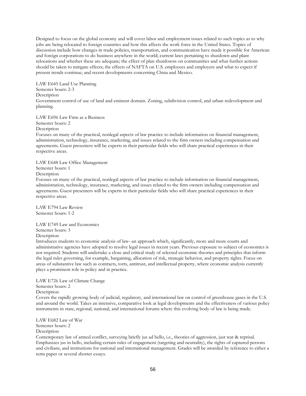Designed to focus on the global economy and will cover labor and employment issues related to such topics as to why jobs are being relocated to foreign countries and how this affects the work force in the United States. Topics of discussion include how changes in trade policies, transportation, and communication have made it possible for American and foreign corporations to do business anywhere in the world; current laws pertaining to shutdown and plant relocations and whether these are adequate; the effect of plan shutdowns on communities and what further actions should be taken to mitigate effects; the effects of NAFTA on U.S. employees and employers and what to expect if present trends continue; and recent developments concerning China and Mexico.

LAW E645 Land Use Planning Semester hours: 2-3 **Description** Government control of use of land and eminent domain. Zoning, subdivision control, and urban redevelopment and planning.

LAW E696 Law Firm as a Business

Semester hours: 2

Description

Focuses on many of the practical, nonlegal aspects of law practice to include information on financial management, administration, technology, insurance, marketing, and issues related to the firm owners including compensation and agreements. Guest presenters will be experts in their particular fields who will share practical experiences in their respective areas.

LAW E648 Law Office Management Semester hours: 1 Description

Focuses on many of the practical, nonlegal aspects of law practice to include information on financial management, administration, technology, insurance, marketing, and issues related to the firm owners including compensation and agreements. Guest presenters will be experts in their particular fields who will share practical experiences in their respective areas.

LAW E794 Law Review Semester hours: 1-2

LAW E749 Law and Economics Semester hours: 3 Description

Introduces students to economic analysis of law--an approach which, significantly, more and more courts and administrative agencies have adopted to resolve legal issues in recent years. Previous exposure to subject of economics is not required. Students will undertake a close and critical study of selected economic theories and principles that inform the legal rules governing, for example, bargaining, allocation of risk, strategic behavior, and property rights. Focus on areas of substantive law such as contracts, torts, antitrust, and intellectual property, where economic analysis currently plays a prominent role in policy and in practice.

LAW E726 Law of Climate Change Semester hours: 2 Description Covers the rapidly growing body of judicial, regulatory, and international law on control of greenhouse gases in the U.S. and around the world. Takes an intensive, comparative look at legal developments and the effectiveness of various policy instruments in state, regional, national, and international forums where this evolving body of law is being made.

LAW E682 Law of War Semester hours: 2 **Description** 

Contemporary law of armed conflict, surveying briefly jus ad bello, i.e., theories of aggression, just war & reprisal. Emphasizes jus in bello, including certain rules of engagement (targeting and neutrality), the rights of captured persons and civilians, and institutions for national and international management. Grades will be awarded by reference to either a term paper or several shorter essays.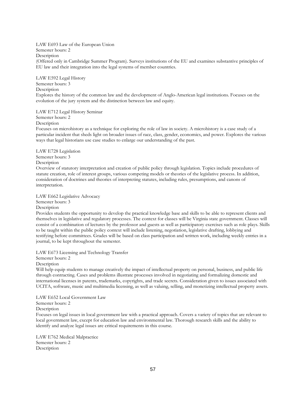LAW E693 Law of the European Union Semester hours: 2 Description (Offered only in Cambridge Summer Program). Surveys institutions of the EU and examines substantive principles of EU law and their integration into the legal systems of member countries.

LAW E592 Legal History Semester hours: 3 **Description** Explores the history of the common law and the development of Anglo-American legal institutions. Focuses on the evolution of the jury system and the distinction between law and equity.

LAW E712 Legal History Seminar

Semester hours: 2

Description

Focuses on microhistory as a technique for exploring the role of law in society. A microhistory is a case study of a particular incident that sheds light on broader issues of race, class, gender, economics, and power. Explores the various ways that legal historians use case studies to enlarge our understanding of the past.

LAW E728 Legislation Semester hours: 3 Description

Overview of statutory interpretation and creation of public policy through legislation. Topics include procedures of statute creation, role of interest groups, various competing models or theories of the legislative process. In addition, consideration of doctrines and theories of interpreting statutes, including rules, presumptions, and canons of interpretation.

LAW E662 Legislative Advocacy

Semester hours: 3

Description

Provides students the opportunity to develop the practical knowledge base and skills to be able to represent clients and themselves in legislative and regulatory processes. The context for classes will be Virginia state government. Classes will consist of a combination of lectures by the professor and guests as well as participatory exercises such as role plays. Skills to be taught within the public policy context will include listening, negotiation, legislative drafting, lobbying and testifying before committees. Grades will be based on class participation and written work, including weekly entries in a journal, to be kept throughout the semester.

LAW E673 Licensing and Technology Transfer

Semester hours: 2

Description

Will help equip students to manage creatively the impact of intellectual property on personal, business, and public life through contracting. Cases and problems illustrate processes involved in negotiating and formalizing domestic and international licenses in patents, trademarks, copyrights, and trade secrets. Consideration given to issues associated with UCITA, software, music and multimedia licensing, as well as valuing, selling, and monetizing intellectual property assets.

LAW E652 Local Government Law

Semester hours: 2

Description

Focuses on legal issues in local government law with a practical approach. Covers a variety of topics that are relevant to local government law, except for education law and environmental law. Thorough research skills and the ability to identify and analyze legal issues are critical requirements in this course.

LAW E762 Medical Malpractice Semester hours: 2 Description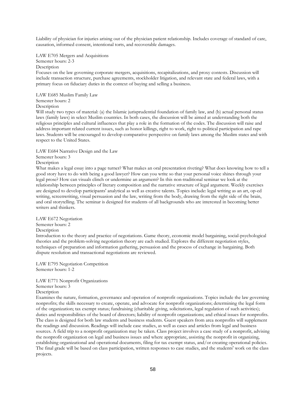Liability of physician for injuries arising out of the physician patient relationship. Includes coverage of standard of care, causation, informed consent, intentional torts, and recoverable damages.

LAW E705 Mergers and Acquisitions

Semester hours: 2-3

Description

Focuses on the law governing corporate mergers, acquisitions, recapitalizations, and proxy contests. Discussion will include transaction structure, purchase agreements, stockholder litigation, and relevant state and federal laws, with a primary focus on fiduciary duties in the context of buying and selling a business.

LAW E685 Muslim Family Law

Semester hours: 2

Description

Will study two types of material: (a) the Islamic jurisprudential foundation of family law, and (b) actual personal status laws (family laws) in select Muslim countries. In both cases, the discussion will be aimed at understanding both the religious principles and cultural influences that play a role in the formation of the codes. The discussion will raise and address important related current issues, such as honor killings, right to work, right to political participation and rape laws. Students will be encouraged to develop comparative perspective on family laws among the Muslim states and with respect to the United States.

LAW E684 Narrative Design and the Law

Semester hours: 3

Description

What makes a legal essay into a page turner? What makes an oral presentation riveting? What does knowing how to tell a good story have to do with being a good lawyer? How can you write so that your personal voice shines through your legal prose? How can visuals clinch or undermine an argument? In this non-traditional seminar we look at the relationship between principles of literary composition and the narrative structure of legal argument. Weekly exercises are designed to develop participants' analytical as well as creative talents. Topics include: legal writing as an art, op-ed writing, screenwriting, visual persuasion and the law, writing from the body, drawing from the right side of the brain, and oral storytelling. The seminar is designed for students of all backgrounds who are interested in becoming better writers and thinkers.

LAW E672 Negotiation

Semester hours: 2

Description

Introduction to the theory and practice of negotiations. Game theory, economic model bargaining, social-psychological theories and the problem-solving negotiation theory are each studied. Explores the different negotiation styles, techniques of preparation and information gathering, persuasion and the process of exchange in bargaining. Both dispute resolution and transactional negotiations are reviewed.

LAW E795 Negotiation Competition Semester hours: 1-2

LAW E771 Nonprofit Organizations

Semester hours: 3

Description

Examines the nature, formation, governance and operation of nonprofit organizations. Topics include the law governing nonprofits; the skills necessary to create, operate, and advocate for nonprofit organizations; determining the legal form of the organization; tax exempt status; fundraising (charitable giving, solicitations, legal regulation of such activities); duties and responsibilities of the board of directors; liability of nonprofit organizations; and ethical issues for nonprofits. The class is designed for both law students and business students. Guest speakers from area nonprofits will supplement the readings and discussion. Readings will include case studies, as well as cases and articles from legal and business sources. A field trip to a nonprofit organization may be taken. Class project involves a case study of a nonprofit, advising the nonprofit organization on legal and business issues and where appropriate, assisting the nonprofit in organizing, establishing organizational and operational documents, filing for tax exempt status, and/or creating operational policies. The final grade will be based on class participation, written responses to case studies, and the students' work on the class projects.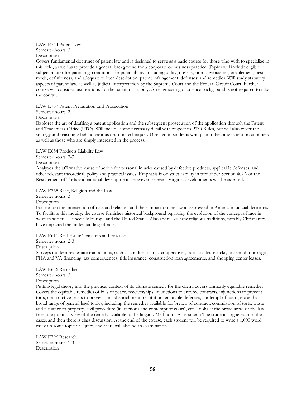LAW E744 Patent Law Semester hours: 3 Description

Covers fundamental doctrines of patent law and is designed to serve as a basic course for those who wish to specialize in this field, as well as to provide a general background for a corporate or business practice. Topics will include eligible subject matter for patenting; conditions for patentability, including utility, novelty, non-obviousness, enablement, best mode, definiteness, and adequate written description; patent infringement; defenses; and remedies. Will study statutory aspects of patent law, as well as judicial interpretation by the Supreme Court and the Federal Circuit Court. Further, course will consider justifications for the patent monopoly. An engineering or science background is not required to take the course.

LAW E787 Patent Preparation and Prosecution

Semester hours: 2

Description

Explores the art of drafting a patent application and the subsequent prosecution of the application through the Patent and Trademark Office (PTO). Will include some necessary detail with respect to PTO Rules, but will also cover the strategy and reasoning behind various drafting techniques. Directed to students who plan to become patent practitioners as well as those who are simply interested in the process.

LAW E654 Products Liability Law Semester hours: 2-3 Description

Analyzes the affirmative cause of action for personal injuries caused by defective products, applicable defenses, and other relevant theoretical, policy and practical issues. Emphasis is on strict liability in tort under Section 402A of the Restatement of Torts and national developments; however, relevant Virginia developments will be assessed.

LAW E765 Race, Religion and the Law

Semester hours: 3

**Description** 

Focuses on the intersection of race and religion, and their impact on the law as expressed in American judicial decisions. To facilitate this inquiry, the course furnishes historical background regarding the evolution of the concept of race in western societies, especially Europe and the United States. Also addresses how religious traditions, notably Christianity, have impacted the understanding of race.

LAW E611 Real Estate Transfers and Finance

Semester hours: 2-3

Description

Surveys modern real estate transactions, such as condominiums, cooperatives, sales and leasebacks, leasehold mortgages, FHA and VA financing, tax consequences, title insurance, construction loan agreements, and shopping center leases.

LAW E656 Remedies

Semester hours: 3

Description

Putting legal theory into the practical context of its ultimate remedy for the client, covers primarily equitable remedies Covers the equitable remedies of bills of peace, receiverships, injunctions to enforce contracts, injunctions to prevent torts, constructive trusts to prevent unjust enrichment, restitution, equitable defenses, contempt of court, etc and a broad range of general legal topics, including the remedies available for breach of contract, commission of torts, waste and nuisance to property, civil procedure (injunctions and contempt of court), etc. Looks at the broad areas of the law from the point of view of the remedy available to the litigant. Method of Assessment: The students argue each of the cases, and then there is class discussion. At the end of the course, each student will be required to write a 1,000 word essay on some topic of equity, and there will also be an examination.

LAW E796 Research Semester hours: 1-3 **Description**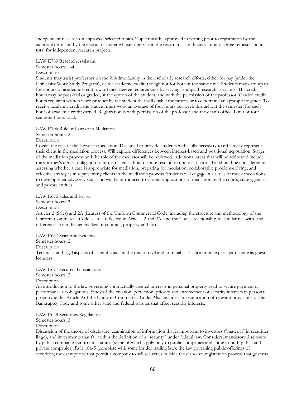Independent research on approved selected topics. Topic must be approved in writing prior to registration by the associate dean and by the instructor under whose supervision the research is conducted. Limit of three semester hours total for independent research projects.

LAW E780 Research Assistant Semester hours: 1-4 **Description** 

Students may assist professors on the full-time faculty in their scholarly research efforts, either for pay (under the University Work Study Program), or for academic credit, though not for both at the same time. Students may earn up to four hours of academic credit toward their degree requirements by serving as unpaid research assistants. The credit hours may be pass/fail or graded, at the option of the student, and with the permission of the professor. Graded credit hours require a written work product by the student that will enable the professor to determine an appropriate grade. To receive academic credit, the student must work an average of four hours per week throughout the semester, for each hour of academic credit earned. Registration is with permission of the professor and the dean's office. Limit of four semester hours total.

LAW E706 Role of Lawyer in Mediation

Semester hours: 2

Description

Covers the role of the lawyer in mediation. Designed to provide students with skills necessary to effectively represent their client in the mediation process. Will explore differences between interest-based and positional negotiation. Stages of the mediation process and the role of the mediator will be reviewed. Additional areas that will be addressed include the attorney's ethical obligation to inform clients about dispute resolution options, factors that should be considered in assessing whether a case is appropriate for mediation, preparing for mediation, collaborative problem-solving, and effective strategies in representing clients in the mediation process. Students will engage in a series of mock mediations to develop their advocacy skills and will be introduced to various applications of mediation by the courts, state agencies and private entities.

LAW E675 Sales and Leases

Semester hours: 3

**Description** 

Articles 2 (Sales) and 2A (Leases) of the Uniform Commercial Code, including the structure and methodology of the Uniform Commercial Code, as it is reflected in Articles 2 and 2A, and the Code's relationship to, similarities with, and differences from the general law of contract, property and tort.

LAW E657 Scientific Evidence

Semester hours: 2

Description

Technical and legal aspects of scientific aids in the trial of civil and criminal cases. Scientific experts participate as guest lecturers.

LAW E677 Secured Transactions Semester hours: 3 Description

An introduction to the law governing contractually created interests in personal property used to secure payment or performance of obligations. Study of the creation, perfection, priority and enforcement of security interests in personal property under Article 9 of the Uniform Commercial Code. Also includes an examination of relevant provisions of the Bankruptcy Code and some other state and federal statutes that affect security interests.

LAW E658 Securities Regulation

Semester hours: 3

Description

Discussion of the theory of disclosure, examination of information that is important to investors ("material" in securities lingo), and investments that fall within the definition of a "security" under federal law. Considers, mandatory disclosure by public companies; antifraud statutes (some of which apply only to public companies and some to both public and private companies); Rule 10b-5 (complete with some insider trading law); the law governing public offerings of securities; the exemptions that permit a company to sell securities outside the elaborate registration process that governs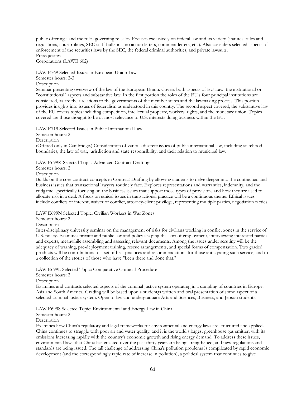public offerings; and the rules governing re-sales. Focuses exclusively on federal law and its variety (statutes, rules and regulations, court rulings, SEC staff bulletins, no action letters, comment letters, etc.). Also considers selected aspects of enforcement of the securities laws by the SEC, the federal criminal authorities, and private lawsuits. Prerequisites

Corporations (LAWE 602)

LAW E769 Selected Issues in European Union Law

Semester hours: 2-3

Description

Seminar presenting overview of the law of the European Union. Covers both aspects of EU Law: the institutional or "constitutional" aspects and substantive law. In the first portion the roles of the EU's four principal institutions are considered, as are their relations to the governments of the member states and the lawmaking process. This portion provides insights into issues of federalism as understood in this country. The second aspect covered, the substantive law of the EU covers topics including competition, intellectual property, workers' rights, and the monetary union. Topics covered are those thought to be of most relevance to U.S. interests doing business within the EU.

LAW E719 Selected Issues in Public International Law

Semester hours: 2

Description

(Offered only in Cambridge.) Consideration of various discrete issues of public international law, including statehood, boundaries, the law of war, jurisdiction and state responsibility, and their relation to municipal law.

LAW E699K Selected Topic: Advanced Contract Drafting

Semester hours: 2

Description

Builds on the core contract concepts in Contract Drafting by allowing students to delve deeper into the contractual and business issues that transactional lawyers routinely face. Explores representations and warranties, indemnity, and the endgame, specifically focusing on the business issues that support those types of provisions and how they are used to allocate risk in a deal. A focus on ethical issues in transactional practice will be a continuous theme. Ethical issues include conflicts of interest, waiver of conflict, attorney-client privilege, representing multiple parties, negotiation tactics.

LAW E699N Selected Topic: Civilian Workers in War Zones

Semester hours: 2

Description

Inter-disciplinary university seminar on the management of risks for civilians working in conflict zones in the service of U.S. policy. Examines private and public law and policy shaping this sort of employment, interviewing interested parties and experts, meanwhile assembling and assessing relevant documents. Among the issues under scrutiny will be the adequacy of warning, pre-deployment training, rescue arrangements, and special forms of compensation. Two graded products will be contributions to a set of best practices and recommendations for those anticipating such service, and to a collection of the stories of those who have "been there and done that."

LAW E699L Selected Topic: Comparative Criminal Procedure

Semester hours: 2

Description

Examines and contrasts selected aspects of the criminal justice system operating in a sampling of countries in Europe, Asia and South America. Grading will be based upon a student¿s written and oral presentation of some aspect of a selected criminal justice system. Open to law and undergraduate Arts and Sciences, Business, and Jepson students.

LAW E699S Selected Topic: Environmental and Energy Law in China

Semester hours: 2

Description

Examines how China's regulatory and legal frameworks for environmental and energy laws are structured and applied. China continues to struggle with poor air and water quality, and it is the world's largest greenhouse gas emitter, with its emissions increasing rapidly with the country's economic growth and rising energy demand. To address these issues, environmental laws that China has enacted over the past thirty years are being strengthened, and new regulations and standards are being issued. The tall challenge of addressing China's pollution problems is complicated by rapid economic development (and the correspondingly rapid rate of increase in pollution), a political system that continues to give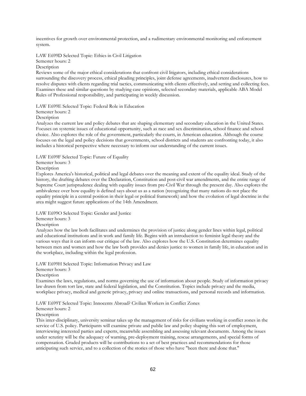incentives for growth over environmental protection, and a rudimentary environmental monitoring and enforcement system.

LAW E699D Selected Topic: Ethics in Civil Litigation

Semester hours: 2

Description

Reviews some of the major ethical considerations that confront civil litigators, including ethical considerations surrounding the discovery process, ethical pleading principles, joint defense agreements, inadvertent disclosures, how to resolve disputes with clients regarding trial tactics, communicating with clients effectively, and setting and collecting fees. Examines these and similar questions by studying case opinions, selected secondary materials, applicable ABA Model Rules of Professional responsibility, and participating in weekly discussion.

LAW E699E Selected Topic: Federal Role in Education

Semester hours: 2

Description

Analyzes the current law and policy debates that are shaping elementary and secondary education in the United States. Focuses on systemic issues of educational opportunity, such as race and sex discrimination, school finance and school choice. Also explores the role of the government, particularly the courts, in American education. Although the course focuses on the legal and policy decisions that governments, school districts and students are confronting today, it also includes a historical perspective where necessary to inform our understanding of the current issues.

LAW E699F Selected Topic: Future of Equality

Semester hours: 3

Description

Explores America's historical, political and legal debates over the meaning and extent of the equality ideal. Study of the history, the drafting debates over the Declaration, Constitution and post-civil war amendments, and the entire range of Supreme Court jurisprudence dealing with equality issues from pre-Civil War through the present day. Also explores the ambivalence over how equality is defined says about us as a nation (recognizing that many nations do not place the equality principle in a central position in their legal or political framework) and how the evolution of legal doctrine in the area might suggest future applications of the 14th Amendment.

LAW E699O Selected Topic: Gender and Justice

Semester hours: 3

Description

Analyzes how the law both facilitates and undermines the provision of justice along gender lines within legal, political and educational institutions and in work and family life. Begins with an introduction to feminist legal theory and the various ways that it can inform our critique of the law. Also explores how the U.S. Constitution determines equality between men and women and how the law both provides and denies justice to women in family life, in education and in the workplace, including within the legal profession.

LAW E699H Selected Topic: Information Privacy and Law

Semester hours: 3

Description

Examines the laws, regulations, and norms governing the use of information about people. Study of information privacy law drawn from tort law, state and federal legislation, and the Constitution. Topics include privacy and the media, workplace privacy, medical and genetic privacy, privacy and online transactions, and personal records and information.

LAW E699T Selected Topic: Innocents Abroad? Civilian Workers in Conflict Zones

Semester hours: 2

**Description** 

This inter-disciplinary, university seminar takes up the management of risks for civilians working in conflict zones in the service of U.S. policy. Participants will examine private and public law and policy shaping this sort of employment, interviewing interested parties and experts, meanwhile assembling and assessing relevant documents. Among the issues under scrutiny will be the adequacy of warning, pre-deployment training, rescue arrangements, and special forms of compensation. Graded products will be contributions to a set of best practices and recommendations for those anticipating such service, and to a collection of the stories of those who have "been there and done that."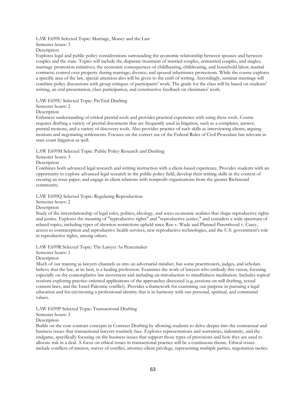LAW E699I Selected Topic: Marriage, Money and the Law Semester hours: 3

Description

Explores legal and public policy considerations surrounding the economic relationship between spouses and between couples and the state. Topics will include the disparate treatment of married couples, unmarried couples, and singles; marriage promotion initiatives; the economic consequences of childbearing, childrearing, and household labor; marital contracts; control over property during marriage; divorce; and spousal inheritance protections. While the course explores a specific area of the law, special attention also will be given to the craft of writing. Accordingly, seminar meetings will combine policy discussions with group critiques of participants' work. The grade for the class will be based on students' writing, an oral presentation, class participation, and constructive feedback on classmates' work.

LAW E699U Selected Topic: PreTrial Drafting

#### Semester hours: 2

Description

Enhances understanding of critical pretrial tools and provides practical experience with using these tools. Course requires drafting a variety of pretrial documents that are frequently used in litigation, such as a complaint, answer, pretrial motions, and a variety of discovery tools. Also provides practice of such skills as interviewing clients, arguing motions and negotiating settlements. Focuses on the correct use of the Federal Rules of Civil Procedure but relevant in state court litigation as well.

LAW E699M Selected Topic: Public Policy Research and Drafting

### Semester hours: 3

Description

Combines both advanced legal research and writing instruction with a client-based experience. Provides students with an opportunity to explore advanced legal research in the public policy field, develop their writing skills in the context of creating an issue paper, and engage in client relations with nonprofit organizations from the greater Richmond community.

LAW E699Q Selected Topic: Regulating Reproduction

## Semester hours: 2

#### **Description**

Study of the interrelationship of legal rules, politics, ideology, and socio-economic realities that shape reproductive rights and justice. Explores the meaning of "reproductive rights" and "reproductive justice," and considers a wide spectrum of related topics, including types of abortion restrictions upheld since Roe v. Wade and Planned Parenthood v. Casey, access to contraception and reproductive health services, new reproductive technologies, and the U.S. government's role in reproductive rights, among others.

LAW E699R Selected Topic: The Lawyer As Peacemaker

Semester hours: 3

Description

Much of our training as lawyers channels us into an adversarial mindset, but some practitioners, judges, and scholars believe that the law, at its best, is a healing profession. Examines the work of lawyers who embody this vision, focusing especially on the contemplative law movement and including an introduction to mindfulness meditation. Includes topical sessions exploring practice-oriented applications of the approaches discussed (e.g.,sessions on will drafting, sexual consent laws, and the Israel-Palestine conflict). Provides a framework for examining our purpose in pursuing a legal education and for envisioning a professional identity that is in harmony with our personal, spiritual, and communal values.

LAW E699P Selected Topic: Transactional Drafting

Semester hours: 3

**Description** 

Builds on the core contract concepts in Contract Drafting by allowing students to delve deeper into the contractual and business issues that transactional lawyers routinely face. Explores representations and warranties, indemnity, and the endgame, specifically focusing on the business issues that support those types of provisions and how they are used to allocate risk in a deal. A focus on ethical issues in transactional practice will be a continuous theme. Ethical issues include conflicts of interest, waiver of conflict, attorney-client privilege, representing multiple parties, negotiation tactics.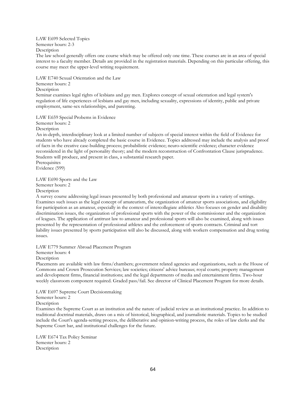LAW E699 Selected Topics Semester hours: 2-3

Description

The law school generally offers one course which may be offered only one time. These courses are in an area of special interest to a faculty member. Details are provided in the registration materials. Depending on this particular offering, this course may meet the upper-level writing requirement.

LAW E740 Sexual Orientation and the Law

Semester hours: 2

**Description** 

Seminar examines legal rights of lesbians and gay men. Explores concept of sexual orientation and legal system's regulation of life experiences of lesbians and gay men, including sexuality, expressions of identity, public and private employment, same-sex relationships, and parenting.

LAW E659 Special Probems in Evidence

Semester hours: 2

Description

An in-depth, interdisciplinary look at a limited number of subjects of special interest within the field of Evidence for students who have already completed the basic course in Evidence. Topics addressed may include the analysis and proof of facts in the creative case-building process; probabilistic evidence; neuro-scientific evidence; character evidence reconsidered in the light of personality theory; and the modern reconstruction of Confrontation Clause jurisprudence. Students will produce, and present in class, a substantial research paper. Prerequisites

Evidence (599)

LAW E690 Sports and the Law

Semester hours: 2

Description

A survey course addressing legal issues presented by both professional and amateur sports in a variety of settings. Examines such issues as the legal concept of amateurism, the organization of amateur sports associations, and eligibility for participation as an amateur, especially in the context of intercollegiate athletics Also focuses on gender and disability discrimination issues, the organization of professional sports with the power of the commissioner and the organization of leagues. The application of antitrust law to amateur and professional sports will also be examined, along with issues presented by the representation of professional athletes and the enforcement of sports contracts. Criminal and tort liability issues presented by sports participation will also be discussed, along with workers compensation and drug testing issues.

LAW E779 Summer Abroad Placement Program

Semester hours: 4

Description

Placements are available with law firms/chambers; government related agencies and organizations, such as the House of Commons and Crown Prosecution Services; law societies; citizens' advice bureaus; royal courts; property management and development firms, financial institutions; and the legal departments of media and entertainment firms. Two-hour weekly classroom component required. Graded pass/fail. See director of Clinical Placement Program for more details.

LAW E697 Supreme Court Decisionmaking

Semester hours: 2

Description

Examines the Supreme Court as an institution and the nature of judicial review as an institutional practice. In addition to traditional doctrinal materials, draws on a mix of historical, biographical, and journalistic materials. Topics to be studied include the Court's agenda-setting process, the deliberative and opinion-writing process, the roles of law clerks and the Supreme Court bar, and institutional challenges for the future.

LAW E674 Tax Policy Seminar Semester hours: 2 **Description**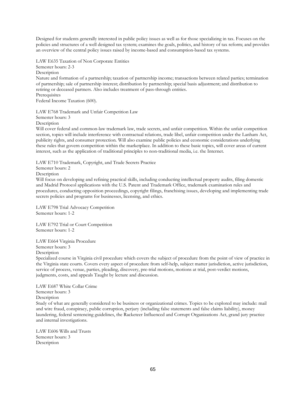Designed for students generally interested in public policy issues as well as for those specializing in tax. Focuses on the policies and structures of a well designed tax system; examines the goals, politics, and history of tax reform; and provides an overview of the central policy issues raised by income-based and consumption-based tax systems.

LAW E635 Taxation of Non Corporate Entities Semester hours: 2-3 **Description** Nature and formation of a partnership; taxation of partnership income; transactions between related parties; termination of partnership; sale of partnership interest; distribution by partnership; special basis adjustment; and distribution to retiring or deceased partners. Also includes treatment of pass-through entities.

**Prerequisites** Federal Income Taxation (600).

LAW E768 Trademark and Unfair Competition Law Semester hours: 3 Description

Will cover federal and common-law trademark law, trade secrets, and unfair competition. Within the unfair competition section, topics will include interference with contractual relations, trade libel, unfair competition under the Lanham Act, publicity rights, and consumer protection. Will also examine public policies and economic considerations underlying these rules that govern competition within the marketplace. In addition to these basic topics, will cover areas of current interest, such as the application of traditional principles to non-traditional media, i.e. the Internet.

LAW E710 Trademark, Copyright, and Trade Secrets Practice

Semester hours: 2

Description

Will focus on developing and refining practical skills, including conducting intellectual property audits, filing domestic and Madrid Protocol applications with the U.S. Patent and Trademark Office, trademark examination rules and procedures, conducting opposition proceedings, copyright filings, franchising issues, developing and implementing trade secrets policies and programs for businesses, licensing, and ethics.

LAW E798 Trial Advocacy Competition Semester hours: 1-2

LAW E792 Trial or Court Competition Semester hours: 1-2

LAW E664 Virginia Procedure Semester hours: 3 Description

Specialized course in Virginia civil procedure which covers the subject of procedure from the point of view of practice in the Virginia state courts. Covers every aspect of procedure from self-help, subject matter jurisdiction, active jurisdiction, service of process, venue, parties, pleading, discovery, pre-trial motions, motions at trial, post-verdict motions, judgments, costs, and appeals Taught by lecture and discussion.

LAW E687 White Collar Crime Semester hours: 3 Description Study of what are generally considered to be business or organizational crimes. Topics to be explored may include: mail and wire fraud, conspiracy, public corruption, perjury (including false statements and false claims liability), money laundering, federal sentencing guidelines, the Racketeer Influenced and Corrupt Organizations Act, grand jury practice and internal investigations.

LAW E606 Wills and Trusts Semester hours: 3 Description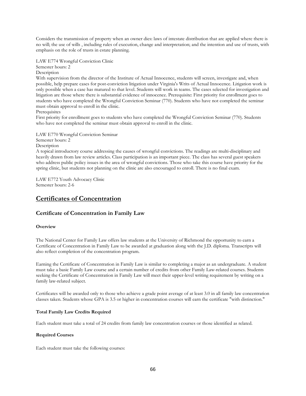Considers the transmission of property when an owner dies: laws of intestate distribution that are applied where there is no will; the use of wills , including rules of execution, change and interpretation; and the intention and use of trusts, with emphasis on the role of trusts in estate planning.

LAW E774 Wrongful Conviction Clinic Semester hours: 2 Description

With supervision from the director of the Institute of Actual Innocence, students will screen, investigate and, when possible, help prepare cases for post-conviction litigation under Virginia's Writs of Actual Innocence. Litigation work is only possible when a case has matured to that level. Students will work in teams. The cases selected for investigation and litigation are those where there is substantial evidence of innocence. Prerequisite: First priority for enrollment goes to students who have completed the Wrongful Conviction Seminar (770). Students who have not completed the seminar must obtain approval to enroll in the clinic.

Prerequisites

First priority for enrollment goes to students who have completed the Wrongful Conviction Seminar (770). Students who have not completed the seminar must obtain approval to enroll in the clinic.

LAW E770 Wrongful Conviction Seminar

Semester hours: 2

Description

A topical introductory course addressing the causes of wrongful convictions. The readings are multi-disciplinary and heavily drawn from law review articles. Class participation is an important piece. The class has several guest speakers who address public policy issues in the area of wrongful convictions. Those who take this course have priority for the spring clinic, but students not planning on the clinic are also encouraged to enroll. There is no final exam.

LAW E772 Youth Advocacy Clinic Semester hours: 2-6

# **Certificates of Concentration**

## **Certificate of Concentration in Family Law**

#### **Overview**

The National Center for Family Law offers law students at the University of Richmond the opportunity to earn a Certificate of Concentration in Family Law to be awarded at graduation along with the J.D. diploma. Transcripts will also reflect completion of the concentration program.

Earning the Certificate of Concentration in Family Law is similar to completing a major as an undergraduate. A student must take a basic Family Law course and a certain number of credits from other Family Law-related courses. Students seeking the Certificate of Concentration in Family Law will meet their upper-level writing requirement by writing on a family law-related subject.

Certificates will be awarded only to those who achieve a grade point average of at least 3.0 in all family law concentration classes taken. Students whose GPA is 3.5 or higher in concentration courses will earn the certificate "with distinction."

#### **Total Family Law Credits Required**

Each student must take a total of 24 credits from family law concentration courses or those identified as related.

#### **Required Courses**

Each student must take the following courses: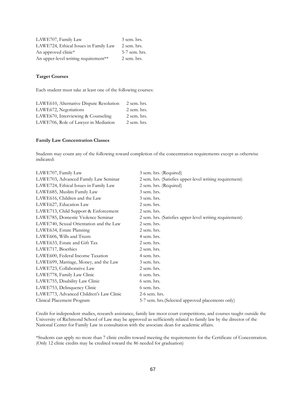| LAWE707, Family Law                   | 3 sem. hrs.   |
|---------------------------------------|---------------|
| LAWE724, Ethical Issues in Family Law | 2 sem. hrs.   |
| An approved clinic*                   | 5-7 sem. hrs. |
| An upper-level writing requirement**  | 2 sem. hrs.   |

#### **Target Courses**

Each student must take at least one of the following courses:

| LAWE610, Alternative Dispute Resolution | 2 sem. hrs. |
|-----------------------------------------|-------------|
| LAWE672, Negotiations                   | 2 sem. hrs. |
| LAWE670, Interviewing & Counseling      | 2 sem. hrs. |
| LAWE706, Role of Lawyer in Mediation    | 2 sem. hrs. |

#### **Family Law Concentration Classes**

Students may count any of the following toward completion of the concentration requirements except as otherwise indicated:

| LAWE707, Family Law                     | 3 sem. hrs. (Required)                                  |
|-----------------------------------------|---------------------------------------------------------|
| LAWE703, Advanced Family Law Seminar    | 2 sem. hrs. (Satisfies upper-level writing requirement) |
| LAWE724, Ethical Issues in Family Law   | 2 sem. hrs. (Required)                                  |
| LAWE685, Muslim Family Law              | 3 sem. hrs.                                             |
| LAWE616, Children and the Law           | 3 sem. hrs.                                             |
| LAWE627, Education Law                  | 2 sem. hrs.                                             |
| LAWE713, Child Support & Enforcement    | 2 sem. hrs.                                             |
| LAWE785, Domestic Violence Seminar      | 2 sem. hrs. (Satisfies upper-level writing requirement) |
| LAWE740, Sexual Orientation and the Law | 2 sem. hrs.                                             |
| LAWE634, Estate Planning                | 2 sem. hrs.                                             |
| LAWE606, Wills and Trusts               | 4 sem. hrs.                                             |
| LAWE633, Estate and Gift Tax            | 2 sem. hrs.                                             |
| LAWE717, Bioethics                      | 2 sem. hrs.                                             |
| LAWE600, Federal Income Taxation        | 4 sem. hrs.                                             |
| LAWE699, Marriage, Money, and the Law   | 3 sem. hrs.                                             |
| LAWE723, Collaborative Law              | 2 sem. hrs.                                             |
| LAWE778, Family Law Clinic              | 6 sem. hrs.                                             |
| LAWE755, Disability Law Clinic          | 6 sem. hrs.                                             |
| LAWE753, Delinquency Clinic             | 6 sem. hrs.                                             |
| LAWE773, Advanced Children's Law Clinic | $2-6$ sem. hrs.                                         |
| Clinical Placement Program              | 5-7 sem. hrs. (Selected approved placements only)       |
|                                         |                                                         |

Credit for independent studies, research assistance, family law moot court competitions, and courses taught outside the University of Richmond School of Law may be approved as sufficiently related to family law by the director of the National Center for Family Law in consultation with the associate dean for academic affairs.

\*Students can apply no more than 7 clinic credits toward meeting the requirements for the Certificate of Concentration. (Only 12 clinic credits may be credited toward the 86 needed for graduation)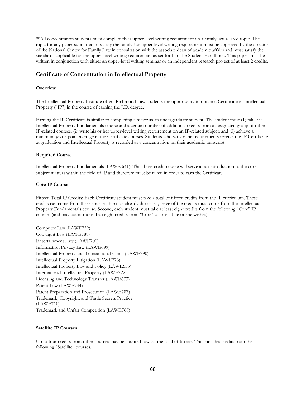\*\*All concentration students must complete their upper-level writing requirement on a family law-related topic. The topic for any paper submitted to satisfy the family law upper-level writing requirement must be approved by the director of the National Center for Family Law in consultation with the associate dean of academic affairs and must satisfy the standards applicable for the upper-level writing requirement as set forth in the Student Handbook. This paper must be written in conjunction with either an upper-level writing seminar or an independent research project of at least 2 credits.

## **Certificate of Concentration in Intellectual Property**

#### **Overview**

The Intellectual Property Institute offers Richmond Law students the opportunity to obtain a Certificate in Intellectual Property ("IP") in the course of earning the J.D. degree.

Earning the IP Certificate is similar to completing a major as an undergraduate student. The student must (1) take the Intellectual Property Fundamentals course and a certain number of additional credits from a designated group of other IP-related courses, (2) write his or her upper-level writing requirement on an IP-related subject, and (3) achieve a minimum grade point average in the Certificate courses. Students who satisfy the requirements receive the IP Certificate at graduation and Intellectual Property is recorded as a concentration on their academic transcript.

#### **Required Course**

Intellectual Property Fundamentals (LAWE 641): This three-credit course will serve as an introduction to the core subject matters within the field of IP and therefore must be taken in order to earn the Certificate.

#### **Core IP Courses**

Fifteen Total IP Credits: Each Certificate student must take a total of fifteen credits from the IP curriculum. These credits can come from three sources. First, as already discussed, three of the credits must come from the Intellectual Property Fundamentals course. Second, each student must take at least eight credits from the following "Core" IP courses (and may count more than eight credits from "Core" courses if he or she wishes).

Computer Law (LAWE759) Copyright Law (LAWE788) Entertainment Law (LAWE700) Information Privacy Law (LAWE699) Intellectual Property and Transactional Clinic (LAWE790) Intellectual Property Litigation (LAWE776) Intellectual Property Law and Policy (LAWE655) International Intellectual Property (LAWE722) Licensing and Technology Transfer (LAWE673) Patent Law (LAWE744) Patent Preparation and Prosecution (LAWE787) Trademark, Copyright, and Trade Secrets Practice (LAWE710) Trademark and Unfair Competition (LAWE768)

#### **Satellite IP Courses**

Up to four credits from other sources may be counted toward the total of fifteen. This includes credits from the following "Satellite" courses.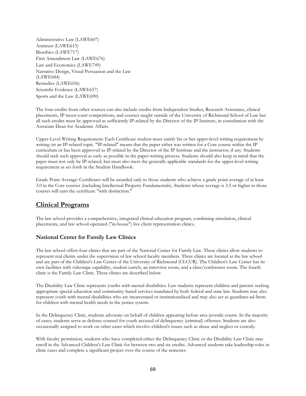Administrative Law (LAWE607) Antitrust (LAWE613) Bioethics (LAWE717) First Amendment Law (LAWE676) Law and Economics (LAWE749) Narrative Design, Visual Persuasion and the Law (LAWE684) Remedies (LAWE656) Scientific Evidence (LAWE657) Sports and the Law (LAWE690)

The four credits from other sources can also include credits from Independent Studies, Research Assistance, clinical placements, IP moot court competitions, and courses taught outside of the University of Richmond School of Law but all such credits must be approved as sufficiently IP-related by the Director of the IP Institute, in consultation with the Associate Dean for Academic Affairs.

Upper-Level Writing Requirement: Each Certificate student must satisfy his or her upper-level writing requirement by writing on an IP-related topic. "IP-related" means that the paper either was written for a Core course within the IP curriculum or has been approved as IP-related by the Director of the IP Institute and the instructor, if any. Students should seek such approval as early as possible in the paper-writing process. Students should also keep in mind that the paper must not only be IP-related, but must also meet the generally applicable standards for the upper-level writing requirement as set forth in the Student Handbook.

Grade Point Average: Certificates will be awarded only to those students who achieve a grade point average of at least 3.0 in the Core courses (including Intellectual Property Fundamentals). Students whose average is 3.5 or higher in those courses will earn the certificate "with distinction."

## **Clinical Programs**

The law school provides a comprehensive, integrated clinical education program, combining simulation, clinical placements, and law school-operated ("in-house") live client representation clinics.

## **National Center for Family Law Clinics**

The law school offers four clinics that are part of the National Center for Family Law. These clinics allow students to represent real clients under the supervision of law school faculty members. Three clinics are located at the law school and are part of the Children's Law Center of the University of Richmond (CLCUR). The Children's Law Center has its own facilities with videotape capability, student carrels, an interview room, and a class/conference room. The fourth clinic is the Family Law Clinic. These clinics are described below.

The Disability Law Clinic represents youths with mental disabilities. Law students represent children and parents seeking appropriate special education and community-based services mandated by both federal and state law. Students may also represent youth with mental disabilities who are incarcerated or institutionalized and may also act as guardians-ad-litem for children with mental health needs in the justice system.

In the Delinquency Clinic, students advocate on behalf of children appearing before area juvenile courts. In the majority of cases, students serve as defense counsel for youth accused of delinquency (criminal) offenses. Students are also occasionally assigned to work on other cases which involve children's issues such as abuse and neglect or custody.

With faculty permission, students who have completed either the Delinquency Clinic or the Disability Law Clinic may enroll in the Advanced Children's Law Clinic for between two and six credits. Advanced students take leadership roles in clinic cases and complete a significant project over the course of the semester.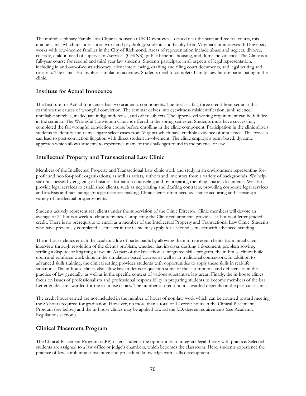The multidisciplinary Family Law Clinic is housed at UR-Downtown. Located near the state and federal courts, this unique clinic, which includes social work and psychology students and faculty from Virginia Commonwealth University, works with low-income families in the City of Richmond. Areas of representation include abuse and neglect, divorce, custody, child in need of supervision/services (CHINS), public benefits, housing, and domestic violence. The Clinic is a full-year course for second and third year law students. Students participate in all aspects of legal representation, including in and out-of-court advocacy, client interviewing, drafting and filing court documents, and legal writing and research. The clinic also involves simulation activities. Students need to complete Family Law before participating in the clinic.

## **Institute for Actual Innocence**

The Institute for Actual Innocence has two academic components. The first is a fall, three credit-hour seminar that examines the causes of wrongful conviction. The seminar delves into eyewitness misidentification, junk science, unreliable snitches, inadequate indigent defense, and other subjects. The upper-level writing requirement can be fulfilled in the seminar. The Wrongful Conviction Clinic is offered in the spring semester. Students must have successfully completed the fall wrongful conviction course before enrolling in the clinic component. Participation in the clinic allows students to identify and reinvestigate select cases from Virginia which have credible evidence of innocence. This process can lead to post-conviction litigation with direct student involvement. The clinic employs a term-based, dynamic approach which allows students to experience many of the challenges found in the practice of law.

## **Intellectual Property and Transactional Law Clinic**

Members of the Intellectual Property and Transactional Law clinic work and study in an environment representing forprofit and not-for-profit organizations, as well as artists, authors and inventors from a variety of backgrounds. We help start businesses by engaging in business formation counseling and by preparing the filing charter documents. We also provide legal services to established clients, such as negotiating and drafting contracts, providing corporate legal services and analysis and facilitating strategic decision-making. Clinic clients often need assistance acquiring and licensing a variety of intellectual property rights.

Students actively represent real clients under the supervision of the Clinic Director. Clinic members will devote an average of 24 hours a week to clinic activities. Completing the Clinic requirements provides six hours of letter-graded credit. There is no prerequisite to enroll as a member of the Intellectual Property and Transactional Law Clinic. Students who have previously completed a semester in the Clinic may apply for a second semester with advanced standing.

The in-house clinics enrich the academic life of participants by allowing them to represent clients from initial client interview through resolution of the client's problem, whether that involves drafting a document, problem solving, settling a dispute, or litigating a lawsuit. As part of the law school's integrated skills program, the in-house clinics build upon and reinforce work done in the simulation-based courses as well as in traditional coursework. In addition to advanced skills training, the clinical setting provides students with opportunities to apply these skills in real-life situations. The in-house clinics also allow law students to question some of the assumptions and deficiencies in the practice of law generally, as well as in the specific context of various substantive law areas. Finally, the in-house clinics focus on issues of professionalism and professional responsibility in preparing students to become members of the bar. Letter grades are awarded for the in-house clinics. The number of credit hours awarded depends on the particular clinic.

The credit hours earned are not included in the number of hours of non-law work which can be counted toward meeting the 86 hours required for graduation. However, no more than a total of 12 credit hours in the Clinical Placement Program (see below) and the in-house clinics may be applied toward the J.D. degree requirements (see Academic Regulations section.)

#### **Clinical Placement Program**

The Clinical Placement Program (CPP) offers students the opportunity to integrate legal theory with practice. Selected students are assigned to a law office or judge's chambers, which becomes the classroom. Here, students experience the practice of law, combining substantive and procedural knowledge with skills development.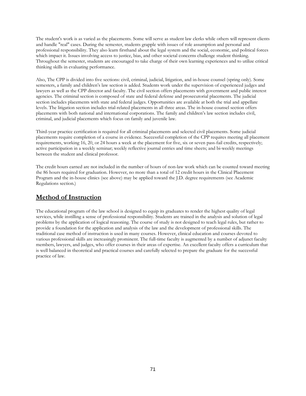The student's work is as varied as the placements. Some will serve as student law clerks while others will represent clients and handle "real" cases. During the semester, students grapple with issues of role assumption and personal and professional responsibility. They also learn firsthand about the legal system and the social, economic, and political forces which impact it. Issues involving access to justice, bias, and other societal concerns challenge student thinking. Throughout the semester, students are encouraged to take charge of their own learning experiences and to utilize critical thinking skills in evaluating performance.

Also, The CPP is divided into five sections: civil, criminal, judicial, litigation, and in-house counsel (spring only). Some semesters, a family and children's law section is added. Students work under the supervision of experienced judges and lawyers as well as the CPP director and faculty. The civil section offers placements with government and public interest agencies. The criminal section is composed of state and federal defense and prosecutorial placements. The judicial section includes placements with state and federal judges. Opportunities are available at both the trial and appellate levels. The litigation section includes trial-related placements in all three areas. The in-house counsel section offers placements with both national and international corporations. The family and children's law section includes civil, criminal, and judicial placements which focus on family and juvenile law.

Third-year practice certification is required for all criminal placements and selected civil placements. Some judicial placements require completion of a course in evidence. Successful completion of the CPP requires meeting all placement requirements, working 16, 20, or 24 hours a week at the placement for five, six or seven pass-fail credits, respectively; active participation in a weekly seminar; weekly reflective journal entries and time sheets; and bi-weekly meetings between the student and clinical professor.

The credit hours earned are not included in the number of hours of non-law work which can be counted toward meeting the 86 hours required for graduation. However, no more than a total of 12 credit hours in the Clinical Placement Program and the in-house clinics (see above) may be applied toward the J.D. degree requirements (see Academic Regulations section.)

# **Method of Instruction**

The educational program of the law school is designed to equip its graduates to render the highest quality of legal services, while instilling a sense of professional responsibility. Students are trained in the analysis and solution of legal problems by the application of logical reasoning. The course of study is not designed to teach legal rules, but rather to provide a foundation for the application and analysis of the law and the development of professional skills. The traditional case method of instruction is used in many courses. However, clinical education and courses devoted to various professional skills are increasingly prominent. The full-time faculty is augmented by a number of adjunct faculty members, lawyers, and judges, who offer courses in their areas of expertise. An excellent faculty offers a curriculum that is well balanced in theoretical and practical courses and carefully selected to prepare the graduate for the successful practice of law.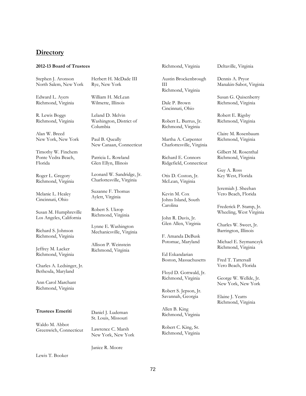# **Directory**

# **2012-13 Board of Trustees**

Stephen J. Aronson North Salem, New York

Edward L. Ayers Richmond, Virginia

R. Lewis Boggs Richmond, Virginia

Alan W. Breed New York, New York

Timothy W. Finchem Ponte Vedra Beach, Florida

Roger L. Gregory Richmond, Virginia

Melanie L. Healey Cincinnati, Ohio

Susan M. Humphreville Los Angeles, California

Richard S. Johnson Richmond, Virginia

Jeffrey M. Lacker Richmond, Virginia

Charles A. Ledsinger, Jr. Bethesda, Maryland

Ann Carol Marchant Richmond, Virginia

# **Trustees Emeriti**

Waldo M. Abbot Greenwich, Connecticut Herbert H. McDade III Rye, New York

William H. McLean Wilmette, Illinois

Leland D. Melvin Washington, District of Columbia

Paul B. Queally New Canaan, Connecticut

Patricia L. Rowland Glen Ellyn, Illinois

Leonard W. Sandridge, Jr. Charlottesville, Virginia

Suzanne F. Thomas Aylett, Virginia

Robert S. Ukrop Richmond, Virginia

Lynne E. Washington Mechanicsville, Virginia

Allison P. Weinstein Richmond, Virginia

Richmond, Virginia

Austin Brockenbrough III Richmond, Virginia

Dale P. Brown Cincinnati, Ohio

Robert L. Burrus, Jr. Richmond, Virginia

Martha A. Carpenter Charlottesville, Virginia

Richard E. Connors Ridgefield, Connecticut

Otis D. Coston, Jr. McLean, Virginia

Kevin M. Cox Johns Island, South Carolina

John R. Davis, Jr. Glen Allen, Virginia

F. Amanda DeBusk Potomac, Maryland

Ed Eskandarian Boston, Massachusetts

Floyd D. Gottwald, Jr. Richmond, Virginia

Robert S. Jepson, Jr. Savannah, Georgia

Allen B. King Richmond, Virginia

Robert C. King, Sr. Richmond, Virginia Deltaville, Virginia

Dennis A. Pryor Manakin-Sabot, Virginia

Susan G. Quisenberry Richmond, Virginia

Robert E. Rigsby Richmond, Virginia

Claire M. Rosenbaum Richmond, Virginia

Gilbert M. Rosenthal Richmond, Virginia

Guy A. Ross Key West, Florida

Jeremiah J. Sheehan Vero Beach, Florida

Frederick P. Stamp, Jr. Wheeling, West Virginia

Charles W. Sweet, Jr. Barrington, Illinois

Michael E. Szymanczyk Richmond, Virginia

Fred T. Tattersall Vero Beach, Florida

George W. Wellde, Jr. New York, New York

Elaine J. Yeatts Richmond, Virginia

Daniel J. Ludeman St. Louis, Missouri

Lawrence C. Marsh New York, New York

Janice R. Moore

Lewis T. Booker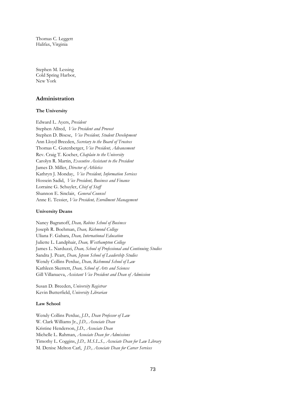Thomas C. Leggett Halifax, Virginia

Stephen M. Lessing Cold Spring Harbor, New York

# **Administration**

# **The University**

Edward L. Ayers, *President* Stephen Allred, *Vice President and Provost* Stephen D. Bisese, *Vice President, Student Development* Ann Lloyd Breeden, *Secretary to the Board of Trustees* Thomas C. Gutenberger, *Vice President, Advancement* Rev. Craig T. Kocher, *Chaplain to the University* Carolyn R. Martin, *Executive Assistant to the President* James D. Miller, *Director of Athletics* Kathryn J. Monday, *Vice President, Information Services* Hossein Sadid, *Vice President, Business and Finance* Lorraine G. Schuyler, *Chief of Staff* Shannon E. Sinclair, *General Counsel* Anne E. Tessier, *Vice President, Enrollment Management*

#### **University Deans**

Nancy Bagranoff, *Dean, Robins School of Business* Joseph R. Boehman, *Dean, Richmond College* Uliana F. Gabara, *Dean, International Education* Juliette L. Landphair, *Dean, Westhampton College* James L. Narduzzi, *Dean, School of Professional and Continuing Studies* Sandra J. Peart, *Dean, Jepson School of Leadership Studies* Wendy Collins Perdue, *Dean, Richmond School of Law* Kathleen Skerrett, *Dean, School of Arts and Sciences* Gill Villanueva, *Assistant Vice President and Dean of Admission*

Susan D. Breeden, *University Registrar* Kevin Butterfield, *University Librarian*

#### **Law School**

Wendy Collins Perdue, *J.D., Dean Professor of Law* W. Clark Williams Jr., *J.D., Associate Dean* Kristine Henderson, *J.D., Associate Dean* Michelle L. Rahman, *Associate Dean for Admissions* Timothy L. Coggins, *J.D., M.S.L.S., Associate Dean for Law Library* M. Denise Melton Carl, *J.D., Associate Dean for Career Services*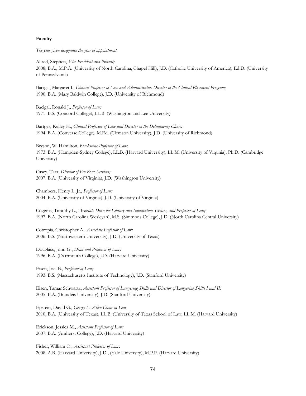# **Faculty**

*The year given designates the year of appointment.*

Allred, Stephen, *Vice President and Provost;* 2008, B.A., M.P.A. (University of North Carolina, Chapel Hill), J.D. (Catholic University of America), Ed.D. (University of Pennsylvania)

Bacigal, Margaret I., *Clinical Professor of Law and Administrative Director of the Clinical Placement Program;* 1990. B.A. (Mary Baldwin College), J.D. (University of Richmond)

Bacigal, Ronald J., *Professor of Law;* 1971. B.S. (Concord College), LL.B. (Washington and Lee University)

Bartges, Kelley H., *Clinical Professor of Law and Director of the Delinquency Clinic;* 1994. B.A. (Converse College), M.Ed. (Clemson University), J.D. (University of Richmond)

Bryson, W. Hamilton, *Blackstone Professor of Law;* 1973. B.A. (Hampden-Sydney College), LL.B. (Harvard University), LL.M. (University of Virginia), Ph.D. (Cambridge University)

Casey, Tara, *Director of Pro Bono Services;* 2007. B.A. (University of Virginia), J.D. (Washington University)

Chambers, Henry L. Jr., *Professor of Law;* 2004. B.A. (University of Virginia), J.D. (University of Virginia)

Coggins, Timothy L., *Associate Dean for Library and Information Services, and Professor of Law;* 1997. B.A. (North Carolina Wesleyan), M.S. (Simmons College), J.D. (North Carolina Central University)

Cotropia, Christopher A., *Associate Professor of Law;* 2006. B.S. (Northwestern University), J.D. (University of Texas)

Douglass, John G., *Dean and Professor of Law;* 1996. B.A. (Dartmouth College), J.D. (Harvard University)

Eisen, Joel B., *Professor of Law;* 1993. B.S. (Massachusetts Institute of Technology), J.D. (Stanford University)

Eisen, Tamar Schwartz, *Assistant Professor of Lawyering Skills and Director of Lawyering Skills I and II;* 2005. B.A. (Brandeis University), J.D. (Stanford University)

Epstein, David G., *George E. Allen Chair in Law* 2010, B.A. (University of Texas), LL.B. (University of Texas School of Law, LL.M. (Harvard University)

Erickson, Jessica M., *Assistant Professor of Law;* 2007. B.A. (Amherst College), J.D. (Harvard University)

Fisher, William O., *Assistant Professor of Law;* 2008. A.B. (Harvard University), J.D., (Yale University), M.P.P. (Harvard University)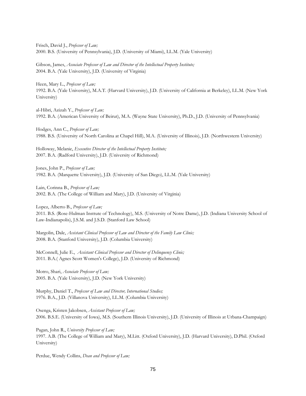Frisch, David J., *Professor of Law;* 2000. B.S. (University of Pennsylvania), J.D. (University of Miami), LL.M. (Yale University)

Gibson, James, *Associate Professor of Law and Director of the Intellectual Property Institute;* 2004. B.A. (Yale University), J.D. (University of Virginia)

Heen, Mary L., *Professor of Law;* 1992. B.A. (Yale University), M.A.T. (Harvard University), J.D. (University of California at Berkeley), LL.M. (New York University)

al-Hibri, Azizah Y., *Professor of Law;* 1992. B.A. (American University of Beirut), M.A. (Wayne State University), Ph.D., J.D. (University of Pennsylvania)

Hodges, Ann C., *Professor of Law;* 1988. B.S. (University of North Carolina at Chapel Hill), M.A. (University of Illinois), J.D. (Northwestern University)

Holloway, Melanie, *Executive Director of the Intellectual Property Institute;* 2007. B.A. (Radford University), J.D. (University of Richmond)

Jones, John P., *Professor of Law;* 1982. B.A. (Marquette University), J.D. (University of San Diego), LL.M. (Yale University)

Lain, Corinna B., *Professor of Law;* 2002. B.A. (The College of William and Mary), J.D. (University of Virginia)

Lopez, Alberto B., *Professor of Law;* 2011. B.S. (Rose-Hulman Insttute of Technology), M.S. (University of Notre Dame), J.D. (Indiana University School of Law-Indianapolis), J.S.M. and J.S.D. (Stanford Law School)

Margolin, Dale, *Assistant Clinical Professor of Law and Director of the Family Law Clinic;* 2008. B.A. (Stanford University), J.D. (Columbia University)

McConnell, Julie E., *Assistant Clinical Professor and Director of Delinquency Clinic;*  2011. B.A.( Agnes Scott Women's College), J.D. (University of Richmond)

Motro, Shari, *Associate Professor of Law;* 2005. B.A. (Yale University), J.D. (New York University)

Murphy, Daniel T., *Professor of Law and Director, International Studies;* 1976. B.A., J.D. (Villanova University), LL.M. (Columbia University)

Osenga, Kristen Jakobsen, *Assistant Professor of Law;* 2006. B.S.E. (University of Iowa), M.S. (Southern Illinois University), J.D. (University of Illinois at Urbana-Champaign)

Pagan, John R., *University Professor of Law;* 1997. A.B. (The College of William and Mary), M.Litt. (Oxford University), J.D. (Harvard University), D.Phil. (Oxford University)

Perdue, Wendy Collins, *Dean and Professor of Law;*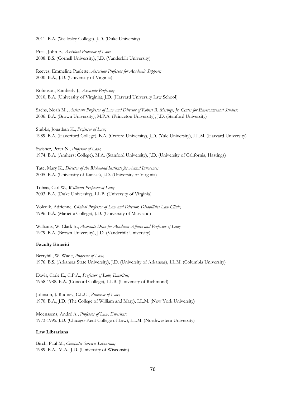2011. B.A. (Wellesley College), J.D. (Duke University)

Preis, John F., *Assistant Professor of Law;* 2008. B.S. (Cornell University), J.D. (Vanderbilt University)

Reeves, Emmeline Paulette, *Associate Professor for Academic Support;* 2000. B.A., J.D. (University of Virginia)

Robinson, Kimberly J., *Associate Professor;* 2010, B.A. (University of Virginia), J.D. (Harvard University Law School)

Sachs, Noah M., *Assistant Professor of Law and Director of Robert R. Merhige, Jr. Center for Environmental Studies;* 2006. B.A. (Brown University), M.P.A. (Princeton University), J.D. (Stanford University)

Stubbs, Jonathan K., *Professor of Law;* 1989. B.A. (Haverford College), B.A. (Oxford University), J.D. (Yale University), LL.M. (Harvard University)

Swisher, Peter N., *Professor of Law;* 1974. B.A. (Amherst College), M.A. (Stanford University), J.D. (University of California, Hastings)

Tate, Mary K., *Director of the Richmond Institute for Actual Innocence;* 2005. B.A. (University of Kansas), J.D. (University of Virginia)

Tobias, Carl W., *Williams Professor of Law;* 2003. B.A. (Duke University), LL.B. (University of Virginia)

Volenik, Adrienne, *Clinical Professor of Law and Director, Disabilities Law Clinic;* 1996. B.A. (Marietta College), J.D. (University of Maryland)

Williams, W. Clark Jr., *Associate Dean for Academic Affairs and Professor of Law;* 1979. B.A. (Brown University), J.D. (Vanderbilt University)

# **Faculty Emeriti**

Berryhill, W. Wade, *Professor of Law;* 1976. B.S. (Arkansas State University), J.D. (University of Arkansas), LL.M. (Columbia University)

Davis, Carle E., C.P.A., *Professor of Law, Emeritus;* 1958-1988. B.A. (Concord College), LL.B. (University of Richmond)

Johnson, J. Rodney, C.L.U., *Professor of Law;* 1970. B.A., J.D. (The College of William and Mary), LL.M. (New York University)

Moenssens, André A., *Professor of Law, Emeritus;* 1973-1995. J.D. (Chicago-Kent College of Law), LL.M. (Northwestern University)

# **Law Librarians**

Birch, Paul M., *Computer Services Librarian;* 1989. B.A., M.A., J.D. (University of Wisconsin)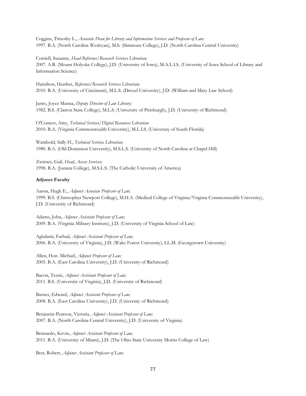Coggins, Timothy L., *Associate Dean for Library and Information Services and Professor of Law;* 1997. B.A. (North Carolina Wesleyan), M.S. (Simmons College), J.D. (North Carolina Central University)

Corriell, Suzanne, *Head Reference/Research Services Librarian;*

2007. A.B. (Mount Holyoke College), J.D. (University of Iowa), M.A.L.I.S. (University of Iowa School of Library and Information Science)

Hamilton, Heather, *Reference/Research Services Librarian;* 2010. B.A. (University of Cincinnati), M.L.S. (Drexel University), J.D. (William and Mary Law School)

Janto, Joyce Manna, *Deputy Director of Law Library;* 1982. B.S. (Clarion State College), M.L.S. (University of Pittsburgh), J.D. (University of Richmond)

O'Connor, Amy, *Technical Services/Digital Resources Librarian* 2010. B.A. (Virginia Commonwealth University), M.L.I.S. (University of South Florida)

Wambold, Sally H., *Technical Services Librarian;* 1980. B.A. (Old Dominion University), M.S.L.S. (University of North Carolina at Chapel Hill)

Zwirner, Gail, *Head, Access Services;* 1998. B.A. (Juniata College), M.S.L.S. (The Catholic University of America)

# **Adjunct Faculty**

Aaron, Hugh E., *Adjunct Associate Professor of Law;* 1999. B.S. (Christopher Newport College), M.H.A. (Medical College of Virginia/Virginia Commonwealth University), J.D. (University of Richmond)

Adams, John, *Adjunct Assistant Professor of Law;* 2009. B.A. (Virginia Military Institute), J.D. (University of Virginia School of Law)

Aghdami, Farhad, *Adjunct Assistant Professor of Law;* 2006. B.A. (University of Virginia), J.D. (Wake Forest University), LL.M. (Georgetown University)

Allen, Hon. Michael, *Adjunct Professor of Law;* 2005. B.A. (East Carolina University), J.D. (University of Richmond)

Bacon, Tessie, *Adjunct Assistant Professor of Law;* 2011. B.S. (University of Virginia), J.D. (University of Richmond)

Barnes, Edward, *Adjunct Assistant Professor of Law;* 2008. B.A. (East Carolina University), J.D. (University of Richmond)

Benjamin-Pearson, Victoria, *Adjunct Assistant Professor of Law;* 2007. B.A. (North Carolina Central University), J.D. (University of Virginia)

Bennardo, Kevin, *Adjunct Assistant Professor of Law;* 2011. B.A. (University of Miami), J.D. (The Ohio State University Moritz College of Law)

Best, Robert, *Adjunct Assistant Professor of Law;*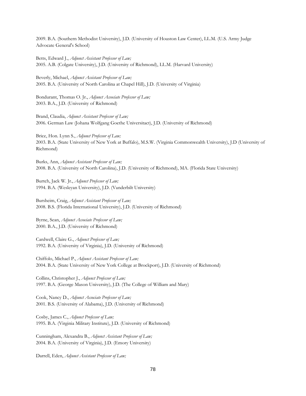2009. B.A. (Southern Methodist University), J.D. (University of Houston Law Center), LL.M. (U.S. Army Judge Advocate General's School)

Betts, Edward J., *Adjunct Assistant Professor of Law;* 2005. A.B. (Colgate University), J.D. (University of Richmond), LL.M. (Harvard University)

Beverly, Michael, *Adjunct Assistant Professor of Law;* 2005. B.A. (University of North Carolina at Chapel Hill), J.D. (University of Virginia)

Bondurant, Thomas O. Jr., *Adjunct Associate Professor of Law;* 2003. B.A., J.D. (University of Richmond)

Brand, Claudia, *Adjunct Assistant Professor of Law;* 2006. German Law (Johana Wolfgang Goethe Universitact), J.D. (University of Richmond)

Brice, Hon. Lynn S., *Adjunct Professor of Law;* 2003. B.A. (State University of New York at Buffalo), M.S.W. (Virginia Commonwealth University), J.D (University of Richmond)

Burks, Ann, *Adjunct Assistant Professor of Law;* 2008. B.A. (University of North Carolina), J.D. (University of Richmond), MA. (Florida State University)

Burtch, Jack W. Jr., *Adjunct Professor of Law;* 1994. B.A. (Wesleyan University), J.D. (Vanderbilt University)

Bursheim, Craig, *Adjunct Assistant Professor of Law;* 2008. B.S. (Florida International University), J.D. (University of Richmond)

Byrne, Sean, *Adjunct Associate Professor of Law;* 2000. B.A., J.D. (University of Richmond)

Cardwell, Claire G., *Adjunct Professor of Law;* 1992. B.A. (University of Virginia), J.D. (University of Richmond)

Chiffolo, Michael P., *Adjunct Assistant Professor of Law;* 2004. B.A. (State University of New York College at Brockport), J.D. (University of Richmond)

Collins, Christopher J., *Adjunct Professor of Law;* 1997. B.A. (George Mason University), J.D. (The College of William and Mary)

Cook, Nancy D., *Adjunct Associate Professor of Law;* 2001. B.S. (University of Alabama), J.D. (University of Richmond)

Cosby, James C., *Adjunct Professor of Law;* 1995. B.A. (Virginia Military Institute), J.D. (University of Richmond)

Cunningham, Alexandra B., *Adjunct Assistant Professor of Law;* 2004. B.A. (University of Virginia), J.D. (Emory University)

Darrell, Eden, *Adjunct Assistant Professor of Law;*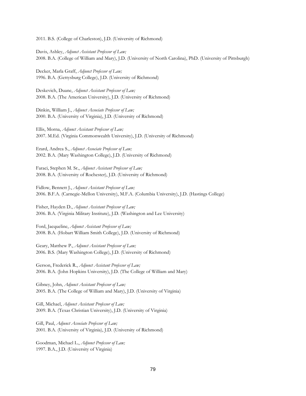2011. B.S. (College of Charleston), J.D. (University of Richmond)

Davis, Ashley, *Adjunct Assistant Professor of Law;* 2008. B.A. (College of William and Mary), J.D. (University of North Carolina), PhD. (University of Pittsburgh)

Decker, Marla Graff, *Adjunct Professor of Law;* 1996. B.A. (Gettysburg College), J.D. (University of Richmond)

Deskevich, Duane, *Adjunct Assistant Professor of Law;* 2008. B.A. (The American University), J.D. (University of Richmond)

Dinkin, William J., *Adjunct Associate Professor of Law;* 2000. B.A. (University of Virginia), J.D. (University of Richmond)

Ellis, Morna, *Adjunct Assistant Professor of Law;* 2007. M.Ed. (Virginia Commonwealth University), J.D. (University of Richmond)

Erard, Andrea S., *Adjunct Associate Professor of Law;* 2002. B.A. (Mary Washington College), J.D. (University of Richmond)

Faraci, Stephen M. Sr., *Adjunct Assistant Professor of Law;* 2008. B.A. (University of Rochester), J.D. (University of Richmond)

Fidlow, Bennett J., *Adjunct Assistant Professor of Law;* 2006. B.F.A. (Carnegie-Mellon University), M.F.A. (Columbia University), J.D. (Hastings College)

Fisher, Hayden D., *Adjunct Assistant Professor of Law;* 2006. B.A. (Virginia Military Institute), J.D. (Washington and Lee University)

Ford, Jacqueline, *Adjunct Assistant Professor of Law;* 2008. B.A. (Hobart William Smith College), J.D. (University of Richmond)

Geary, Matthew P., *Adjunct Assistant Professor of Law;* 2006. B.S. (Mary Washington College), J.D. (University of Richmond)

Gerson, Frederick R., *Adjunct Assistant Professor of Law;* 2006. B.A. (John Hopkins University), J.D. (The College of William and Mary)

Gibney, John, *Adjunct Assistant Professor of Law;* 2005. B.A. (The College of William and Mary), J.D. (University of Virginia)

Gill, Michael, *Adjunct Assistant Professor of Law;* 2009. B.A. (Texas Christian University), J.D. (University of Virginia)

Gill, Paul, *Adjunct Associate Professor of Law;* 2001. B.A. (University of Virginia), J.D. (University of Richmond)

Goodman, Michael L., *Adjunct Professor of Law;* 1997. B.A., J.D. (University of Virginia)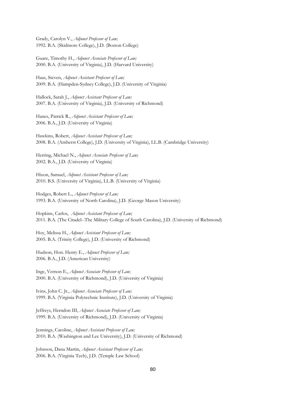Grady, Carolyn V., *Adjunct Professor of Law;* 1992. B.A. (Skidmore College), J.D. (Boston College)

Guare, Timothy H., *Adjunct Associate Professor of Law;* 2000. B.A. (University of Virginia), J.D. (Harvard University)

Haas, Steven, *Adjunct Assistant Professor of Law;* 2009. B.A. (Hampden-Sydney College), J.D. (University of Virginia)

Hallock, Sarah J., *Adjunct Assistant Professor of Law;* 2007. B.A. (University of Virginia), J.D. (University of Richmond)

Hanes, Patrick R., *Adjunct Assistant Professor of Law;* 2006. B.A., J.D. (University of Virginia)

Hawkins, Robert, *Adjunct Assistant Professor of Law;* 2008. B.A. (Amherst College), J.D. (University of Virginia), LL.B. (Cambridge University)

Herring, Michael N., *Adjunct Associate Professor of Law;* 2002. B.A., J.D. (University of Virginia)

Hixon, Samuel, *Adjunct Assistant Professor of Law;* 2010. B.S. (University of Virginia), LL.B. (University of Virginia)

Hodges, Robert L., *Adjunct Professor of Law;* 1993. B.A. (University of North Carolina), J.D. (George Mason University)

Hopkins, Carlos, *Adjunct Assistant Professor of Law;* 2011. B.A. (The Citadel--The Military College of South Carolina), J.D. (University of Richmond)

Hoy, Melissa H., *Adjunct Assistant Professor of Law;* 2005. B.A. (Trinity College), J.D. (University of Richmond)

Hudson, Hon. Henry E., *Adjunct Professor of Law;* 2006. B.A., J.D. (American University)

Inge, Vernon E., *Adjunct Associate Professor of Law;* 2000. B.A. (University of Richmond), J.D. (University of Virginia)

Ivins, John C. Jr., *Adjunct Associate Professor of Law;* 1999. B.A. (Virginia Polytechnic Institute), J.D. (University of Virginia)

Jeffreys, Herndon III, *Adjunct Associate Professor of Law;* 1999. B.A. (University of Richmond), J.D. (University of Virginia)

Jennings, Caroline, *Adjunct Assistant Professor of Law;* 2010. B.A. (Washington and Lee University), J.D. (University of Richmond)

Johnson, Dana Martin, *Adjunct Assistant Professor of Law;* 2006. B.A. (Virginia Tech), J.D. (Temple Law School)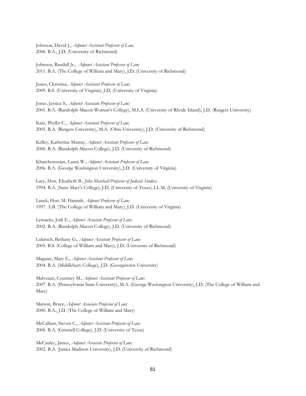Johnson, David J., *Adjunct Assistant Professor of Law;* 2006. B.A., J.D. (University of Richmond)

Johnson, Randall Jr., *Adjunct Assistant Professor of Law;* 2011. B.A. (The College of William and Mary), J.D. (University of Richmond)

Jones, Christina, *Adjunct Assistant Professor of Law;* 2009. B.S. (University of Virginia), J.D. (University of Virginia)

Jones, Jessica S., *Adjunct Associate Professor of Law;* 2001. B.A. (Randolph-Macon Woman's College), M.L.S. (University of Rhode Island), J.D. (Rutgers University)

Katz, Phyllis C., *Adjunct Assistant Professor of Law;* 2005. B.A. (Rutgers University), M.A. (Ohio University), J.D. (University of Richmond)

Kelley, Katherine Murray, *Adjunct Assistant Professor of Law;* 2006. B.A. (Randolph-Macon College), J.D. (University of Richmond)

Khatcheressian, Laura W., *Adjunct Assistant Professor of Law;* 2006. B.A. (George Washington University), J.D. (University of Virginia)

Lacy, Hon. Elizabeth B., *John Marshall Professor of Judicial Studies;* 1994. B.A. (Saint Mary's College), J.D. (University of Texas), LL.M. (University of Virginia)

Lauck, Hon. M. Hannah, *Adjunct Professor of Law;* 1997. A.B. (The College of William and Mary), J.D. (University of Virginia)

Lemacks, Jodi E., *Adjunct Associate Professor of Law;* 2002. B.A. (Randolph-Macon College), J.D. (University of Richmond)

Lukitsch, Bethany G., *Adjunct Assistant Professor of Law;* 2005. B.S. (College of William and Mary), J.D. (University of Richmond)

Maguire, Mary E., *Adjunct Assistant Professor of Law;* 2004. B.A. (Middlebury College), J.D. (Georgetown University)

Malveaux, Courtney M., *Adjunct Assistant Professor of Law;* 2007. B.A. (Pennsylvania State University), M.A. (George Washington University), J.D. (The College of William and Mary)

Matson, Bruce, *Adjunct Associate Professor of Law;* 2000. B.A., J.D. (The College of William and Mary)

McCallum, Steven C., *Adjunct Assistant Professor of Law;* 2006. B.A. (Grinnell College), J.D. (University of Texas)

McCauley, James, *Adjunct Associate Professor of Law;* 2002. B.A. (James Madison University), J.D. (University of Richmond)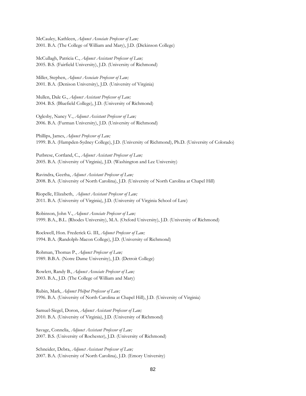McCauley, Kathleen, *Adjunct Associate Professor of Law;* 2001. B.A. (The College of William and Mary), J.D. (Dickinson College)

McCullagh, Patricia C., *Adjunct Assistant Professor of Law;* 2005. B.S. (Fairfield University), J.D. (University of Richmond)

Miller, Stephen, *Adjunct Associate Professor of Law;* 2001. B.A. (Denison University), J.D. (University of Virginia)

Mullen, Dale G., *Adjunct Assistant Professor of Law;* 2004. B.S. (Bluefield College), J.D. (University of Richmond)

Oglesby, Nancy V., *Adjunct Assistant Professor of Law;* 2006. B.A. (Furman University), J.D. (University of Richmond)

Phillips, James, *Adjunct Professor of Law;* 1999. B.A. (Hampden-Sydney College), J.D. (University of Richmond), Ph.D. (University of Colorado)

Putbrese, Cortland, C., *Adjunct Assistant Professor of Law;* 2005. B.A. (University of Virginia), J.D. (Washington and Lee University)

Ravindra, Geetha, *Adjunct Assistant Professor of Law;* 2008. B.A. (University of North Carolina), J.D. (University of North Carolina at Chapel Hill)

Riopelle, Elizabeth, *Adjunct Assistant Professor of Law;* 2011. B.A. (University of Virginia), J.D. (University of Virginia School of Law)

Robinson, John V., *Adjunct Associate Professor of Law;* 1999. B.A., B.L. (Rhodes University), M.A. (Oxford University), J.D. (University of Richmond)

Rockwell, Hon. Frederick G. III, *Adjunct Professor of Law;* 1994. B.A. (Randolph-Macon College), J.D. (University of Richmond)

Rohman, Thomas P., *Adjunct Professor of Law;* 1989. B.B.A. (Notre Dame University), J.D. (Detroit College)

Rowlett, Randy B., *Adjunct Associate Professor of Law;* 2003. B.A., J.D. (The College of William and Mary)

Rubin, Mark, *Adjunct Philpot Professor of Law;* 1996. B.A. (University of North Carolina at Chapel Hill), J.D. (University of Virginia)

Samuel-Siegel, Doron, *Adjunct Assistant Professor of Law;* 2010. B.A. (University of Virginia), J.D. (University of Richmond)

Savage, Connelia, *Adjunct Assistant Professor of Law;* 2007. B.S. (University of Rochester), J.D. (University of Richmond)

Schneider, Debra, *Adjunct Assistant Professor of Law;* 2007. B.A. (University of North Carolina), J.D. (Emory University)